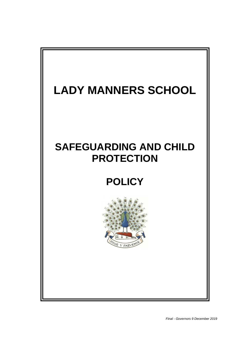# **LADY MANNERS SCHOOL**

# **SAFEGUARDING AND CHILD PROTECTION**

# **POLICY**

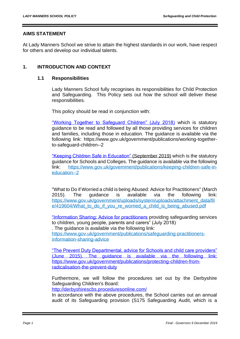#### **AIMS STATEMENT**

At Lady Manners School we strive to attain the highest standards in our work, have respect for others and develop our individual talents.

## **1. INTRODUCTION AND CONTEXT**

#### **1.1 Responsibilities**

Lady Manners School fully recognises its responsibilities for Child Protection and Safeguarding. This Policy sets out how the school will deliver these responsibilities.

This policy should be read in conjunction with:

["Working Together to Safeguard Children" \(July 2018\)](https://www.gov.uk/government/publications/working-together-to-safeguard-children--2) which is statutory guidance to be read and followed by all those providing services for children and families, including those in education. The guidance is available via the following link: https://www.gov.uk/government/publications/working-togetherto-safeguard-children--2

["Keeping Children Safe in Education"](https://www.gov.uk/government/publications/keeping-children-safe-in-education--2) (September 2019) which is the statutory guidance for Schools and Colleges. The guidance is available via the following link: https://www.gov.uk/government/publications/keeping-children-safe-ineducation--2

"What to Do if Worried a child is being Abused: Advice for Practitioners" (March 2015). The guidance is available via the following link: [https://www.gov.uk/government/uploads/system/uploads/attachment\\_data/fil](https://www.gov.uk/government/uploads/system/uploads/attachment_data/file/419604/What_to_do_if_you_re_worried_a_child_is_being_abused.pdf) e/419604/What to do if you re worried a child is being abused.pdf

["Information Sharing: Advice for practitioners](https://www.gov.uk/government/publications/safeguarding-practitioners-information-sharing-advice) providing safeguarding services to children, young people, parents and carers" (July 2018) . The guidance is available via the following link:

https://www.gov.uk/government/publications/safeguarding-practitionersinformation-sharing-advice

["The Prevent Duty](https://www.gov.uk/government/publications/protecting-children-from-radicalisation-the-prevent-duty) Departmental, advice for Schools and child care providers" (June 2015). The guidance is available via the following link: https://www.gov.uk/government/publications/protecting-children-fromradicalisation-the-prevent-duty

Furthermore, we will follow the procedures set out by the Derbyshire Safeguarding Children's Board:

<http://derbyshirescbs.proceduresonline.com/>

In accordance with the above procedures, the School carries out an annual audit of its Safeguarding provision (S175 Safeguarding Audit, which is a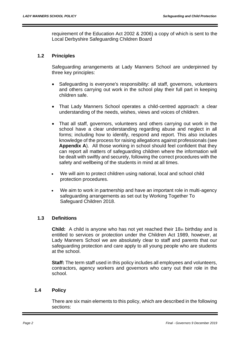requirement of the Education Act 2002 & 2006) a copy of which is sent to the Local Derbyshire Safeguarding Children Board

## **1.2 Principles**

Safeguarding arrangements at Lady Manners School are underpinned by three key principles:

- Safeguarding is everyone's responsibility: all staff, governors, volunteers and others carrying out work in the school play their full part in keeping children safe.
- That Lady Manners School operates a child-centred approach: a clear understanding of the needs, wishes, views and voices of children.
- That all staff, governors, volunteers and others carrying out work in the school have a clear understanding regarding abuse and neglect in all forms; including how to identify, respond and report. This also includes knowledge of the process for raising allegations against professionals (see **Appendix A**). All those working in school should feel confident that they can report all matters of safeguarding children where the information will be dealt with swiftly and securely, following the correct procedures with the safety and wellbeing of the students in mind at all times.
- We will aim to protect children using national, local and school child protection procedures.
- We aim to work in partnership and have an important role in multi-agency safeguarding arrangements as set out by Working Together To Safeguard Children 2018.

#### **1.3 Definitions**

**Child:** A child is anyone who has not yet reached their 18th birthday and is entitled to services or protection under the Children Act 1989, however, at Lady Manners School we are absolutely clear to staff and parents that our safeguarding protection and care apply to all young people who are students at the school.

**Staff:** The term staff used in this policy includes all employees and volunteers, contractors, agency workers and governors who carry out their role in the school.

#### **1.4 Policy**

There are six main elements to this policy, which are described in the following sections: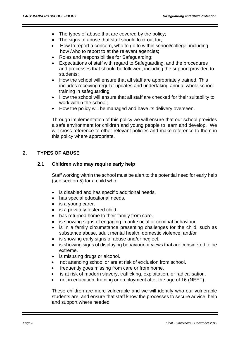- The types of abuse that are covered by the policy;
- The signs of abuse that staff should look out for;
- How to report a concern, who to go to within school/college; including how /who to report to at the relevant agencies;
- Roles and responsibilities for Safeguarding;
- Expectations of staff with regard to Safeguarding, and the procedures and processes that should be followed, including the support provided to students;
- How the school will ensure that all staff are appropriately trained. This includes receiving regular updates and undertaking annual whole school training in safeguarding.
- How the school will ensure that all staff are checked for their suitability to work within the school;
- How the policy will be managed and have its delivery overseen.

Through implementation of this policy we will ensure that our school provides a safe environment for children and young people to learn and develop. We will cross reference to other relevant policies and make reference to them in this policy where appropriate.

# **2. TYPES OF ABUSE**

#### **2.1 Children who may require early help**

Staff working within the school must be alert to the potential need for early help (see section 5) for a child who:

- is disabled and has specific additional needs.
- has special educational needs.
- is a young carer.
- is a privately fostered child.
- has returned home to their family from care.
- is showing signs of engaging in anti-social or criminal behaviour.
- is in a family circumstance presenting challenges for the child, such as substance abuse, adult mental health, domestic violence; and/or
- is showing early signs of abuse and/or neglect.
- is showing signs of displaying behaviour or views that are considered to be extreme.
- is misusing drugs or alcohol.
- not attending school or are at risk of exclusion from school.
- frequently goes missing from care or from home.
- is at risk of modern slavery, trafficking, exploitation, or radicalisation.
- not in education, training or employment after the age of 16 (NEET).

These children are more vulnerable and we will identify who our vulnerable students are, and ensure that staff know the processes to secure advice, help and support where needed.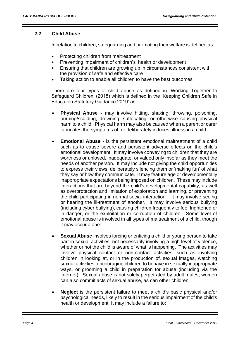#### **2.2 Child Abuse**

In relation to children, safeguarding and promoting their welfare is defined as:

- Protecting children from maltreatment
- Preventing impairment of children's' health or development
- Ensuring that children are growing up in circumstances consistent with the provision of safe and effective care
- Taking action to enable all children to have the best outcomes

There are four types of child abuse as defined in 'Working Together to Safeguard Children' (2018) which is defined in the 'Keeping Children Safe in Education Statutory Guidance 2019' as:

- **Physical Abuse -** may involve hitting, shaking, throwing, poisoning, burning/scalding, drowning, suffocating, or otherwise causing physical harm to a child. Physical harm may also be caused when a parent or carer fabricates the symptoms of, or deliberately induces, illness in a child.
- **Emotional Abuse -** is the persistent emotional maltreatment of a child such as to cause severe and persistent adverse effects on the child's emotional development. It may involve conveying to children that they are worthless or unloved, inadequate, or valued only insofar as they meet the needs of another person. It may include not giving the child opportunities to express their views, deliberately silencing them or 'making fun' of what they say or how they communicate. It may feature age or developmentally inappropriate expectations being imposed on children. These may include interactions that are beyond the child's developmental capability, as well as overprotection and limitation of exploration and learning, or preventing the child participating in normal social interaction. It may involve seeing or hearing the ill-treatment of another. It may involve serious bullying (including cyber bullying), causing children frequently to feel frightened or in danger, or the exploitation or corruption of children. Some level of emotional abuse is involved in all types of maltreatment of a child, though it may occur alone.
- **Sexual Abuse** involves forcing or enticing a child or young person to take part in sexual activities, not necessarily involving a high level of violence, whether or not the child is aware of what is happening. The activities may involve physical contact or non-contact activities, such as involving children in looking at, or in the production of, sexual images, watching sexual activities, encouraging children to behave in sexually inappropriate ways, or grooming a child in preparation for abuse (including via the internet). Sexual abuse is not solely perpetrated by adult males; women can also commit acts of sexual abuse, as can other children.
- **Neglect** is the persistent failure to meet a child's basic physical and/or psychological needs, likely to result in the serious impairment of the child's health or development. It may include a failure to: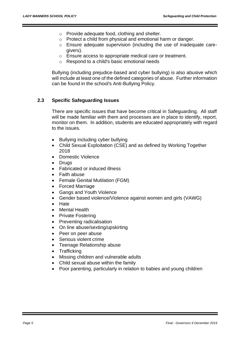- o Provide adequate food, clothing and shelter.
- o Protect a child from physical and emotional harm or danger.
- o Ensure adequate supervision (including the use of inadequate caregivers).
- o Ensure access to appropriate medical care or treatment.
- o Respond to a child's basic emotional needs

Bullying (including prejudice-based and cyber bullying) is also abusive which will include at least one of the defined categories of abuse. Further information can be found in the school's Anti-Bullying Policy.

#### **2.3 Specific Safeguarding Issues**

There are specific issues that have become critical in Safeguarding. All staff will be made familiar with them and processes are in place to identify, report, monitor on them. In addition, students are educated appropriately with regard to the issues.

- Bullying including cyber bullying
- Child Sexual Exploitation (CSE) and as defined by Working Together 2018
- Domestic Violence
- Drugs
- Fabricated or induced illness
- Faith abuse
- Female Genital Mutilation (FGM)
- Forced Marriage
- Gangs and Youth Violence
- Gender based violence/Violence against women and girls (VAWG)
- Hate
- Mental Health
- Private Fostering
- Preventing radicalisation
- On line abuse/sexting/upskirting
- Peer on peer abuse
- Serious violent crime
- Teenage Relationship abuse
- **Trafficking**
- Missing children and vulnerable adults
- Child sexual abuse within the family
- Poor parenting, particularly in relation to babies and young children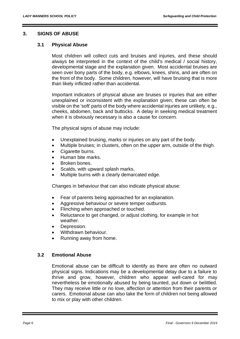#### **3. SIGNS OF ABUSE**

#### **3.1 Physical Abuse**

Most children will collect cuts and bruises and injuries, and these should always be interpreted in the context of the child's medical / social history, developmental stage and the explanation given. Most accidental bruises are seen over bony parts of the body, e.g. elbows, knees, shins, and are often on the front of the body. Some children, however, will have bruising that is more than likely inflicted rather than accidental.

Important indicators of physical abuse are bruises or injuries that are either unexplained or inconsistent with the explanation given; these can often be visible on the 'soft' parts of the body where accidental injuries are unlikely, e.g., cheeks, abdomen, back and buttocks. A delay in seeking medical treatment when it is obviously necessary is also a cause for concern.

The physical signs of abuse may include:

- Unexplained bruising, marks or injuries on any part of the body.
- Multiple bruises; in clusters, often on the upper arm, outside of the thigh.
- Cigarette burns.
- Human bite marks.
- Broken bones.
- Scalds, with upward splash marks.
- Multiple burns with a clearly demarcated edge.

Changes in behaviour that can also indicate physical abuse:

- Fear of parents being approached for an explanation.
- Aggressive behaviour or severe temper outbursts.
- Flinching when approached or touched.
- Reluctance to get changed, or adjust clothing, for example in hot weather.
- Depression.
- Withdrawn behaviour.
- Running away from home.

#### **3.2 Emotional Abuse**

Emotional abuse can be difficult to identify as there are often no outward physical signs. Indications may be a developmental delay due to a failure to thrive and grow, however, children who appear well-cared for may nevertheless be emotionally abused by being taunted, put down or belittled. They may receive little or no love, affection or attention from their parents or carers. Emotional abuse can also take the form of children not being allowed to mix or play with other children.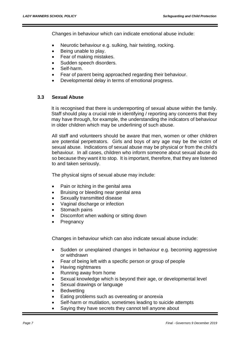Changes in behaviour which can indicate emotional abuse include:

- Neurotic behaviour e.g. sulking, hair twisting, rocking.
- Being unable to play.
- Fear of making mistakes.
- Sudden speech disorders.
- Self-harm.
- Fear of parent being approached regarding their behaviour.
- Developmental delay in terms of emotional progress.

#### **3.3 Sexual Abuse**

It is recognised that there is underreporting of sexual abuse within the family. Staff should play a crucial role in identifying / reporting any concerns that they may have through, for example, the understanding the indicators of behaviour in older children which may be underlining of such abuse.

All staff and volunteers should be aware that men, women or other children are potential perpetrators. Girls and boys of any age may be the victim of sexual abuse. Indications of sexual abuse may be physical or from the child's behaviour. In all cases, children who inform someone about sexual abuse do so because they want it to stop. It is important, therefore, that they are listened to and taken seriously.

The physical signs of sexual abuse may include:

- Pain or itching in the genital area
- Bruising or bleeding near genital area
- Sexually transmitted disease
- Vaginal discharge or infection
- Stomach pains
- Discomfort when walking or sitting down
- **Pregnancy**

Changes in behaviour which can also indicate sexual abuse include:

- Sudden or unexplained changes in behaviour e.g. becoming aggressive or withdrawn
- Fear of being left with a specific person or group of people
- Having nightmares
- Running away from home
- Sexual knowledge which is beyond their age, or developmental level
- Sexual drawings or language
- **Bedwetting**
- Eating problems such as overeating or anorexia
- Self-harm or mutilation, sometimes leading to suicide attempts
- Saying they have secrets they cannot tell anyone about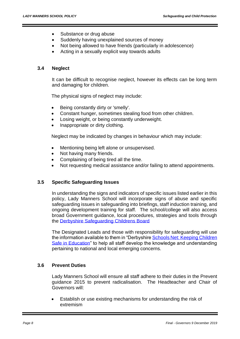- Substance or drug abuse
- Suddenly having unexplained sources of money
- Not being allowed to have friends (particularly in adolescence)
- Acting in a sexually explicit way towards adults

#### **3.4 Neglect**

It can be difficult to recognise neglect, however its effects can be long term and damaging for children.

The physical signs of neglect may include:

- Being constantly dirty or 'smelly'.
- Constant hunger, sometimes stealing food from other children.
- Losing weight, or being constantly underweight.
- Inappropriate or dirty clothing.

Neglect may be indicated by changes in behaviour which may include:

- Mentioning being left alone or unsupervised.
- Not having many friends.
- Complaining of being tired all the time.
- Not requesting medical assistance and/or failing to attend appointments.

#### **3.5 Specific Safeguarding Issues**

In understanding the signs and indicators of specific issues listed earlier in this policy, Lady Manners School will incorporate signs of abuse and specific safeguarding issues in safeguarding into briefings, staff induction training, and ongoing development training for staff. The school/college will also access broad Government guidance, local procedures, strategies and tools through the [Derbyshire Safeguarding Childrens Board](http://www.derbyshirescb.org.uk/)

The Designated Leads and those with responsibility for safeguarding will use the information available to them in "Derbyshire Schools Net: Keeping Children [Safe in Education"](https://schoolsnet.derbyshire.gov.uk/keeping-children-safe-in-education/keeping-children-safe-in-education.aspx) to help all staff develop the knowledge and understanding pertaining to national and local emerging concerns.

#### **3.6 Prevent Duties**

Lady Manners School will ensure all staff adhere to their duties in the Prevent guidance 2015 to prevent radicalisation. The Headteacher and Chair of Governors will:

• Establish or use existing mechanisms for understanding the risk of extremism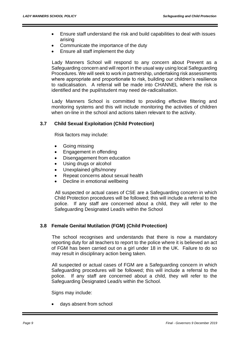- Ensure staff understand the risk and build capabilities to deal with issues arising
- Communicate the importance of the duty
- Ensure all staff implement the duty

Lady Manners School will respond to any concern about Prevent as a Safeguarding concern and will report in the usual way using local Safeguarding Procedures. We will seek to work in partnership, undertaking risk assessments where appropriate and proportionate to risk, building our children's resilience to radicalisation. A referral will be made into CHANNEL where the risk is identified and the pupil/student may need de-radicalisation.

Lady Manners School is committed to providing effective filtering and monitoring systems and this will include monitoring the activities of children when on-line in the school and actions taken relevant to the activity.

# **3.7 Child Sexual Exploitation (Child Protection)**

Risk factors may include:

- Going missing
- Engagement in offending
- Disengagement from education
- Using drugs or alcohol
- Unexplained gifts/money
- Repeat concerns about sexual health
- Decline in emotional wellbeing

All suspected or actual cases of CSE are a Safeguarding concern in which Child Protection procedures will be followed; this will include a referral to the police. If any staff are concerned about a child, they will refer to the Safeguarding Designated Lead/s within the School

#### **3.8 Female Genital Mutilation (FGM) (Child Protection)**

The school recognises and understands that there is now a mandatory reporting duty for all teachers to report to the police where it is believed an act of FGM has been carried out on a girl under 18 in the UK. Failure to do so may result in disciplinary action being taken.

All suspected or actual cases of FGM are a Safeguarding concern in which Safeguarding procedures will be followed; this will include a referral to the police. If any staff are concerned about a child, they will refer to the Safeguarding Designated Lead/s within the School.

Signs may include:

days absent from school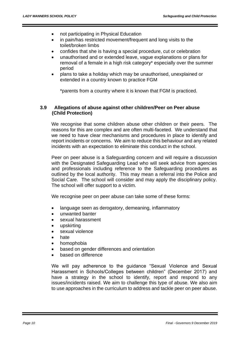- not participating in Physical Education
- in pain/has restricted movement/frequent and long visits to the toilet/broken limbs
- confides that she is having a special procedure, cut or celebration
- unauthorised and or extended leave, vague explanations or plans for removal of a female in a high risk category\* especially over the summer period
- plans to take a holiday which may be unauthorised, unexplained or extended in a country known to practice FGM

\*parents from a country where it is known that FGM is practiced.

#### **3.9 Allegations of abuse against other children/Peer on Peer abuse (Child Protection)**

We recognise that some children abuse other children or their peers. The reasons for this are complex and are often multi-faceted. We understand that we need to have clear mechanisms and procedures in place to identify and report incidents or concerns. We aim to reduce this behaviour and any related incidents with an expectation to eliminate this conduct in the school.

Peer on peer abuse is a Safeguarding concern and will require a discussion with the Designated Safeguarding Lead who will seek advice from agencies and professionals including reference to the Safeguarding procedures as outlined by the local authority. This may mean a referral into the Police and Social Care. The school will consider and may apply the disciplinary policy. The school will offer support to a victim.

We recognise peer on peer abuse can take some of these forms:

- language seen as derogatory, demeaning, inflammatory
- unwanted banter
- sexual harassment
- upskirting
- sexual violence
- hate
- homophobia
- based on gender differences and orientation
- based on difference

We will pay adherence to the guidance "Sexual Violence and Sexual Harassment in Schools/Colleges between children" (December 2017) and have a strategy in the school to identify, report and respond to any issues/incidents raised. We aim to challenge this type of abuse. We also aim to use approaches in the curriculum to address and tackle peer on peer abuse.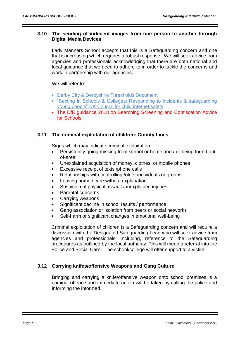## **3.10 The sending of indecent images from one person to another through Digital Media Devices**

Lady Manners School accepts that this is a Safeguarding concern and one that is increasing which requires a robust response. We will seek advice from agencies and professionals acknowledging that there are both national and local guidance that we need to adhere to in order to tackle the concerns and work in partnership with our agencies.

We will refer to:

- [Derby City & Derbyshire Thresholds Document](http://www.proceduresonline.com/derbyshire/scbs/user_controlled_lcms_area/uploaded_files/DSCB-Thresholds.pdf)
- ["Sexting in Schools & Colleges: Responding to incidents & safeguarding](https://www.gov.uk/government/uploads/system/uploads/attachment_data/file/609874/6_2939_SP_NCA_Sexting_In_Schools_FINAL_Update_Jan17.pdf)  [young people" UK Council for child internet safety](https://www.gov.uk/government/uploads/system/uploads/attachment_data/file/609874/6_2939_SP_NCA_Sexting_In_Schools_FINAL_Update_Jan17.pdf)
- The DfE guidance 2018 on Searching Screening and Confiscation Advice [for Schools](https://www.gov.uk/government/publications/searching-screening-and-confiscation)

#### **3.11 The criminal exploitation of children: County Lines**

Signs which may indicate criminal exploitation:

- Persistently going missing from school or home and / or being found outof-area
- Unexplained acquisition of money, clothes, or mobile phones
- Excessive receipt of texts /phone calls
- Relationships with controlling /older individuals or groups
- Leaving home / care without explanation
- Suspicion of physical assault /unexplained injuries
- Parental concerns
- Carrying weapons
- Significant decline in school results / performance
- Gang association or isolation from peers or social networks
- Self-harm or significant changes in emotional well-being

Criminal exploitation of children is a Safeguarding concern and will require a discussion with the Designated Safeguarding Lead who will seek advice from agencies and professionals; including, reference to the Safeguarding procedures as outlined by the local authority. This will mean a referral into the Police and Social Care. The school/college will offer support to a victim.

# **3.12 Carrying knifes/offensive Weapons and Gang Culture**

Bringing and carrying a knife/offensive weapon onto school premises is a criminal offence and immediate action will be taken by calling the police and informing the informed.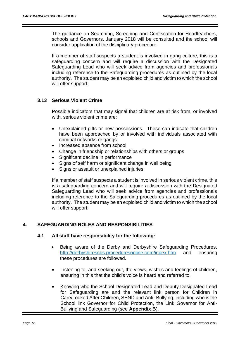The guidance on Searching, Screening and Confiscation for Headteachers, schools and Governors, January 2018 will be consulted and the school will consider application of the disciplinary procedure.

If a member of staff suspects a student is involved in gang culture, this is a safeguarding concern and will require a discussion with the Designated Safeguarding Lead who will seek advice from agencies and professionals including reference to the Safeguarding procedures as outlined by the local authority. The student may be an exploited child and victim to which the school will offer support.

# **3.13 Serious Violent Crime**

Possible indicators that may signal that children are at risk from, or involved with, serious violent crime are:

- Unexplained gifts or new possessions. These can indicate that children have been approached by or involved with individuals associated with criminal networks or gangs
- Increased absence from school
- Change in friendship or relationships with others or groups
- Significant decline in performance
- Signs of self harm or significant change in well being
- Signs or assault or unexplained injuries

If a member of staff suspects a student is involved in serious violent crime, this is a safeguarding concern and will require a discussion with the Designated Safeguarding Lead who will seek advice from agencies and professionals including reference to the Safeguarding procedures as outlined by the local authority. The student may be an exploited child and victim to which the school will offer support.

#### **4. SAFEGUARDING ROLES AND RESPONSIBILITIES**

#### **4.1 All staff have responsibility for the following:**

- Being aware of the Derby and Derbyshire Safeguarding Procedures, <http://derbyshirescbs.proceduresonline.com/index.htm> and ensuring these procedures are followed.
- Listening to, and seeking out, the views, wishes and feelings of children, ensuring in this that the child's voice is heard and referred to.
- Knowing who the School Designated Lead and Deputy Designated Lead for Safeguarding are and the relevant link person for Children in Care/Looked After Children, SEND and Anti- Bullying, including who is the School link Governor for Child Protection, the Link Governor for Anti-Bullying and Safeguarding (see **Appendix B**).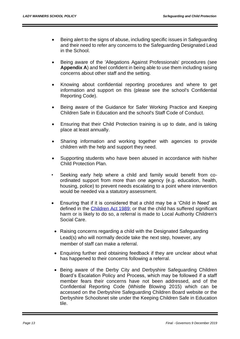- Being alert to the signs of abuse, including specific issues in Safeguarding and their need to refer any concerns to the Safeguarding Designated Lead in the School.
- Being aware of the 'Allegations Against Professionals' procedures (see **Appendix A**) and feel confident in being able to use them including raising concerns about other staff and the setting.
- Knowing about confidential reporting procedures and where to get information and support on this (please see the school's Confidential Reporting Code).
- Being aware of the Guidance for Safer Working Practice and Keeping Children Safe in Education and the school's Staff Code of Conduct.
- Ensuring that their Child Protection training is up to date, and is taking place at least annually.
- Sharing information and working together with agencies to provide children with the help and support they need.
- Supporting students who have been abused in accordance with his/her Child Protection Plan.
- Seeking early help where a child and family would benefit from coordinated support from more than one agency (e.g. education, health, housing, police) to prevent needs escalating to a point where intervention would be needed via a statutory assessment.
- Ensuring that if it is considered that a child may be a 'Child in Need' as defined in the [Children Act 1989;](http://www.legislation.gov.uk/ukpga/1989/41/contents) or that the child has suffered significant harm or is likely to do so, a referral is made to Local Authority Children's Social Care.
	- Raising concerns regarding a child with the Designated Safeguarding Lead(s) who will normally decide take the next step, however, any member of staff can make a referral.
- Enquiring further and obtaining feedback if they are unclear about what has happened to their concerns following a referral.
- Being aware of the Derby City and Derbyshire Safeguarding Children Board's Escalation Policy and Process, which may be followed if a staff member fears their concerns have not been addressed, and of the Confidential Reporting Code (Whistle Blowing 2015) which can be accessed on the Derbyshire Safeguarding Children Board website or the Derbyshire Schoolsnet site under the Keeping Children Safe in Education tile.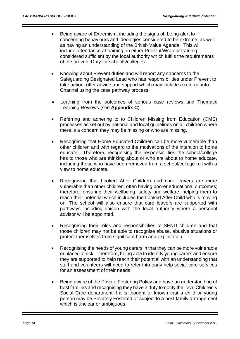- Being aware of Extremism, including the signs of, being alert to concerning behaviours and ideologies considered to be extreme; as well as having an understanding of the British Value Agenda. This will include attendance at training on either Prevent/Wrap or training considered sufficient by the local authority which fulfils the requirements of the prevent Duty for schools/colleges.
- Knowing about Prevent duties and will report any concerns to the Safeguarding Designated Lead who has responsibilities under Prevent to take action, offer advice and support which may include a referral into Channel using the case pathway process.
- Learning from the outcomes of serious case reviews and Thematic Learning Reviews (see **Appendix C**).
- Referring and adhering to to Children Missing from Education (CME) processes as set out by national and local guidelines on all children where there is a concern they may be missing or who are missing.
- Recognising that Home Educated Children can be more vulnerable than other children and with regard to the motivations of the intention to home educate. Therefore, recognising the responsibilities the school/college has to those who are thinking about or who are about to home educate, including those who have been removed from a school/college roll with a view to home educate.
- Recognising that Looked After Children and care leavers are more vulnerable than other children, often having poorer educational outcomes; therefore, ensuring their wellbeing, safety and welfare, helping them to reach their potential which includes the Looked After Child who is moving on. The school will also ensure that care leavers are supported with pathways including liaison with the local authority where a personal advisor will be appointed.
- Recognising their roles and responsibilities to SEND children and that those children may not be able to recognise abuse, abusive situations or protect themselves from significant harm and exploitation.
- Recognising the needs of young carers in that they can be more vulnerable or placed at risk. Therefore, being able to identify young carers and ensure they are supported to help reach their potential with an understanding that staff and volunteers will need to refer into early help social care services for an assessment of their needs.
- Being aware of the Private Fostering Policy and have an understanding of host families and recognising they have a duty to notify the local Children's Social Care department if it is thought or known that a child or young person may be Privately Fostered or subject to a host family arrangement which is unclear or ambiguous.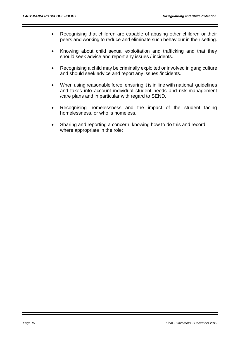- Recognising that children are capable of abusing other children or their peers and working to reduce and eliminate such behaviour in their setting.
- Knowing about child sexual exploitation and trafficking and that they should seek advice and report any issues / incidents.
- Recognising a child may be criminally exploited or involved in gang culture and should seek advice and report any issues /incidents.
- When using reasonable force, ensuring it is in line with national guidelines and takes into account individual student needs and risk management /care plans and in particular with regard to SEND.
- Recognising homelessness and the impact of the student facing homelessness, or who is homeless.
- Sharing and reporting a concern, knowing how to do this and record where appropriate in the role: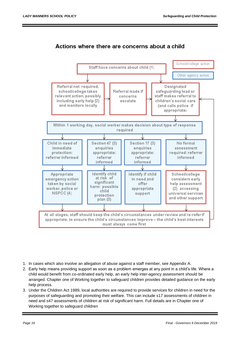# Actions where there are concerns about a child



- 1. In cases which also involve an allegation of abuse against a staff member, see Appendix A.
- 2. Early help means providing support as soon as a problem emerges at any point in a child's life. Where a child would benefit from co-ordinated early help, an early help inter-agency assessment should be arranged. Chapter one of Working together to safeguard children provides detailed guidance on the early help process.
- 3. Under the Children Act 1989, local authorities are required to provide services for children in need for the purposes of safeguarding and promoting their welfare. This can include s17 assessments of children in need and s47 assessments of children at risk of significant harm. Full details are in Chapter one of Working together to safeguard children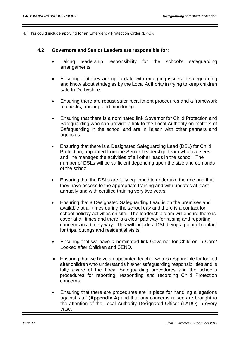4. This could include applying for an Emergency Protection Order (EPO).

#### **4.2 Governors and Senior Leaders are responsible for:**

- Taking leadership responsibility for the school's safeguarding arrangements.
- Ensuring that they are up to date with emerging issues in safeguarding and know about strategies by the Local Authority in trying to keep children safe In Derbyshire.
- Ensuring there are robust safer recruitment procedures and a framework of checks, tracking and monitoring.
- Ensuring that there is a nominated link Governor for Child Protection and Safeguarding who can provide a link to the Local Authority on matters of Safeguarding in the school and are in liaison with other partners and agencies.
- Ensuring that there is a Designated Safeguarding Lead (DSL) for Child Protection, appointed from the Senior Leadership Team who oversees and line manages the activities of all other leads in the school. The number of DSLs will be sufficient depending upon the size and demands of the school.
- Ensuring that the DSLs are fully equipped to undertake the role and that they have access to the appropriate training and with updates at least annually and with certified training very two years.
- Ensuring that a Designated Safeguarding Lead is on the premises and available at all times during the school day and there is a contact for school holiday activities on site. The leadership team will ensure there is cover at all times and there is a clear pathway for raising and reporting concerns in a timely way. This will include a DSL being a point of contact for trips, outings and residential visits.
- Ensuring that we have a nominated link Governor for Children in Care/ Looked after Children and SEND.
- Ensuring that we have an appointed teacher who is responsible for looked after children who understands his/her safeguarding responsibilities and is fully aware of the Local Safeguarding procedures and the school's procedures for reporting, responding and recording Child Protection concerns.
- Ensuring that there are procedures are in place for handling allegations against staff (**Appendix A**) and that any concerns raised are brought to the attention of the Local Authority Designated Officer (LADO) in every case.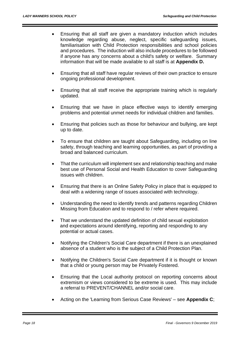- Ensuring that all staff are given a mandatory induction which includes knowledge regarding abuse, neglect, specific safeguarding issues, familiarisation with Child Protection responsibilities and school policies and procedures. The induction will also include procedures to be followed if anyone has any concerns about a child's safety or welfare. Summary information that will be made available to all staff is at **Appendix D.**
- Ensuring that all staff have regular reviews of their own practice to ensure ongoing professional development.
- Ensuring that all staff receive the appropriate training which is regularly updated.
- Ensuring that we have in place effective ways to identify emerging problems and potential unmet needs for individual children and families.
- Ensuring that policies such as those for behaviour and bullying, are kept up to date.
- To ensure that children are taught about Safeguarding, including on line safety, through teaching and learning opportunities, as part of providing a broad and balanced curriculum.
- That the curriculum will implement sex and relationship teaching and make best use of Personal Social and Health Education to cover Safeguarding issues with children.
- Ensuring that there is an Online Safety Policy in place that is equipped to deal with a widening range of issues associated with technology.
- Understanding the need to identify trends and patterns regarding Children Missing from Education and to respond to / refer where required.
- That we understand the updated definition of child sexual exploitation and expectations around identifying, reporting and responding to any potential or actual cases.
- Notifying the Children's Social Care department if there is an unexplained absence of a student who is the subject of a Child Protection Plan.
- Notifying the Children's Social Care department if it is thought or known that a child or young person may be Privately Fostered.
- Ensuring that the Local authority protocol on reporting concerns about extremism or views considered to be extreme is used. This may include a referral to PREVENT/CHANNEL and/or social care.
- Acting on the 'Learning from Serious Case Reviews' see **Appendix C**;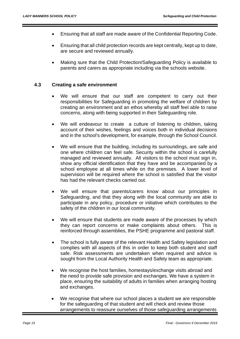- Ensuring that all staff are made aware of the Confidential Reporting Code.
- Ensuring that all child protection records are kept centrally, kept up to date, are secure and reviewed annually.
- Making sure that the Child Protection/Safeguarding Policy is available to parents and carers as appropriate including via the schools website.

#### **4.3 Creating a safe environment**

- We will ensure that our staff are competent to carry out their responsibilities for Safeguarding in promoting the welfare of children by creating an environment and an ethos whereby all staff feel able to raise concerns, along with being supported in their Safeguarding role.
- We will endeavour to create a culture of listening to children, taking account of their wishes, feelings and voices both in individual decisions and in the school's development, for example, through the School Council.
- We will ensure that the building, including its surroundings, are safe and one where children can feel safe. Security within the school is carefully managed and reviewed annually. All visitors to the school must sign in, show any official identification that they have and be accompanied by a school employee at all times while on the premises. A lower level of supervision will be required where the school is satisfied that the visitor has had the relevant checks carried out.
- We will ensure that parents/carers know about our principles in Safeguarding, and that they along with the local community are able to participate in any policy, procedure or initiative which contributes to the safety of the children in our local community.
- We will ensure that students are made aware of the processes by which they can report concerns or make complaints about others. This is reinforced through assemblies, the PSHE programme and pastoral staff.
- The school is fully aware of the relevant Health and Safety legislation and complies with all aspects of this in order to keep both student and staff safe. Risk assessments are undertaken when required and advice is sought from the Local Authority Health and Safety team as appropriate.
- We recognise the host families, homestays/exchange visits abroad and the need to provide safe provision and exchanges. We have a system in place, ensuring the suitability of adults in families when arranging hosting and exchanges.
- We recognise that where our school places a student we are responsible for the safeguarding of that student and will check and review those arrangements to reassure ourselves of those safeguarding arrangements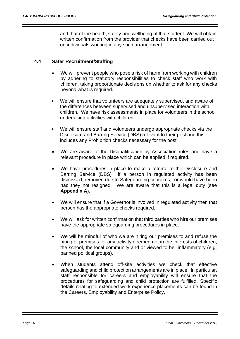and that of the health, safety and wellbeing of that student. We will obtain written confirmation from the provider that checks have been carried out on individuals working in any such arrangement.

#### **4.4 Safer Recruitment/Staffing**

- We will prevent people who pose a risk of harm from working with children by adhering to statutory responsibilities to check staff who work with children, taking proportionate decisions on whether to ask for any checks beyond what is required.
- We will ensure that volunteers are adequately supervised, and aware of the differences between supervised and unsupervised interaction with children. We have risk assessments in place for volunteers in the school undertaking activities with children.
- We will ensure staff and volunteers undergo appropriate checks via the Disclosure and Barring Service (DBS) relevant to their post and this includes any Prohibition checks necessary for the post.
- We are aware of the Disqualification by Association rules and have a relevant procedure in place which can be applied if required.
- We have procedures in place to make a referral to the Disclosure and Barring Service (DBS) if a person in regulated activity has been dismissed, removed due to Safeguarding concerns, or would have been had they not resigned. We are aware that this is a legal duty (see **Appendix A**).
- We will ensure that if a Governor is involved in regulated activity then that person has the appropriate checks required.
- We will ask for written confirmation that third parties who hire our premises have the appropriate safeguarding procedures in place.
- We will be mindful of who we are hiring our premises to and refuse the hiring of premises for any activity deemed not in the interests of children, the school, the local community and or viewed to be inflammatory (e.g. banned political groups).
- When students attend off-site activities we check that effective safeguarding and child protection arrangements are in place. In particular, staff responsible for careers and employability will ensure that the procedures for safeguarding and child protection are fulfilled. Specific details relating to extended work experience placements can be found in the Careers, Employability and Enterprise Policy.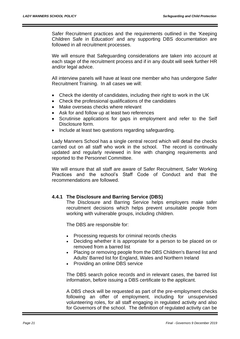Safer Recruitment practices and the requirements outlined in the 'Keeping Children Safe in Education' and any supporting DBS documentation are followed in all recruitment processes.

We will ensure that Safeguarding considerations are taken into account at each stage of the recruitment process and if in any doubt will seek further HR and/or legal advice.

All interview panels will have at least one member who has undergone Safer Recruitment Training. In all cases we will:

- Check the identity of candidates, including their right to work in the UK
- Check the professional qualifications of the candidates
- Make overseas checks where relevant
- Ask for and follow up at least two references
- Scrutinise applications for gaps in employment and refer to the Self Disclosure form.
- Include at least two questions regarding safeguarding.

Lady Manners School has a single central record which will detail the checks carried out on all staff who work in the school. The record is continually updated and regularly reviewed in line with changing requirements and reported to the Personnel Committee.

We will ensure that all staff are aware of Safer Recruitment, Safer Working Practices and the school's Staff Code of Conduct and that the recommendations are followed.

#### **4.4.1 The Disclosure and Barring Service (DBS)**

The Disclosure and Barring Service helps employers make safer recruitment decisions which helps prevent unsuitable people from working with vulnerable groups, including children.

The DBS are responsible for:

- Processing requests for criminal records checks
- Deciding whether it is appropriate for a person to be placed on or removed from a barred list
- Placing or removing people from the DBS Children's Barred list and Adults' Barred list for England, Wales and Northern Ireland
- Providing an online DBS service

The DBS search police records and in relevant cases, the barred list information, before issuing a DBS certificate to the applicant.

A DBS check will be requested as part of the pre-employment checks following an offer of employment, including for unsupervised volunteering roles, for all staff engaging in regulated activity and also for Governors of the school. The definition of regulated activity can be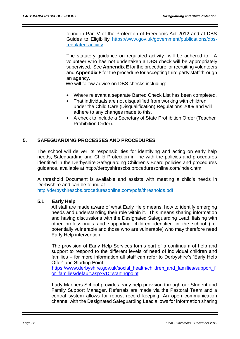found in Part V of the Protection of Freedoms Act 2012 and at DBS Guides to Eligibility [https://www.gov.uk/government/publications/dbs](https://www.gov.uk/government/publications/dbs-regulated-activity)[regulated-activity](https://www.gov.uk/government/publications/dbs-regulated-activity)

The statutory guidance on regulated activity will be adhered to. A volunteer who has not undertaken a DBS check will be appropriately supervised. See **Appendix E** for the procedure for recruiting volunteers and **Appendix F** for the procedure for accepting third party staff through an agency.

We will follow advice on DBS checks including:

- Where relevant a separate Barred Check List has been completed.
- That individuals are not disqualified from working with children under the Child Care (Disqualification) Regulations 2009 and will adhere to any changes made to this.
- A check to include a Secretary of State Prohibition Order (Teacher Prohibition Order).

# **5. SAFEGUARDING PROCESSES AND PROCEDURES**

The school will deliver its responsibilities for identifying and acting on early help needs, Safeguarding and Child Protection in line with the policies and procedures identified in the Derbyshire Safeguarding Children's Board policies and procedures guidance, available at<http://derbyshirescbs.proceduresonline.com/index.htm>

A threshold Document is available and assists with meeting a child's needs in Derbyshire and can be found at

<http://derbyshirescbs.proceduresonline.com/pdfs/thresholds.pdf>

#### **5.1 Early Help**

All staff are made aware of what Early Help means, how to identify emerging needs and understanding their role within it. This means sharing information and having discussions with the Designated Safeguarding Lead, liaising with other professionals and supporting children identified in the school (i.e. potentially vulnerable and those who are vulnerable) who may therefore need Early Help intervention.

The provision of Early Help Services forms part of a continuum of help and support to respond to the different levels of need of individual children and families – for more information all staff can refer to Derbyshire's 'Early Help Offer' and Starting Point

[https://www.derbyshire.gov.uk/social\\_health/children\\_and\\_families/support\\_f](https://www.derbyshire.gov.uk/social_health/children_and_families/support_for_families/default.asp?VD=startingpoint) [or\\_families/default.asp?VD=startingpoint](https://www.derbyshire.gov.uk/social_health/children_and_families/support_for_families/default.asp?VD=startingpoint)

Lady Manners School provides early help provision through our Student and Family Support Manager. Referrals are made via the Pastoral Team and a central system allows for robust record keeping. An open communication channel with the Designated Safeguarding Lead allows for information sharing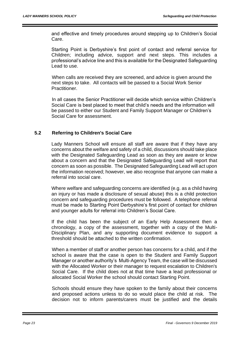and effective and timely procedures around stepping up to Children's Social Care.

Starting Point is Derbyshire's first point of contact and referral service for Children; including advice, support and next steps. This includes a professional's advice line and this is available for the Designated Safeguarding Lead to use.

When calls are received they are screened, and advice is given around the next steps to take. All contacts will be passed to a Social Work Senior Practitioner.

In all cases the Senior Practitioner will decide which service within Children's Social Care is best placed to meet that child's needs and the information will be passed to either our Student and Family Support Manager or Children's Social Care for assessment.

#### **5.2 Referring to Children's Social Care**

Lady Manners School will ensure all staff are aware that if they have any concerns about the welfare and safety of a child, discussions should take place with the Designated Safeguarding Lead as soon as they are aware or know about a concern and that the Designated Safeguarding Lead will report that concern as soon as possible. The Designated Safeguarding Lead will act upon the information received; however, we also recognise that anyone can make a referral into social care.

Where welfare and safeguarding concerns are identified (e.g. as a child having an injury or has made a disclosure of sexual abuse) this is a child protection concern and safeguarding procedures must be followed. A telephone referral must be made to Starting Point Derbyshire's first point of contact for children and younger adults for referral into Children's Social Care.

If the child has been the subject of an Early Help Assessment then a chronology, a copy of the assessment, together with a copy of the Multi-Disciplinary Plan, and any supporting document evidence to support a threshold should be attached to the written confirmation.

When a member of staff or another person has concerns for a child, and if the school is aware that the case is open to the Student and Family Support Manager or another authority's Multi-Agency Team, the case will be discussed with the Allocated Worker or their manager to request escalation to Children's Social Care. If the child does not at that time have a lead professional or allocated Social Worker the school should contact Starting Point.

Schools should ensure they have spoken to the family about their concerns and proposed actions unless to do so would place the child at risk. The decision not to inform parents/carers must be justified and the details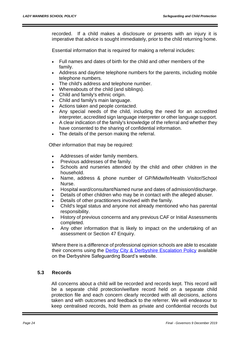recorded. If a child makes a disclosure or presents with an injury it is imperative that advice is sought immediately, prior to the child returning home.

Essential information that is required for making a referral includes:

- Full names and dates of birth for the child and other members of the family.
- Address and daytime telephone numbers for the parents, including mobile telephone numbers.
- The child's address and telephone number.
- Whereabouts of the child (and siblings).
- Child and family's ethnic origin.
- Child and family's main language.
- Actions taken and people contacted.
- Any special needs of the child, including the need for an accredited interpreter, accredited sign language interpreter or other language support.
- A clear indication of the family's knowledge of the referral and whether they have consented to the sharing of confidential information.
- The details of the person making the referral.

Other information that may be required:

- Addresses of wider family members.
- Previous addresses of the family.
- Schools and nurseries attended by the child and other children in the household.
- Name, address & phone number of GP/Midwife/Health Visitor/School Nurse.
- Hospital ward/consultant/Named nurse and dates of admission/discharge.
- Details of other children who may be in contact with the alleged abuser.
- Details of other practitioners involved with the family.
- Child's legal status and anyone not already mentioned who has parental responsibility.
- History of previous concerns and any previous [CAF](http://trixresources.proceduresonline.com/nat_key/keywords/common_assess_frame.html) or [Initial Assessments](http://trixresources.proceduresonline.com/nat_key/keywords/initial_assessment.html) completed.
- Any other information that is likely to impact on the undertaking of an assessment or [Section 47 Enquiry.](http://trixresources.proceduresonline.com/nat_key/keywords/sec_47_enq.html)

Where there is a difference of professional opinion schools are able to escalate their concerns using the [Derby City & Derbyshire Escalation Policy](http://www.proceduresonline.com/derbyshire/scbs/user_controlled_lcms_area/uploaded_files/DSCB-Escalation-Policy.pdf?zoom_highlight=escalation#search="escalation" ) available on the Derbyshire Safeguarding Board's website.

#### **5.3 Records**

All concerns about a child will be recorded and records kept. This record will be a separate child protection/welfare record held on a separate child protection file and each concern clearly recorded with all decisions, actions taken and with outcomes and feedback to the referrer. We will endeavour to keep centralised records, hold them as private and confidential records but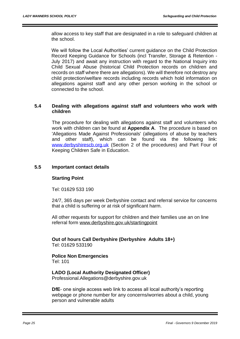allow access to key staff that are designated in a role to safeguard children at the school.

We will follow the Local Authorities' current guidance on the Child Protection Record Keeping Guidance for Schools (incl Transfer, Storage & Retention - July 2017) and await any instruction with regard to the National Inquiry into Child Sexual Abuse (historical Child Protection records on children and records on staff where there are allegations). We will therefore not destroy any child protection/welfare records including records which hold information on allegations against staff and any other person working in the school or connected to the school.

#### **5.4 Dealing with allegations against staff and volunteers who work with children**

The procedure for dealing with allegations against staff and volunteers who work with children can be found at **Appendix A**. The procedure is based on 'Allegations Made Against Professionals' (allegations of abuse by teachers and other staff), which can be found via the following link: [www.derbyshirescb.org.uk](file:///C:/Users/janeorley/AppData/Local/Microsoft/Windows/INetCache/Content.Outlook/AXZ11WBE/www.derbyshirescb.org.uk) (Section 2 of the procedures) and Part Four of Keeping Children Safe in Education.

#### **5.5 Important contact details**

#### **Starting Point**

Tel: 01629 533 190

24/7, 365 days per week Derbyshire contact and referral service for concerns that a child is suffering or at risk of significant harm.

All other requests for support for children and their families use an on line referral form [www.derbyshire.gov.uk/startingpoint](http://www.derbyshire.gov.uk/startingpoint)

**Out of hours Call Derbyshire (Derbyshire Adults 18+)** Tel: 01629 533190

**Police Non Emergencies** Tel: 101

#### **LADO (Local Authority Designated Officer)**

Professional.Allegations@derbyshire.gov.uk

**DfE**- one single access web link to access all local authority's reporting webpage or phone number for any concerns/worries about a child, young person and vulnerable adults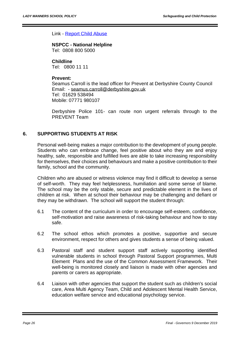#### Link - [Report Child Abuse](https://www.gov.uk/report-child-abuse)

# **NSPCC - National Helpline**

Tel: 0808 800 5000

#### **Childline**

Tel: 0800 11 11

#### **Prevent:**

Seamus Carroll is the lead officer for Prevent at Derbyshire County Council Email: - [seamus.carroll@derbyshire.gov.uk](mailto:seamus.carroll@derbyshire.gov.uk) Tel: 01629 538494 Mobile: 07771 980107

Derbyshire Police 101- can route non urgent referrals through to the PREVENT Team

#### **6. SUPPORTING STUDENTS AT RISK**

Personal well-being makes a major contribution to the development of young people. Students who can embrace change, feel positive about who they are and enjoy healthy, safe, responsible and fulfilled lives are able to take increasing responsibility for themselves, their choices and behaviours and make a positive contribution to their family, school and the community.

Children who are abused or witness violence may find it difficult to develop a sense of self-worth. They may feel helplessness, humiliation and some sense of blame. The school may be the only stable, secure and predictable element in the lives of children at risk. When at school their behaviour may be challenging and defiant or they may be withdrawn. The school will support the student through:

- 6.1 The content of the curriculum in order to encourage self-esteem, confidence, self-motivation and raise awareness of risk-taking behaviour and how to stay safe.
- 6.2 The school ethos which promotes a positive, supportive and secure environment, respect for others and gives students a sense of being valued.
- 6.3 Pastoral staff and student support staff actively supporting identified vulnerable students in school through Pastoral Support programmes, Multi Element Plans and the use of the Common Assessment Framework. Their well-being is monitored closely and liaison is made with other agencies and parents or carers as appropriate.
- 6.4 Liaison with other agencies that support the student such as children's social care, Area Multi Agency Team, Child and Adolescent Mental Health Service, education welfare service and educational psychology service.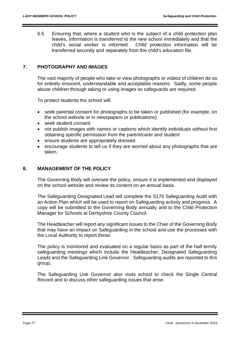6.5 Ensuring that, where a student who is the subject of a child protection plan leaves, information is transferred to the new school immediately and that the child's social worker is informed. Child protection information will be transferred securely and separately from the child's education file.

# **7. PHOTOGRAPHY AND IMAGES**

The vast majority of people who take or view photographs or videos of children do so for entirely innocent, understandable and acceptable reasons. Sadly, some people abuse children through taking or using images so safeguards are required.

To protect students the school will:

- seek parental consent for photographs to be taken or published (for example, on the school website or in newspapers or publications)
- seek student consent
- not publish images with names or captions which identify individuals without first obtaining specific permission from the parent/carer and student
- ensure students are appropriately dressed
- encourage students to tell us if they are worried about any photographs that are taken.

## **8. MANAGEMENT OF THE POLICY**

The Governing Body will oversee the policy, ensure it is implemented and displayed on the school website and review its content on an annual basis.

The Safeguarding Designated Lead will complete the S175 Safeguarding Audit with an Action Plan which will be used to report on Safeguarding activity and progress. A copy will be submitted to the Governing Body annually and to the Child Protection Manager for Schools at Derbyshire County Council.

The Headteacher will report any significant issues to the Chair of the Governing Body that may have an impact on Safeguarding in the school and use the processes with the Local Authority to report these.

The policy is monitored and evaluated on a regular basis as part of the half termly safeguarding meetings which include the Headteacher, Designated Safeguarding Leads and the Safeguarding Link Governor. Safeguarding audits are reported to this group.

The Safeguarding Link Governor also visits school to check the Single Central Record and to discuss other safeguarding issues that arise.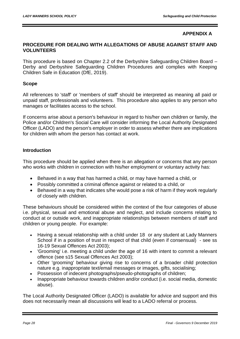# **APPENDIX A**

#### **PROCEDURE FOR DEALING WITH ALLEGATIONS OF ABUSE AGAINST STAFF AND VOLUNTEERS**

This procedure is based on Chapter 2.2 of the Derbyshire Safeguarding Children Board – Derby and Derbyshire Safeguarding Children Procedures and complies with Keeping Children Safe in Education (DfE, 2019).

#### **Scope**

All references to 'staff' or 'members of staff' should be interpreted as meaning all paid or unpaid staff, professionals and volunteers. This procedure also applies to any person who manages or facilitates access to the school.

If concerns arise about a person's behaviour in regard to his/her own children or family, the Police and/or Children's Social Care will consider informing the Local Authority Designated Officer (LADO) and the person's employer in order to assess whether there are implications for children with whom the person has contact at work.

#### **Introduction**

This procedure should be applied when there is an allegation or concerns that any person who works with children in connection with his/her employment or voluntary activity has:

- Behaved in a way that has harmed a child, or may have harmed a child, or
- Possibly committed a criminal offence against or related to a child, or
- Behaved in a way that indicates s/he would pose a risk of harm if they work regularly of closely with children.

These behaviours should be considered within the context of the four categories of abuse i.e. physical, sexual and emotional abuse and neglect, and include concerns relating to conduct at or outside work, and inappropriate relationships between members of staff and children or young people. For example:

- Having a sexual relationship with a child under 18 or any student at Lady Manners School if in a position of trust in respect of that child (even if consensual) - see ss 16-19 Sexual Offences Act 2003);
- 'Grooming' i.e. meeting a child under the age of 16 with intent to commit a relevant offence (see s15 Sexual Offences Act 2003);
- Other 'grooming' behaviour giving rise to concerns of a broader child protection nature e.g. inappropriate text/email messages or images, gifts, socialising;
- Possession of indecent photographs/pseudo-photographs of children;
- Inappropriate behaviour towards children and/or conduct (i.e. social media, domestic abuse).

The Local Authority Designated Officer (LADO) is available for advice and support and this does not necessarily mean all discussions will lead to a LADO referral or process.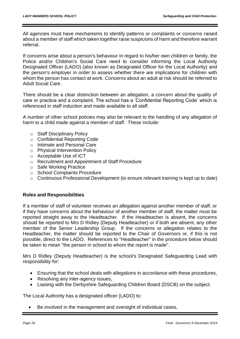All agencies must have mechanisms to identify patterns or complaints or concerns raised about a member of staff which taken together raise suspicions of harm and therefore warrant referral.

If concerns arise about a person's behaviour in regard to his/her own children or family, the Police and/or Children's Social Care need to consider informing the Local Authority Designated Officer (LADO) (also known as Designated Officer for the Local Authority) and the person's employer in order to assess whether there are implications for children with whom the person has contact at work. Concerns about an adult at risk should be referred to Adult Social Care.

There should be a clear distinction between an allegation, a concern about the quality of care or practice and a complaint. The school has a 'Confidential Reporting Code' which is referenced in staff induction and made available to all staff.

A number of other school policies may also be relevant to the handling of any allegation of harm to a child made against a member of staff. These include:

- o Staff Disciplinary Policy
- o Confidential Reporting Code
- o Intimate and Personal Care
- o Physical Intervention Policy
- o Acceptable Use of ICT
- o Recruitment and Appointment of Staff Procedure
- o Safe Working Practice
- o School Complaints Procedure
- o Continuous Professional Development (to ensure relevant training is kept up to date)

#### **Roles and Responsibilities**

If a member of staff of volunteer receives an allegation against another member of staff, or if they have concerns about the behaviour of another member of staff, the matter must be reported straight away to the Headteacher. If the Headteacher is absent, the concerns should be reported to Mrs D Ridley (Deputy Headteacher) or if both are absent, any other member of the Senior Leadership Group. If the concerns or allegation relates to the Headteacher, the matter should be reported to the Chair of Governors or, if this is not possible, direct to the LADO. References to "Headteacher" in the procedure below should be taken to mean "the person in school to whom the report is made".

Mrs D Ridley (Deputy Headteacher) is the school's Designated Safeguarding Lead with responsibility for:

- Ensuring that the school deals with allegations in accordance with these procedures,
- Resolving any inter-agency issues,
- Liaising with the Derbyshire Safeguarding Children Board (DSCB) on the subject.

The Local Authority has a designated officer (LADO) to:

Be involved in the management and oversight of individual cases,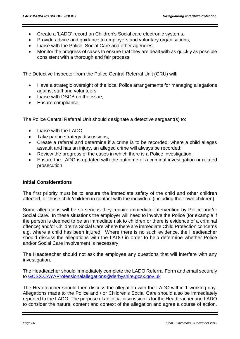- Create a 'LADO' record on Children's Social care electronic systems,
- Provide advice and guidance to employers and voluntary organisations,
- Liaise with the Police, Social Care and other agencies,
- Monitor the progress of cases to ensure that they are dealt with as quickly as possible consistent with a thorough and fair process.

The Detective Inspector from the Police Central Referral Unit (CRU) will:

- Have a strategic oversight of the local Police arrangements for managing allegations against staff and volunteers,
- Liaise with DSCB on the issue,
- Ensure compliance.

The Police Central Referral Unit should designate a detective sergeant(s) to:

- Liaise with the LADO,
- Take part in strategy discussions,
- Create a referral and determine if a crime is to be recorded; where a child alleges assault and has an injury, an alleged crime will always be recorded;
- Review the progress of the cases in which there is a Police investigation,
- Ensure the LADO is updated with the outcome of a criminal investigation or related prosecution.

#### **Initial Considerations**

The first priority must be to ensure the immediate safety of the child and other children affected, or those child/children in contact with the individual (including their own children).

Some allegations will be so serious they require immediate intervention by Police and/or Social Care. In these situations the employer will need to involve the Police (for example if the person is deemed to be an immediate risk to children or there is evidence of a criminal offence) and/or Children's Social Care where there are immediate Child Protection concerns e.g. where a child has been injured. Where there is no such evidence, the Headteacher should discuss the allegations with the LADO in order to help determine whether Police and/or Social Care involvement is necessary.

The Headteacher should not ask the employee any questions that will interfere with any investigation.

The Headteacher should immediately complete the LADO Referral Form and email securely to [GCSX.CAYAProfessionalallegations@derbyshire.gcsx.gov.uk](mailto:GCSX.CAYAProfessionalallegations@derbyshire.gcsx.gov.uk)

The Headteacher should then discuss the allegation with the LADO within 1 working day. Allegations made to the Police and / or Children's Social Care should also be immediately reported to the LADO. The purpose of an initial discussion is for the Headteacher and LADO to consider the nature, content and context of the allegation and agree a course of action.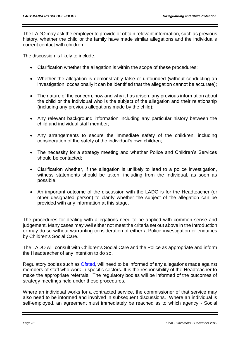The LADO may ask the employer to provide or obtain relevant information, such as previous history, whether the child or the family have made similar allegations and the individual's current contact with children.

The discussion is likely to include:

- Clarification whether the allegation is within the scope of these procedures;
- Whether the allegation is demonstrably false or unfounded (without conducting an investigation, occasionally it can be identified that the allegation cannot be accurate);
- The nature of the concern, how and why it has arisen, any previous information about the child or the individual who is the subject of the allegation and their relationship (including any previous allegations made by the child);
- Any relevant background information including any particular history between the child and individual staff member;
- Any arrangements to secure the immediate safety of the child/ren, including consideration of the safety of the individual's own children;
- The necessity for a strategy meeting and whether Police and Children's Services should be contacted;
- Clarification whether, if the allegation is unlikely to lead to a police investigation, witness statements should be taken, including from the individual, as soon as possible.
- An important outcome of the discussion with the LADO is for the Headteacher (or other designated person) to clarify whether the subject of the allegation can be provided with any information at this stage.

The procedures for dealing with allegations need to be applied with common sense and judgement. Many cases may well either not meet the criteria set out above i[n the Introduction](http://derbyshirescbs.proceduresonline.com/chapters/p_alleg_staff_carer_volunteer.html#introduction) or may do so without warranting consideration of either a Police investigation or enquiries by Children's Social Care.

The LADO will consult with Children's Social Care and the Police as appropriate and inform the Headteacher of any intention to do so.

Regulatory bodies such as **Ofsted**, will need to be informed of any allegations made against members of staff who work in specific sectors. It is the responsibility of the Headteacher to make the appropriate referrals. The regulatory bodies will be informed of the outcomes of strategy meetings held under these procedures.

Where an individual works for a contracted service, the commissioner of that service may also need to be informed and involved in subsequent discussions. Where an individual is self-employed, an agreement must immediately be reached as to which agency - Social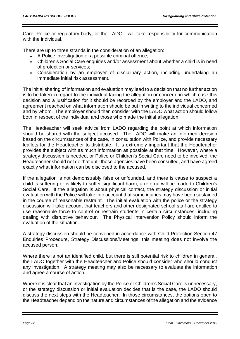Care, Police or regulatory body, or the LADO - will take responsibility for communication with the individual.

There are up to three strands in the consideration of an allegation:

- A Police investigation of a possible criminal offence;
- Children's Social Care enquiries and/or assessment about whether a child is in need of protection or services;
- Consideration by an employer of disciplinary action, including undertaking an immediate initial risk assessment.

The initial sharing of information and evaluation may lead to a decision that no further action is to be taken in regard to the individual facing the allegation or concern; in which case this decision and a justification for it should be recorded by the employer and the LADO, and agreement reached on what information should be put in writing to the individual concerned and by whom. The employer should then consider with the LADO what action should follow both in respect of the individual and those who made the initial allegation.

The Headteacher will seek advice from LADO regarding the point at which information should be shared with the subject accused. The LADO will make an informed decision based on the circumstances of the case, in consultation with Police, and provide necessary leaflets for the Headteacher to distribute. It is extremely important that the Headteacher provides the subject with as much information as possible at that time. However, where a strategy discussion is needed, or Police or Children's Social Care need to be involved, the Headteacher should not do that until those agencies have been consulted, and have agreed exactly what information can be disclosed to the accused.

If the allegation is not demonstrably false or unfounded, and there is cause to suspect a child is suffering or is likely to suffer [significant harm,](http://trixresources.proceduresonline.com/nat_key/keywords/significant_harm.html) a referral will be made to Children's Social Care. If the allegation is about physical contact, the strategy discussion or initial evaluation with the Police will take into account that some injuries may have been sustained in the course of reasonable restraint.The initial evaluation with the police or the strategy discussion will take account that teachers and other designated school staff are entitled to use reasonable force to control or restrain students in certain circumstances, including dealing with disruptive behaviour. The Physical Intervention Policy should inform the evaluation of the situation.

A strategy discussion should be convened in accordance with [Child Protection Section 47](http://derbyshirescbs.proceduresonline.com/chapters/p_cp_s47_enq.html#strategy)  [Enquiries Procedure, Strategy Discussions/Meetings;](http://derbyshirescbs.proceduresonline.com/chapters/p_cp_s47_enq.html#strategy) this meeting does not involve the accused person.

Where there is not an identified child, but there is still potential risk to children in general, the LADO together with the Headteacher and Police should consider who should conduct any investigation. A strategy meeting may also be necessary to evaluate the information and agree a course of action.

Where it is clear that an investigation by the Police or Children's Social Care is unnecessary, or the strategy discussion or initial evaluation decides that is the case, the LADO should discuss the next steps with the Headteacher. In those circumstances, the options open to the Headteacher depend on the nature and circumstances of the allegation and the evidence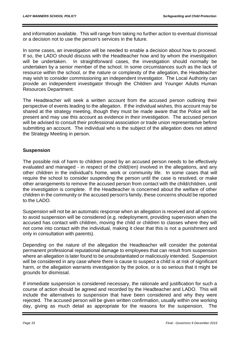and information available. This will range from taking no further action to eventual dismissal or a decision not to use the person's services in the future.

In some cases, an investigation will be needed to enable a decision about how to proceed. If so, the LADO should discuss with the Headteacher how and by whom the investigation will be undertaken. In straightforward cases, the investigation should normally be undertaken by a senior member of the school. In some circumstances such as the lack of resource within the school, or the nature or complexity of the allegation, the Headteacher may wish to consider commissioning an independent investigator. The Local Authority can provide an independent investigator through the Children and Younger Adults Human Resources Department.

The Headteacher will seek a written account from the accused person outlining their perspective of events leading to the allegation. If the individual wishes, this account may be shared at the strategy meeting, though they must be made aware that the Police will be present and may use this account as evidence in their investigation. The accused person will be advised to consult their professional association or trade union representative before submitting an account. The individual who is the subject of the allegation does not attend the Strategy Meeting in person.

# **Suspension**

The possible risk of harm to children posed by an accused person needs to be effectively evaluated and managed - in respect of the child(ren) involved in the allegations, and any other children in the individual's home, work or community life. In some cases that will require the school to consider suspending the person until the case is resolved, or make other arrangements to remove the accused person from contact with the child/children, until the investigation is complete. If the Headteacher is concerned about the welfare of other children in the community or the accused person's family, these concerns should be reported to the LADO.

Suspension will not be an automatic response when an allegation is received and all options to avoid suspension will be considered (e.g. redeployment, providing supervision when the accused has contact with children, moving the child or children to classes where they will not come into contact with the individual, making it clear that this is not a punishment and only in consultation with parents).

Depending on the nature of the allegation the Headteacher will consider the potential permanent professional reputational damage to employees that can result from suspension where an allegation is later found to be unsubstantiated or maliciously intended. Suspension will be considered in any case where there is cause to suspect a child is at risk of significant harm, or the allegation warrants investigation by the police, or is so serious that it might be grounds for dismissal.

If immediate suspension is considered necessary, the rationale and justification for such a course of action should be agreed and recorded by the Headteacher and LADO. This will include the alternatives to suspension that have been considered and why they were rejected. The accused person will be given written confirmation, usually within one working day, giving as much detail as appropriate for the reasons for the suspension. The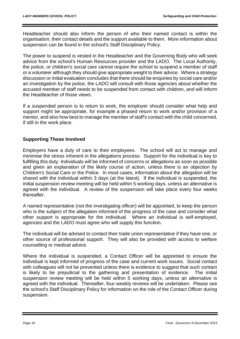Headteacher should also inform the person of who their named contact is within the organisation, their contact details and the support available to them. More information about suspension can be found in the school's Staff Disciplinary Policy.

The power to suspend is vested in the Headteacher and the Governing Body who will seek advice from the school's Human Resources provider and the LADO. The Local Authority, the police, or children's social care cannot require the school to suspend a member of staff or a volunteer although they should give appropriate weight to their advice. Where a strategy discussion or initial evaluation concludes that there should be enquiries by social care and/or an investigation by the police, the LADO will consult with those agencies about whether the accused member of staff needs to be suspended from contact with children, and will inform the Headteacher of those views.

If a suspended person is to return to work, the employer should consider what help and support might be appropriate, for example a phased return to work and/or provision of a mentor, and also how best to manage the member of staff's contact with the child concerned, if still in the work place.

# **Supporting Those Involved**

Employers have a duty of care to their employees. The school will act to manage and minimise the stress inherent in the allegations process. Support for the individual is key to fulfilling this duty. Individuals will be informed of concerns or allegations as soon as possible and given an explanation of the likely course of action, unless there is an objection by Children's Social Care or the Police. In most cases, information about the allegation will be shared with the individual within 3 days (at the latest). If the individual is suspended, the initial suspension review meeting will be held within 5 working days, unless an alternative is agreed with the individual. A review of the suspension will take place every four weeks thereafter.

A named representative (not the investigating officer) will be appointed, to keep the person who is the subject of the allegation informed of the progress of the case and consider what other support is appropriate for the individual. Where an individual is self-employed, agencies and the LADO must agree who will supply this function.

The individual will be advised to contact their trade union representative if they have one, or other source of professional support. They will also be provided with access to welfare counselling or medical advice.

Where the individual is suspended, a Contact Officer will be appointed to ensure the individual is kept informed of progress of the case and current work issues. Social contact with colleagues will not be prevented unless there is evidence to suggest that such contact is likely to be prejudicial to the gathering and presentation of evidence. The initial suspension review meeting will be held within 5 working days, unless an alternative is agreed with the individual. Thereafter, four-weekly reviews will be undertaken. Please see the school's Staff Disciplinary Policy for information on the role of the Contact Officer during suspension.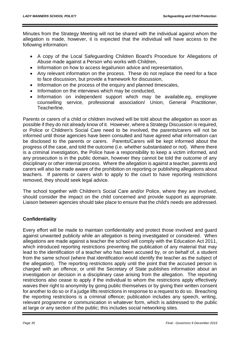Minutes from the Strategy Meeting will not be shared with the individual against whom the allegation is made, however, it is expected that the individual will have access to the following information:

- A copy of the Local Safeguarding Children Board's Procedure for Allegations of Abuse made against a Person who works with Children,
- Information on how to access legal/union advice and representation,
- Any relevant information on the process. These do not replace the need for a face to face discussion, but provide a framework for discussion,
- Information on the process of the enquiry and planned timescales,
- Information on the interviews which may be conducted,
- Information on independent support which may be available.eg, employee counselling service, professional association/ Union, General Practitioner, Teacherline.

Parents or carers of a child or children involved will be told about the allegation as soon as possible if they do not already know of it. However, where [a Strategy Discussion](http://trixresources.proceduresonline.com/nat_key/keywords/strategy_discussion.html) is required, or Police or Children's Social Care need to be involved, the parents/carers will not be informed until those agencies have been consulted and have agreed what information can be disclosed to the parents or carers. Parents/Carers will be kept informed about the progress of the case, and told the outcome (i.e. whether substantiated or not). Where there is a criminal investigation, the Police have a responsibility to keep a victim informed, and any prosecution is in the public domain, however they cannot be told the outcome of any disciplinary or other internal process. Where the allegation is against a teacher, parents and carers will also be made aware of the prohibition on reporting or publishing allegations about teachers. If parents or carers wish to apply to the court to have reporting restrictions removed, they should seek legal advice.

The school together with Children's Social Care and/or Police, where they are involved, should consider the impact on the child concerned and provide support as appropriate. Liaison between agencies should take place to ensure that the child's needs are addressed.

#### **Confidentiality**

Every effort will be made to maintain confidentiality and protect those involved and guard against unwanted publicity while an allegation is being investigated or considered. When allegations are made against a teacher the school will comply with the Education Act 2011, which introduced reporting restrictions preventing the publication of any material that may lead to the identification of a teacher who has been accused by, or on behalf of, a student from the same school (where that identification would identify the teacher as the subject of the allegation). The reporting restrictions apply until the point that the accused person is charged with an offence, or until the Secretary of State publishes information about an investigation or decision in a disciplinary case arising from the allegation. The reporting restrictions also cease to apply if the individual to whom the restrictions apply effectively waives their right to anonymity by going public themselves or by giving their written consent for another to do so or if a judge lifts restrictions in response to a request to do so. Breaching the reporting restrictions is a criminal offence; publication includes any speech, writing, relevant programme or communication in whatever form, which is addressed to the public at large or any section of the public; this includes social networking sites.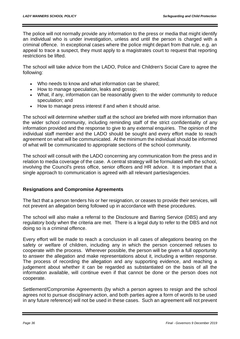The police will not normally provide any information to the press or media that might identify an individual who is under investigation, unless and until the person is charged with a criminal offence. In exceptional cases where the police might depart from that rule, e.g. an appeal to trace a suspect, they must apply to a magistrates court to request that reporting restrictions be lifted.

The school will take advice from the LADO, Police and Children's Social Care to agree the following:

- Who needs to know and what information can be shared:
- How to manage speculation, leaks and gossip;
- What, if any, information can be reasonably given to the wider community to reduce speculation; and
- How to manage press interest if and when it should arise.

The school will determine whether staff at the school are briefed with more information than the wider school community, including reminding staff of the strict confidentiality of any information provided and the response to give to any external enquiries. The opinion of the individual staff member and the LADO should be sought and every effort made to reach agreement on what will be communicated. At the minimum the individual should be informed of what will be communicated to appropriate sections of the school community.

The school will consult with the LADO concerning any communication from the press and in relation to media coverage of the case. A central strategy will be formulated with the school, involving the Council's press office, senior officers and HR advice. It is important that a single approach to communication is agreed with all relevant parties/agencies.

# **Resignations and Compromise Agreements**

The fact that a person tenders his or her resignation, or ceases to provide their services, will not prevent an allegation being followed up in accordance with these procedures.

The school will also make a referral to the Disclosure and Barring Service (DBS) and any regulatory body when the criteria are met. There is a legal duty to refer to the DBS and not doing so is a criminal offence.

Every effort will be made to reach a conclusion in all cases of allegations bearing on the safety or welfare of children, including any in which the person concerned refuses to cooperate with the process. Wherever possible, the person will be given a full opportunity to answer the allegation and make representations about it, including a written response. The process of recording the allegation and any supporting evidence, and reaching a judgement about whether it can be regarded as substantiated on the basis of all the information available, will continue even if that cannot be done or the person does not cooperate.

Settlement/Compromise Agreements (by which a person agrees to resign and the school agrees not to pursue disciplinary action, and both parties agree a form of words to be used in any future reference) will not be used in these cases. Such an agreement will not prevent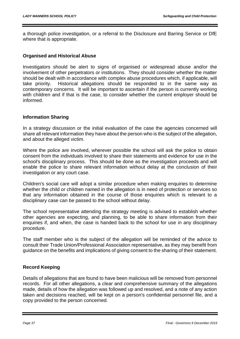a thorough police investigation, or a referral to the Disclosure and Barring Service or DfE where that is appropriate.

### **Organised and Historical Abuse**

Investigators should be alert to signs of organised or widespread abuse and/or the involvement of other perpetrators or institutions. They should consider whether the matter should be dealt with in accordance with complex abuse procedures which, if applicable, will take priority. Historical allegations should be responded to in the same way as contemporary concerns. It will be important to ascertain if the person is currently working with children and if that is the case, to consider whether the current employer should be informed.

### **Information Sharing**

In a strategy discussion or the initial evaluation of the case the agencies concerned will share all relevant information they have about the person who is the subject of the allegation, and about the alleged victim.

Where the police are involved, wherever possible the school will ask the police to obtain consent from the individuals involved to share their statements and evidence for use in the school's disciplinary process. This should be done as the investigation proceeds and will enable the police to share relevant information without delay at the conclusion of their investigation or any court case.

Children's social care will adopt a similar procedure when making enquiries to determine whether the child or children named in the allegation is in need of protection or services so that any information obtained in the course of those enquiries which is relevant to a disciplinary case can be passed to the school without delay.

The school representative attending the strategy meeting is advised to establish whether other agencies are expecting, and planning, to be able to share information from their enquiries if, and when, the case is handed back to the school for use in any disciplinary procedure.

The staff member who is the subject of the allegation will be reminded of the advice to consult their Trade Union/Professional Association representative, as they may benefit from guidance on the benefits and implications of giving consent to the sharing of their statement.

# **Record Keeping**

Details of allegations that are found to have been malicious will be removed from personnel records. For all other allegations, a clear and comprehensive summary of the allegations made, details of how the allegation was followed up and resolved, and a note of any action taken and decisions reached, will be kept on a person's confidential personnel file, and a copy provided to the person concerned.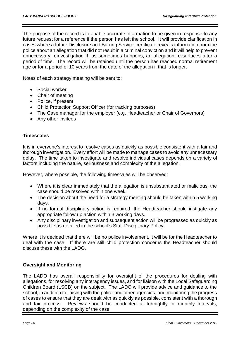The purpose of the record is to enable accurate information to be given in response to any future request for a reference if the person has left the school. It will provide clarification in cases where a future Disclosure and Barring Service certificate reveals information from the police about an allegation that did not result in a criminal conviction and it will help to prevent unnecessary reinvestigation if, as sometimes happens, an allegation re-surfaces after a period of time. The record will be retained until the person has reached normal retirement age or for a period of 10 years from the date of the allegation if that is longer.

Notes of each strategy meeting will be sent to:

- Social worker
- Chair of meeting
- Police, if present
- Child Protection Support Officer (for tracking purposes)
- The Case manager for the employer (e.g. Headteacher or Chair of Governors)
- Any other invitees

### **Timescales**

It is in everyone's interest to resolve cases as quickly as possible consistent with a fair and thorough investigation. Every effort will be made to manage cases to avoid any unnecessary delay. The time taken to investigate and resolve individual cases depends on a variety of factors including the nature, seriousness and complexity of the allegation.

However, where possible, the following timescales will be observed:

- Where it is clear immediately that the allegation is unsubstantiated or malicious, the case should be resolved within one week.
- The decision about the need for a strategy meeting should be taken within 5 working days.
- If no formal disciplinary action is required, the Headteacher should instigate any appropriate follow up action within 3 working days.
- Any disciplinary investigation and subsequent action will be progressed as quickly as possible as detailed in the school's Staff Disciplinary Policy.

Where it is decided that there will be no police involvement, it will be for the Headteacher to deal with the case. If there are still child protection concerns the Headteacher should discuss these with the LADO.

# **Oversight and Monitoring**

The LADO has overall responsibility for oversight of the procedures for dealing with allegations, for resolving any interagency issues, and for liaison with the Local Safeguarding Children Board (LSCB) on the subject. The LADO will provide advice and guidance to the school, in addition to liaising with the police and other agencies, and monitoring the progress of cases to ensure that they are dealt with as quickly as possible, consistent with a thorough and fair process. Reviews should be conducted at fortnightly or monthly intervals, depending on the complexity of the case.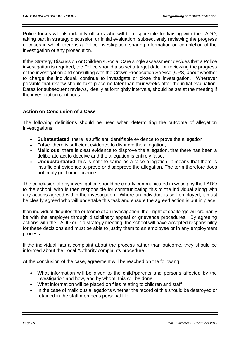Police forces will also identify officers who will be responsible for liaising with the LADO, taking part in strategy discussion or initial evaluation, subsequently reviewing the progress of cases in which there is a Police investigation, sharing information on completion of the investigation or any prosecution.

If the Strategy Discussion or Children's Social Care single assessment decides that a Police investigation is required, the Police should also set a target date for reviewing the progress of the investigation and consulting with the Crown Prosecution Service (CPS) about whether to charge the individual, continue to investigate or close the investigation. Wherever possible that review should take place no later than four weeks after the initial evaluation. Dates for subsequent reviews, ideally at fortnightly intervals, should be set at the meeting if the investigation continues.

# **Action on Conclusion of a Case**

The following definitions should be used when determining the outcome of allegation investigations:

- **Substantiated**: there is sufficient identifiable evidence to prove the allegation;
- **False**: there is sufficient evidence to disprove the allegation;
- **Malicious**: there is clear evidence to disprove the allegation, that there has been a deliberate act to deceive and the allegation is entirely false;
- **Unsubstantiated**: this is not the same as a false allegation. It means that there is insufficient evidence to prove or disapprove the allegation. The term therefore does not imply guilt or innocence.

The conclusion of any investigation should be clearly communicated in writing by the LADO to the school, who is then responsible for communicating this to the individual along with any actions agreed within the investigation. Where an individual is self-employed, it must be clearly agreed who will undertake this task and ensure the agreed action is put in place.

If an individual disputes the outcome of an investigation, their right of challenge will ordinarily be with the employer through disciplinary appeal or grievance procedures. By agreeing actions with the LADO or in a strategy meeting, the school will have accepted responsibility for these decisions and must be able to justify them to an employee or in any employment process.

If the individual has a complaint about the process rather than outcome, they should be informed about the Local Authority complaints procedure.

At the conclusion of the case, agreement will be reached on the following:

- What information will be given to the child'/parents and persons affected by the investigation and how, and by whom, this will be done,
- What information will be placed on files relating to children and staff
- In the case of malicious allegations whether the record of this should be destroved or retained in the staff member's personal file.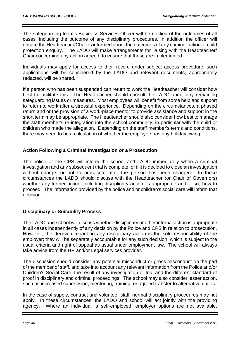The safeguarding team's Business Services Officer will be notified of the outcomes of all cases, including the outcome of any disciplinary procedures. In addition the officer will ensure the Headteacher/Chair is informed about the outcomes of any criminal action or child protection enquiry. The LADO will make arrangements for liaising with the Headteacher/ Chair concerning any action agreed, to ensure that these are implemented.

Individuals may apply for access to their record under subject access procedure; such applications will be considered by the LADO and relevant documents, appropriately redacted, will be shared.

If a person who has been suspended can return to work the Headteacher will consider how best to facilitate this. The Headteacher should consult the LADO about any remaining safeguarding issues or measures. Most employees will benefit from some help and support to return to work after a stressful experience. Depending on the circumstances, a phased return and or the provision of a work-place mentor to provide assistance and support in the short term may be appropriate. The Headteacher should also consider how best to manage the staff member's re-integration into the school community, in particular with the child or children who made the allegation. Depending on the staff member's terms and conditions, there may need to be a calculation of whether the employee has any holiday owing.

# **Action Following a Criminal Investigation or a Prosecution**

The police or the CPS will inform the school and LADO immediately when a criminal investigation and any subsequent trial is complete, or if it is decided to close an investigation without charge, or not to prosecute after the person has been charged. In those circumstances the LADO should discuss with the Headteacher (or Chair of Governors) whether any further action, including disciplinary action, is appropriate and, if so, how to proceed. The information provided by the police and or children's social care will inform that decision.

# **Disciplinary or Suitability Process**

The LADO and school will discuss whether disciplinary or other internal action is appropriate in all cases independently of any decision by the Police and CPS in relation to prosecution. However, the decision regarding any disciplinary action is the sole responsibility of the employer; they will be separately accountable for any such decision, which is subject to the usual criteria and right of appeal as usual under employment law. The school will always take advice from the HR and/or Legal services provider.

The discussion should consider any potential misconduct or gross misconduct on the part of the member of staff, and take into account any relevant information from the Police and/or Children's Social Care, the result of any investigation or trial and the different standard of proof in disciplinary and criminal proceedings. The school may also consider lesser action, such as increased supervision, mentoring, training, or agreed transfer to alternative duties.

In the case of supply, contract and volunteer staff, normal disciplinary procedures may not apply. In these circumstances, the LADO and school will act jointly with the providing agency. Where an individual is self-employed, employer options are not available.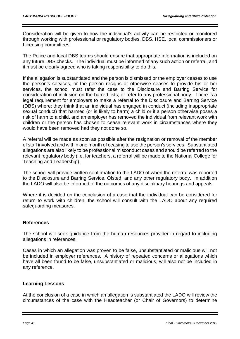Consideration will be given to how the individual's activity can be restricted or monitored through working with professional or regulatory bodies, DBS, HSE, local commissioners or Licensing committees.

The Police and local DBS teams should ensure that appropriate information is included on any future DBS checks. The individual must be informed of any such action or referral, and it must be clearly agreed who is taking responsibility to do this.

If the allegation is substantiated and the person is dismissed or the employer ceases to use the person's services, or the person resigns or otherwise ceases to provide his or her services, the school must refer the case to the [Disclosure and Barring Service](http://trixresources.proceduresonline.com/nat_key/keywords/dis_barring_service.html) for consideration of inclusion on the barred lists; or refer to any professional body. There is a legal requirement for employers to make a referral to the Disclosure and Barring Service (DBS) where: they think that an individual has engaged in conduct (including inappropriate sexual conduct) that harmed (or is likely to harm) a child or if a person otherwise poses a risk of harm to a child, and an employer has removed the individual from relevant work with children or the person has chosen to cease relevant work in circumstances where they would have been removed had they not done so.

A referral will be made as soon as possible after the resignation or removal of the member of staff involved and within one month of ceasing to use the person's services. Substantiated allegations are also likely to be professional misconduct cases and should be referred to the relevant regulatory body (i.e. for teachers, a referral will be made to the National College for Teaching and Leadership).

The school will provide written confirmation to the LADO of when the referral was reported to the Disclosure and Barring Service, Ofsted, and any other regulatory body. In addition the LADO will also be informed of the outcomes of any disciplinary hearings and appeals.

Where it is decided on the conclusion of a case that the individual can be considered for return to work with children, the school will consult with the LADO about any required safeguarding measures.

# **References**

The school will seek guidance from the human resources provider in regard to including allegations in references.

Cases in which an allegation was proven to be false, unsubstantiated or malicious will not be included in employer references. A history of repeated concerns or allegations which have all been found to be false, unsubstantiated or malicious, will also not be included in any reference.

# **Learning Lessons**

At the conclusion of a case in which an allegation is substantiated the LADO will review the circumstances of the case with the Headteacher (or Chair of Governors) to determine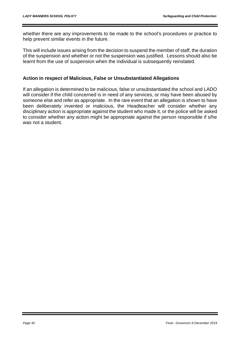whether there are any improvements to be made to the school's procedures or practice to help prevent similar events in the future.

This will include issues arising from the decision to suspend the member of staff, the duration of the suspension and whether or not the suspension was justified. Lessons should also be learnt from the use of suspension when the individual is subsequently reinstated.

# **Action in respect of Malicious, False or Unsubstantiated Allegations**

If an allegation is determined to be malicious, false or unsubstantiated the school and LADO will consider if the child concerned is in need of any services, or may have been abused by someone else and refer as appropriate. In the rare event that an allegation is shown to have been deliberately invented or malicious, the Headteacher will consider whether any disciplinary action is appropriate against the student who made it, or the police will be asked to consider whether any action might be appropriate against the person responsible if s/he was not a student.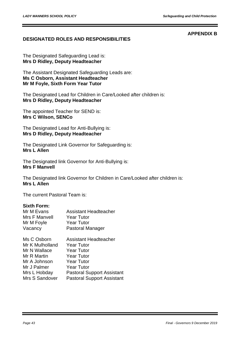### **APPENDIX B**

# **DESIGNATED ROLES AND RESPONSIBILITIES**

The Designated Safeguarding Lead is: **Mrs D Ridley, Deputy Headteacher**

The Assistant Designated Safeguarding Leads are: **Ms C Osborn, Assistant Headteacher Mr M Foyle, Sixth Form Year Tutor**

The Designated Lead for Children in Care/Looked after children is: **Mrs D Ridley, Deputy Headteacher**

The appointed Teacher for SEND is: **Mrs C Wilson, SENCo**

The Designated Lead for Anti-Bullying is: **Mrs D Ridley, Deputy Headteacher**

The Designated Link Governor for Safeguarding is: **Mrs L Allen**

The Designated link Governor for Anti-Bullying is: **Mrs F Manvell**

The Designated link Governor for Children in Care/Looked after children is: **Mrs L Allen**

The current Pastoral Team is:

### **Sixth Form:**

| Mr M Evans      | <b>Assistant Headteacher</b>      |
|-----------------|-----------------------------------|
| Mrs F Manvell   | <b>Year Tutor</b>                 |
| Mr M Foyle      | <b>Year Tutor</b>                 |
| Vacancy         | Pastoral Manager                  |
| Ms C Osborn     | <b>Assistant Headteacher</b>      |
| Mr K Mulholland | <b>Year Tutor</b>                 |
| Mr N Wallace    | <b>Year Tutor</b>                 |
| Mr R Martin     | <b>Year Tutor</b>                 |
| Mr A Johnson    | <b>Year Tutor</b>                 |
| Mr J Palmer     | <b>Year Tutor</b>                 |
| Mrs L Hobday    | <b>Pastoral Support Assistant</b> |
| Mrs S Sandover  | <b>Pastoral Support Assistant</b> |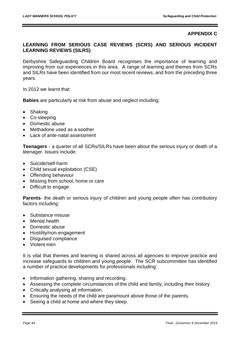### **APPENDIX C**

# **LEARNING FROM SERIOUS CASE REVIEWS (SCRS) AND SERIOUS INCIDENT LEARNING REVIEWS (SILRS)**

Derbyshire Safeguarding Children Board recognises the importance of learning and improving from our experiences in this area. A range of learning and themes from SCRs and SILRs have been identified from our most recent reviews, and from the preceding three years.

In 2012 we learnt that:

**Babies** are particularly at risk from abuse and neglect including:

- Shaking
- Co-sleeping
- Domestic abuse
- Methadone used as a soother
- Lack of ante-natal assessment

**Teenagers** - a quarter of all SCRs/SILRs have been about the serious injury or death of a teenager. Issues include:

- Suicide/self-harm
- Child sexual exploitation (CSE)
- Offending behaviour
- Missing from school, home or care
- Difficult to engage

**Parents**- the death or serious injury of children and young people often has contributory factors including:

- Substance misuse
- Mental health
- Domestic abuse
- Hostility/non-engagement
- Disguised compliance
- Violent men

It is vital that themes and learning is shared across all agencies to improve practice and increase safeguards to children and young people. The SCR subcommittee has identified a number of practice developments for professionals including:

- Information gathering, sharing and recording.
- Assessing the complete circumstances of the child and family, including their history.
- Critically analysing all information.
- Ensuring the needs of the child are paramount above those of the parents.
- Seeing a child at home and where they sleep.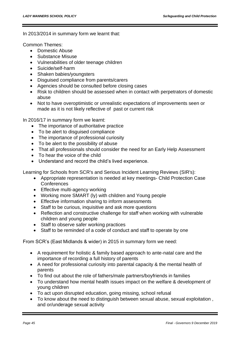#### In 2013/2014 in summary form we learnt that:

Common Themes:

- Domestic Abuse
- Substance Misuse
- Vulnerabilities of older teenage children
- Suicide/self-harm
- Shaken babies/youngsters
- Disguised compliance from parents/carers
- Agencies should be consulted before closing cases
- Risk to children should be assessed when in contact with perpetrators of domestic abuse
- Not to have overoptimistic or unrealistic expectations of improvements seen or made as it is not likely reflective of past or current risk

In 2016/17 in summary form we learnt:

- The importance of authoritative practice
- To be alert to disguised compliance
- The importance of professional curiosity
- To be alert to the possibility of abuse
- That all professionals should consider the need for an Early Help Assessment
- To hear the voice of the child
- Understand and record the child's lived experience.

Learning for Schools from SCR's and Serious Incident Learning Reviews (SIR's):

- Appropriate representation is needed at key meetings- Child Protection Case **Conferences**
- Effective multi-agency working
- Working more SMART (ly) with children and Young people
- Effective information sharing to inform assessments
- Staff to be curious, inquisitive and ask more questions
- Reflection and constructive challenge for staff when working with vulnerable children and young people
- Staff to observe safer working practices
- Staff to be reminded of a code of conduct and staff to operate by one

From SCR's (East Midlands & wider) in 2015 in summary form we need:

- A requirement for holistic & family based approach to ante-natal care and the importance of recording a full history of parents
- A need for professional curiosity into parental capacity & the mental health of parents
- To find out about the role of fathers/male partners/boyfriends in families
- To understand how mental health issues impact on the welfare & development of young children
- To act upon disrupted education, going missing, school refusal
- To know about the need to distinguish between sexual abuse, sexual exploitation , and or/underage sexual activity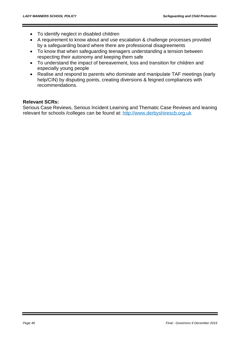- To identify neglect in disabled children
- A requirement to know about and use escalation & challenge processes provided by a safeguarding board where there are professional disagreements
- To know that when safeguarding teenagers understanding a tension between respecting their autonomy and keeping them safe
- To understand the impact of bereavement, loss and transition for children and especially young people
- Realise and respond to parents who dominate and manipulate TAF meetings (early help/CIN) by disputing points, creating diversions & feigned compliances with recommendations.

### **Relevant SCRs:**

Serious Case Reviews, Serious Incident Learning and Thematic Case Reviews and leaning relevant for schools /colleges can be found at: [http://www.derbyshirescb.org.uk](http://www.derbyshirescb.org.uk/)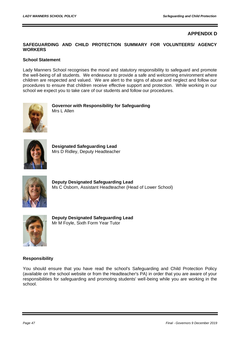### **APPENDIX D**

### **SAFEGUARDING AND CHILD PROTECTION SUMMARY FOR VOLUNTEERS/ AGENCY WORKERS**

#### **School Statement**

Lady Manners School recognises the moral and statutory responsibility to safeguard and promote the well-being of all students. We endeavour to provide a safe and welcoming environment where children are respected and valued. We are alert to the signs of abuse and neglect and follow our procedures to ensure that children receive effective support and protection. While working in our school we expect you to take care of our students and follow our procedures.



**Governor with Responsibility for Safeguarding** Mrs L Allen



**Designated Safeguarding Lead** Mrs D Ridley, Deputy Headteacher



**Deputy Designated Safeguarding Lead** Ms C Osborn, Assistant Headteacher (Head of Lower School)



**Deputy Designated Safeguarding Lead** Mr M Foyle, Sixth Form Year Tutor

#### **Responsibility**

You should ensure that you have read the school's Safeguarding and Child Protection Policy (available on the school website or from the Headteacher's PA) in order that you are aware of your responsibilities for safeguarding and promoting students' well-being while you are working in the school.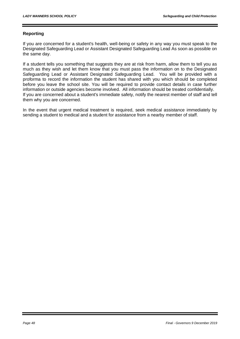#### **Reporting**

If you are concerned for a student's health, well-being or safety in any way you must speak to the Designated Safeguarding Lead or Assistant Designated Safeguarding Lead As soon as possible on the same day.

If a student tells you something that suggests they are at risk from harm, allow them to tell you as much as they wish and let them know that you must pass the information on to the Designated Safeguarding Lead or Assistant Designated Safeguarding Lead. You will be provided with a proforma to record the information the student has shared with you which should be completed before you leave the school site. You will be required to provide contact details in case further information or outside agencies become involved. All information should be treated confidentially. If you are concerned about a student's immediate safety, notify the nearest member of staff and tell them why you are concerned.

In the event that urgent medical treatment is required, seek medical assistance immediately by sending a student to medical and a student for assistance from a nearby member of staff.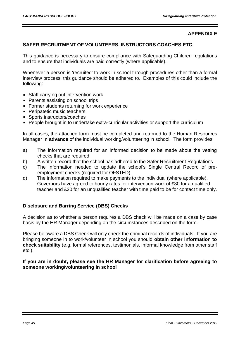### **APPENDIX E**

### **SAFER RECRUITMENT OF VOLUNTEERS, INSTRUCTORS COACHES ETC.**

This guidance is necessary to ensure compliance with Safeguarding Children regulations and to ensure that individuals are paid correctly (where applicable)..

Whenever a person is 'recruited' to work in school through procedures other than a formal interview process, this guidance should be adhered to. Examples of this could include the following:

- Staff carrying out intervention work
- Parents assisting on school trips
- **Former students returning for work experience**
- Peripatetic music teachers
- Sports instructors/coaches
- People brought in to undertake extra-curricular activities or support the curriculum

In all cases, the attached form must be completed and returned to the Human Resources Manager **in advance** of the individual working/volunteering in school. The form provides:

- a) The information required for an informed decision to be made about the vetting checks that are required
- b) A written record that the school has adhered to the Safer Recruitment Regulations
- c) The information needed to update the school's Single Central Record of preemployment checks (required for OFSTED).
- d) The information required to make payments to the individual (where applicable). Governors have agreed to hourly rates for intervention work of £30 for a qualified teacher and £20 for an unqualified teacher with time paid to be for contact time only.

# **Disclosure and Barring Service (DBS) Checks**

A decision as to whether a person requires a DBS check will be made on a case by case basis by the HR Manager depending on the circumstances described on the form.

Please be aware a DBS Check will only check the criminal records of individuals. If you are bringing someone in to work/volunteer in school you should **obtain other information to check suitability** (e.g. formal references, testimonials, informal knowledge from other staff etc.).

**If you are in doubt, please see the HR Manager for clarification before agreeing to someone working/volunteering in school**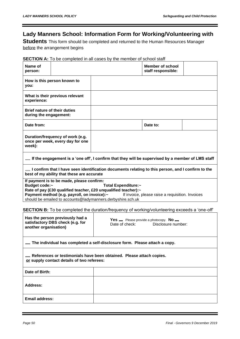# **Lady Manners School: Information Form for Working/Volunteering with**

**Students** This form should be completed and returned to the Human Resources Manager before the arrangement begins

### **SECTION A:** To be completed in all cases by the member of school staff

| Name of<br>person:                                            |                                                                                          |                                                                                                                                                      | <b>Member of school</b><br>staff responsible:                                   |  |
|---------------------------------------------------------------|------------------------------------------------------------------------------------------|------------------------------------------------------------------------------------------------------------------------------------------------------|---------------------------------------------------------------------------------|--|
| you:                                                          | How is this person known to                                                              |                                                                                                                                                      |                                                                                 |  |
| experience:                                                   | What is their previous relevant                                                          |                                                                                                                                                      |                                                                                 |  |
| <b>Brief nature of their duties</b><br>during the engagement: |                                                                                          |                                                                                                                                                      |                                                                                 |  |
| Date from:                                                    |                                                                                          |                                                                                                                                                      | Date to:                                                                        |  |
| week):                                                        | Duration/frequency of work (e.g.<br>once per week, every day for one                     |                                                                                                                                                      |                                                                                 |  |
|                                                               |                                                                                          | $\equiv$ If the engagement is a 'one off', I confirm that they will be supervised by a member of LMS staff                                           |                                                                                 |  |
|                                                               | best of my ability that these are accurate                                               | $\equiv$ I confirm that I have seen identification documents relating to this person, and I confirm to the                                           |                                                                                 |  |
| Budget code:~                                                 | If payment is to be made, please confirm:<br>Payment method (e.g. payroll, on invoice):~ | Total Expenditure:~<br>Rate of pay (£30 qualified teacher, £20 unqualified teacher):~<br>should be emailed to accounts@ladymanners.derbyshire.sch.uk | If invoice, please raise a requisition. Invoices                                |  |
|                                                               |                                                                                          | <b>SECTION B:</b> To be completed the duration/frequency of working/volunteering exceeds a 'one-off'                                                 |                                                                                 |  |
| another organisation)                                         | Has the person previously had a<br>satisfactory DBS check (e.g. for                      | Date of check:                                                                                                                                       | <b>Yes</b> $\equiv$ Please provide a photocopy. <b>No</b><br>Disclosure number: |  |
|                                                               |                                                                                          | The individual has completed a self-disclosure form. Please attach a copy.                                                                           |                                                                                 |  |
|                                                               | or supply contact details of two referees:                                               | References or testimonials have been obtained. Please attach copies.                                                                                 |                                                                                 |  |
| Date of Birth:                                                |                                                                                          |                                                                                                                                                      |                                                                                 |  |
| <b>Address:</b>                                               |                                                                                          |                                                                                                                                                      |                                                                                 |  |
| <b>Email address:</b>                                         |                                                                                          |                                                                                                                                                      |                                                                                 |  |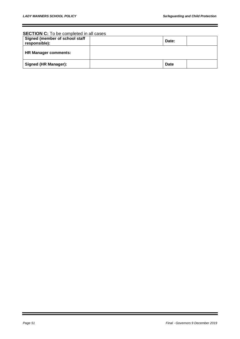#### **SECTION C:** To be completed in all cases

| Signed (member of school staff<br>responsible): | Date:       |  |
|-------------------------------------------------|-------------|--|
| <b>HR Manager comments:</b>                     |             |  |
| Signed (HR Manager):                            | <b>Date</b> |  |

Ξ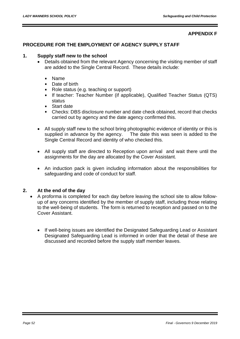### **APPENDIX F**

### **PROCEDURE FOR THE EMPLOYMENT OF AGENCY SUPPLY STAFF**

### **1. Supply staff new to the school**

- Details obtained from the relevant Agency concerning the visiting member of staff are added to the Single Central Record. These details include:
	- Name  $\blacksquare$
	- $\blacksquare$ Date of birth
	- Role status (e.g. teaching or support)
	- If teacher: Teacher Number (if applicable), Qualified Teacher Status (QTS) status
	- Start date
	- Checks: DBS disclosure number and date check obtained, record that checks carried out by agency and the date agency confirmed this.
- All supply staff new to the school bring photographic evidence of identity or this is supplied in advance by the agency. The date this was seen is added to the Single Central Record and identity of who checked this.
- All supply staff are directed to Reception upon arrival and wait there until the assignments for the day are allocated by the Cover Assistant.
- An induction pack is given including information about the responsibilities for safeguarding and code of conduct for staff.

### **2. At the end of the day**

- A proforma is completed for each day before leaving the school site to allow followup of any concerns identified by the member of supply staff, including those relating to the well-being of students. The form is returned to reception and passed on to the Cover Assistant.
	- If well-being issues are identified the Designated Safeguarding Lead or Assistant Designated Safeguarding Lead is informed in order that the detail of these are discussed and recorded before the supply staff member leaves.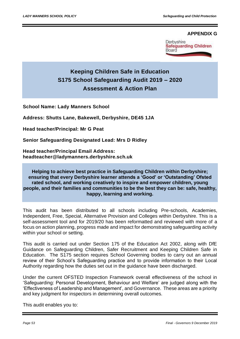### **APPENDIX G**



# **Keeping Children Safe in Education S175 School Safeguarding Audit 2019 – 2020 Assessment & Action Plan**

**School Name: Lady Manners School**

**Address: Shutts Lane, Bakewell, Derbyshire, DE45 1JA**

**Head teacher/Principal: Mr G Peat**

**Senior Safeguarding Designated Lead: Mrs D Ridley**

**Head teacher/Principal Email Address: headteacher@ladymanners.derbyshire.sch.uk**

**Helping to achieve best practice in Safeguarding Children within Derbyshire; ensuring that every Derbyshire learner attends a 'Good' or 'Outstanding' Ofsted rated school, and working creatively to inspire and empower children, young people, and their families and communities to be the best they can be: safe, healthy, happy, learning and working.** 

This audit has been distributed to all schools including Pre-schools, Academies, Independent, Free, Special, Alternative Provision and Colleges within Derbyshire. This is a self-assessment tool and for 2019/20 has been reformatted and reviewed with more of a focus on action planning, progress made and impact for demonstrating safeguarding activity within your school or setting.

This audit is carried out under Section 175 of the Education Act 2002, along with DfE Guidance on Safeguarding Children, Safer Recruitment and Keeping Children Safe in Education. The S175 section requires School Governing bodies to carry out an annual review of their School's Safeguarding practice and to provide information to their Local Authority regarding how the duties set out in the guidance have been discharged.

Under the current OFSTED Inspection Framework overall effectiveness of the school in 'Safeguarding: Personal Development, Behaviour and Welfare' are judged along with the 'Effectiveness of Leadership and Management', and Governance. These areas are a priority and key judgment for inspectors in determining overall outcomes.

This audit enables you to: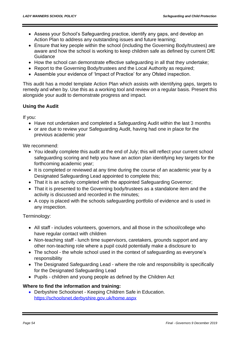- Assess your School's Safeguarding practice, identify any gaps, and develop an Action Plan to address any outstanding issues and future learning;
- Ensure that key people within the school (including the Governing Body/trustees) are aware and how the school is working to keep children safe as defined by current DfE Guidance
- How the school can demonstrate effective safeguarding in all that they undertake;
- Report to the Governing Body/trustees and the Local Authority as required;
- Assemble your evidence of 'Impact of Practice' for any Ofsted inspection.

This audit has a model template Action Plan which assists with identifying gaps, targets to remedy and when by. Use this as a working tool and review on a regular basis. Present this alongside your audit to demonstrate progress and impact.

# **Using the Audit**

If you:

- Have not undertaken and completed a Safeguarding Audit within the last 3 months
- or are due to review your Safeguarding Audit, having had one in place for the previous academic year

We recommend:

- You ideally complete this audit at the end of July; this will reflect your current school safeguarding scoring and help you have an action plan identifying key targets for the forthcoming academic year;
- It is completed or reviewed at any time during the course of an academic year by a Designated Safeguarding Lead appointed to complete this;
- That it is an activity completed with the appointed Safeguarding Governor;
- That it is presented to the Governing body/trustees as a standalone item and the activity is discussed and recorded in the minutes;
- A copy is placed with the schools safeguarding portfolio of evidence and is used in any inspection.

Terminology:

- All staff includes volunteers, governors, and all those in the school/college who have regular contact with children
- Non-teaching staff lunch time supervisors, caretakers, grounds support and any other non-teaching role where a pupil could potentially make a disclosure to
- The school the whole school used in the context of safeguarding as everyone's responsibility
- The Designated Safeguarding Lead where the role and responsibility is specifically for the Designated Safeguarding Lead
- Pupils children and young people as defined by the Children Act

# **Where to find the information and training:**

• Derbyshire Schoolsnet - Keeping Children Safe in Education. <https://schoolsnet.derbyshire.gov.uk/home.aspx>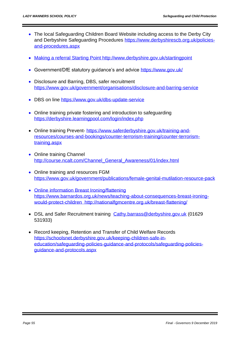- The local Safeguarding Children Board Website including access to the Derby City and Derbyshire Safeguarding Procedures [https://www.derbyshirescb.org.uk/policies](https://www.derbyshirescb.org.uk/policies-and-procedures.aspx)[and-procedures.aspx](https://www.derbyshirescb.org.uk/policies-and-procedures.aspx)
- Making a referral Starting Point<http://www.derbyshire.gov.uk/startingpoint>
- Government/DfE statutory quidance's and advice<https://www.gov.uk/>
- Disclosure and Barring, DBS, safer recruitment <https://www.gov.uk/government/organisations/disclosure-and-barring-service>
- DBS on line<https://www.gov.uk/dbs-update-service>
- Online training private fostering and introduction to safeguarding <https://derbyshire.learningpool.com/login/index.php>
- Online training Prevent- [https://www.saferderbyshire.gov.uk/training-and](https://www.saferderbyshire.gov.uk/training-and-resources/courses-and-bookings/counter-terrorism-training/counter-terrorism-training.aspx)[resources/courses-and-bookings/counter-terrorism-training/counter-terrorism](https://www.saferderbyshire.gov.uk/training-and-resources/courses-and-bookings/counter-terrorism-training/counter-terrorism-training.aspx)[training.aspx](https://www.saferderbyshire.gov.uk/training-and-resources/courses-and-bookings/counter-terrorism-training/counter-terrorism-training.aspx)
- Online training Channel [http://course.ncalt.com/Channel\\_General\\_Awareness/01/index.html](http://course.ncalt.com/Channel_General_Awareness/01/index.html)
- Online training and resources FGM <https://www.gov.uk/government/publications/female-genital-mutilation-resource-pack>
- Online information Breast Ironing/flattening [https://www.barnardos.org.uk/news/teaching-about-consequences-breast-ironing](https://www.barnardos.org.uk/news/teaching-about-consequences-breast-ironing-would-protect-children)[would-protect-children](https://www.barnardos.org.uk/news/teaching-about-consequences-breast-ironing-would-protect-children) <http://nationalfgmcentre.org.uk/breast-flattening/>
- DSL and Safer Recruitment training [Cathy.barrass@derbyshire.gov.uk](mailto:Cathy.barrass@derbyshire.gov.uk) (01629 531933)
- Record keeping, Retention and Transfer of Child Welfare Records [https://schoolsnet.derbyshire.gov.uk/keeping-children-safe-in](https://schoolsnet.derbyshire.gov.uk/keeping-children-safe-in-education/safeguarding-policies-guidance-and-protocols/safeguarding-policies-guidance-and-protocols.aspx)[education/safeguarding-policies-guidance-and-protocols/safeguarding-policies](https://schoolsnet.derbyshire.gov.uk/keeping-children-safe-in-education/safeguarding-policies-guidance-and-protocols/safeguarding-policies-guidance-and-protocols.aspx)[guidance-and-protocols.aspx](https://schoolsnet.derbyshire.gov.uk/keeping-children-safe-in-education/safeguarding-policies-guidance-and-protocols/safeguarding-policies-guidance-and-protocols.aspx)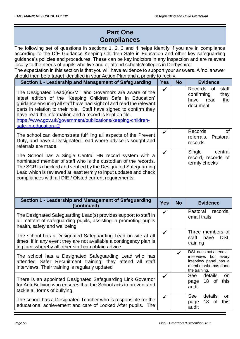# **Part One Compliances**

The following set of questions in sections 1, 2, 3 and 4 helps identify if you are in compliance according to the DfE Guidance Keeping Children Safe in Education and other key safeguarding guidance's policies and procedures. These can be key indictors in any inspection and are relevant locally to the needs of pupils who live and or attend schools/colleges in Derbyshire.

The expectation in this section is that you will have evidence to support your answers. A 'no' answer should then be a target identified in your Action Plan and a priority to rectify.

| Section 1 - Leadership and Management of Safeguarding                                                                                                                                                                                                                                                                                                                                                                   | <b>Yes</b>   | <b>No</b>    | <b>Evidence</b>                                                                                                  |
|-------------------------------------------------------------------------------------------------------------------------------------------------------------------------------------------------------------------------------------------------------------------------------------------------------------------------------------------------------------------------------------------------------------------------|--------------|--------------|------------------------------------------------------------------------------------------------------------------|
| The Designated Lead(s)/SMT and Governors are aware of the<br>latest edition of the 'Keeping Children Safe In Education'<br>guidance ensuring all staff have had sight of and read the relevant<br>parts in relation to their role. Staff have signed to confirm they<br>have read the information and a record is kept on file.<br>https://www.gov.uk/government/publications/keeping-children-<br>safe-in-education--2 | $\checkmark$ |              | Records of<br>staff<br>confirming<br>they<br>have<br>read<br>the<br>document                                     |
| The school can demonstrate fulfilling all aspects of the Prevent<br>Duty, and have a Designated Lead where advice is sought and<br>referrals are made.                                                                                                                                                                                                                                                                  | $\checkmark$ |              | <b>Records</b><br>0f<br>referrals.<br>Pastoral<br>records.                                                       |
| The School has a Single Central HR record system with a<br>nominated member of staff who is the custodian of the records.<br>The SCR is checked and verified by the Designated Safeguarding<br>Lead which is reviewed at least termly to input updates and check<br>compliances with all DfE / Ofsted current requirements.                                                                                             | ✓            |              | Single<br>central<br>record, records of<br>termly checks                                                         |
|                                                                                                                                                                                                                                                                                                                                                                                                                         |              |              |                                                                                                                  |
| Section 1 - Leadership and Management of Safeguarding<br>(continued)                                                                                                                                                                                                                                                                                                                                                    | <b>Yes</b>   | <b>No</b>    | <b>Evidence</b>                                                                                                  |
| The Designated Safeguarding Lead(s) provides support to staff in<br>all matters of safeguarding pupils, assisting in promoting pupils<br>health, safety and wellbeing                                                                                                                                                                                                                                                   | $\checkmark$ |              | Pastoral<br>records,<br>email trails                                                                             |
| The school has a Designated Safeguarding Lead on site at all<br>times; if in any event they are not available a contingency plan is<br>in place whereby all other staff can obtain advice                                                                                                                                                                                                                               | ✓            |              | Three members of<br>staff<br><b>DSL</b><br>have<br>training                                                      |
| The school has a Designated Safeguarding Lead who has<br>attended Safer Recruitment training; they attend all staff<br>interviews. Their training is regularly updated                                                                                                                                                                                                                                                  |              | $\checkmark$ | DSL does not attend all<br>interviews but every<br>interview panel has a<br>member who has done<br>the training. |
| There is an appointed Designated Safeguarding Link Governor<br>for Anti-Bullying who ensures that the School acts to prevent and<br>tackle all forms of bullying.                                                                                                                                                                                                                                                       | $\checkmark$ |              | details<br>See<br>on<br>18 of<br>this<br>page<br>audit<br>See<br>details                                         |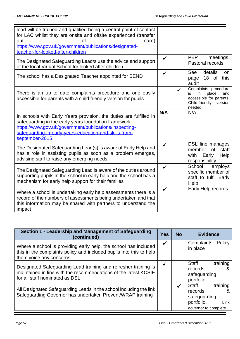| lead will be trained and qualified being a central point of contact<br>for LAC whilst they are onsite and offsite experienced (transfer<br><sub>of</sub><br>care)<br>out<br>https://www.gov.uk/government/publications/designated-<br>teacher-for-looked-after-children |              |              |                                                                                                                     |
|-------------------------------------------------------------------------------------------------------------------------------------------------------------------------------------------------------------------------------------------------------------------------|--------------|--------------|---------------------------------------------------------------------------------------------------------------------|
| The Designated Safeguarding Lead/s use the advice and support<br>of the local Virtual School for looked after children                                                                                                                                                  | $\checkmark$ |              | <b>PEP</b><br>meetings.<br>Pastoral records.                                                                        |
| The school has a Designated Teacher appointed for SEND                                                                                                                                                                                                                  |              |              | See<br>details<br>on<br>18 of this<br>page<br>audit                                                                 |
| There is an up to date complaints procedure and one easily<br>accessible for parents with a child friendly version for pupils                                                                                                                                           |              | $\checkmark$ | Complaints procedure<br>place<br>is<br>in<br>and<br>accessible for parents.<br>Child-friendly<br>version<br>needed. |
| In schools with Early Years provision, the duties are fulfilled in<br>safeguarding in the early years foundation framework<br>https://www.gov.uk/government/publications/inspecting-<br>safeguarding-in-early-years-education-and-skills-from-<br>september-2015        | N/A          |              | N/A                                                                                                                 |
| The Designated Safeguarding Lead(s) is aware of Early Help and<br>has a role in assisting pupils as soon as a problem emerges,<br>advising staff to raise any emerging needs                                                                                            | ✓            |              | <b>DSL</b> line manages<br><b>of</b><br>staff<br>member<br>with<br>Early<br>Help<br>responsibility                  |
| The Designated Safeguarding Lead is aware of the duties around<br>supporting pupils in the school in early help and the school has a<br>mechanism for early help support for their families                                                                             | ✓            |              | School<br>employs<br>specific member of<br>staff to fulfil Early<br>Help                                            |
| Where a school is undertaking early help assessments there is a<br>record of the numbers of assessments being undertaken and that<br>this information may be shared with partners to understand the<br>impact                                                           | $\checkmark$ |              | Early Help records                                                                                                  |

| Section 1 - Leadership and Management of Safeguarding<br>(continued)                                                                                                 | <b>Yes</b>   | <b>No</b> | <b>Evidence</b>                                                                                  |
|----------------------------------------------------------------------------------------------------------------------------------------------------------------------|--------------|-----------|--------------------------------------------------------------------------------------------------|
| Where a school is providing early help, the school has included<br>this in the complaints policy and included pupils into this to help<br>them voice any concerns    | $\checkmark$ |           | Complaints<br>Policy<br>in place                                                                 |
| Designated Safeguarding Lead training and refresher training is<br>maintained in line with the recommendations of the latest KCSIE<br>for all staff nominated as DSL | $\checkmark$ |           | training<br><b>Staff</b><br>records<br>&<br>safeguarding<br>portfolio                            |
| All Designated Safeguarding Leads in the school including the link<br>Safeguarding Governor has undertaken Prevent/WRAP training                                     |              |           | training<br>Staff<br>records<br>&<br>safeguarding<br>portfolio.<br>Link<br>governor to complete. |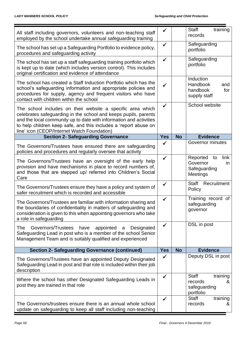| All staff including governors, volunteers and non-teaching staff<br>employed by the school undertake annual safeguarding training                                                                                                                                                                                      | $\checkmark$ |           | training<br><b>Staff</b><br>records                                   |
|------------------------------------------------------------------------------------------------------------------------------------------------------------------------------------------------------------------------------------------------------------------------------------------------------------------------|--------------|-----------|-----------------------------------------------------------------------|
| The school has set up a Safeguarding Portfolio to evidence policy,<br>procedures and safeguarding activity                                                                                                                                                                                                             | $\checkmark$ |           | Safeguarding<br>portfolio                                             |
| The school has set up a staff safeguarding training portfolio which<br>is kept up to date (which includes version control). This includes<br>original certification and evidence of attendance                                                                                                                         | $\checkmark$ |           | Safeguarding<br>portfolio                                             |
| The school has created a Staff Induction Portfolio which has the<br>school's safeguarding information and appropriate policies and<br>procedures for supply, agency and frequent visitors who have<br>contact with children within the school                                                                          | ✓            |           | Induction<br>Handbook<br>and<br>handbook<br>for<br>supply staff       |
| The school includes on their website a specific area which<br>celebrates safeguarding in the school and keeps pupils, parents<br>and the local community up to date with information and activities<br>to help children keep safe, and this includes a 'report abuse on<br>line' icon (CEOP/Internet Watch Foundation) | ✓            |           | School website                                                        |
| <b>Section 2- Safeguarding Governance</b>                                                                                                                                                                                                                                                                              | <b>Yes</b>   | <b>No</b> | <b>Evidence</b>                                                       |
| The Governors/Trustees have ensured there are safeguarding<br>policies and procedures and regularly oversee that activity                                                                                                                                                                                              | ✓            |           | Governor minutes                                                      |
| The Governors/Trustees have an oversight of the early help<br>provision and have mechanisms in place to record numbers of,                                                                                                                                                                                             | $\checkmark$ |           | link<br>Reported<br>to<br>Governor<br>in                              |
| and those that are stepped up/ referred into Children's Social<br>Care                                                                                                                                                                                                                                                 |              |           | Safeguarding<br>Meetings                                              |
| The Governors/Trustees ensure they have a policy and system of<br>safer recruitment which is recorded and accessible                                                                                                                                                                                                   | $\checkmark$ |           | <b>Staff</b><br>Recruitment<br>Policy                                 |
| The Governors/Trustees are familiar with information sharing and<br>the boundaries of confidentiality in matters of safeguarding and<br>consideration is given to this when appointing governors who take                                                                                                              | ✓            |           | Training record of<br>safeguarding<br>governor                        |
| a role in safeguarding<br><b>The</b><br>Governors/Trustees have<br>appointed<br>Designated<br>a<br>Safeguarding Lead in post who is a member of the school Senior<br>Management Team and is suitably qualified and experienced                                                                                         | $\checkmark$ |           | DSL in post                                                           |
| <b>Section 2- Safeguarding Governance (continued)</b>                                                                                                                                                                                                                                                                  | <b>Yes</b>   | <b>No</b> | <b>Evidence</b>                                                       |
| The Governors/Trustees have an appointed Deputy Designated<br>Safeguarding Lead in post and that role is included within their job<br>description                                                                                                                                                                      | $\checkmark$ |           | Deputy DSL in post                                                    |
| Where the school has other Designated Safeguarding Leads in<br>post they are trained in that role                                                                                                                                                                                                                      | $\checkmark$ |           | <b>Staff</b><br>training<br>records<br>&<br>safeguarding<br>portfolio |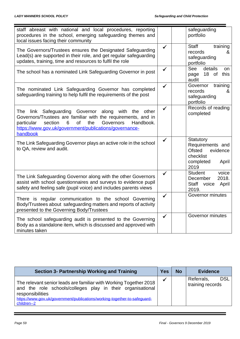| staff abreast with national and local procedures, reporting<br>procedures in the school, emerging safeguarding themes and<br>local issues facing their community                                                                                                                      |              | safeguarding<br>portfolio                                                                             |
|---------------------------------------------------------------------------------------------------------------------------------------------------------------------------------------------------------------------------------------------------------------------------------------|--------------|-------------------------------------------------------------------------------------------------------|
| The Governors/Trustees ensures the Designated Safeguarding<br>Lead(s) are supported in their role, and get regular safeguarding<br>updates, training, time and resources to fulfil the role                                                                                           | $\checkmark$ | <b>Staff</b><br>training<br>records<br>&<br>safeguarding<br>portfolio                                 |
| The school has a nominated Link Safeguarding Governor in post                                                                                                                                                                                                                         | $\checkmark$ | See<br>details<br>on<br>18 of<br>this<br>page<br>audit                                                |
| The nominated Link Safeguarding Governor has completed<br>safeguarding training to help fulfil the requirements of the post                                                                                                                                                           | ✓            | Governor<br>training<br>records<br>&<br>safeguarding<br>portfolio                                     |
| Safeguarding Governor along<br>with<br>The<br>link<br>the<br>other<br>Governors/Trustees are familiar with the requirements, and in<br>Governors<br>particular<br>section<br>6<br><b>of</b><br>the<br>Handbook.<br>https://www.gov.uk/government/publications/governance-<br>handbook | ✓            | Records of reading<br>completed                                                                       |
| The Link Safeguarding Governor plays an active role in the school<br>to QA, review and audit.                                                                                                                                                                                         |              | Statutory<br>Requirements and<br><b>Ofsted</b><br>evidence<br>checklist<br>completed<br>April<br>2019 |
| The Link Safeguarding Governor along with the other Governors<br>assist with school questionnaires and surveys to evidence pupil<br>safety and feeling safe (pupil voice) and includes parents views                                                                                  | ✓            | <b>Student</b><br>voice<br>2018.<br>December<br><b>Staff</b><br>voice<br>April<br>2019.               |
| There is regular communication to the school Governing<br>Body/Trustees about safeguarding matters and reports of activity<br>presented to the Governing Body/Trustees                                                                                                                | $\checkmark$ | Governor minutes                                                                                      |
| The school safeguarding audit is presented to the Governing<br>Body as a standalone item, which is discussed and approved with<br>minutes taken                                                                                                                                       | $\checkmark$ | Governor minutes                                                                                      |

| <b>Section 3- Partnership Working and Training</b>                                                                                                                                                                                              | <b>Yes</b> | <b>No</b> | <b>Evidence</b>                              |
|-------------------------------------------------------------------------------------------------------------------------------------------------------------------------------------------------------------------------------------------------|------------|-----------|----------------------------------------------|
| The relevant senior leads are familiar with Working Together 2018<br>and the role schools/colleges play in their organisational<br>responsibilities<br>https://www.gov.uk/government/publications/working-together-to-safeguard-<br>children--2 |            |           | <b>DSL</b><br>Referrals,<br>training records |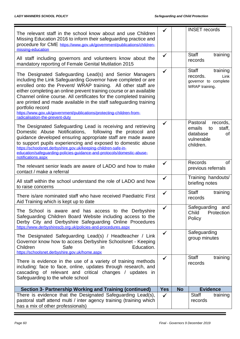| The relevant staff in the school know about and use Children<br>Missing Education 2016 to inform their safeguarding practice and<br>procedure for CME https://www.gov.uk/government/publications/children-<br>missing-education                                                                                                                                                                                                                                                                                                             |              |           | <b>INSET</b> records                                                                        |
|---------------------------------------------------------------------------------------------------------------------------------------------------------------------------------------------------------------------------------------------------------------------------------------------------------------------------------------------------------------------------------------------------------------------------------------------------------------------------------------------------------------------------------------------|--------------|-----------|---------------------------------------------------------------------------------------------|
| All staff including governors and volunteers know about the<br>mandatory reporting of Female Genital Mutilation 2015                                                                                                                                                                                                                                                                                                                                                                                                                        | ✔            |           | <b>Staff</b><br>training<br>records                                                         |
| The Designated Safeguarding Lead(s) and Senior Managers<br>including the Link Safeguarding Governor have completed or are<br>enrolled onto the Prevent/ WRAP training. All other staff are<br>either completing an online prevent training course or an available<br>Channel online course. All certificates for the completed training<br>are printed and made available in the staff safeguarding training<br>portfolio record<br>https://www.gov.uk/government/publications/protecting-children-from-<br>radicalisation-the-prevent-duty | ✓            |           | <b>Staff</b><br>training<br>records.<br>Link<br>governor to complete<br>WRAP training.      |
| The Designated Safeguarding Lead is receiving and retrieving<br>Domestic Abuse Notifications,<br>following the protocol and<br>guidance developed ensuring appropriate staff are made aware<br>to support pupils experiencing and exposed to domestic abuse<br>https://schoolsnet.derbyshire.gov.uk/keeping-children-safe-in-<br>education/safeguarding-policies-guidance-and-protocols/domestic-abuse-<br>notifications.aspx                                                                                                               | ✓            |           | Pastoral<br>records,<br>emails<br>staff,<br>to<br>database<br>οf<br>vulnerable<br>children. |
| The relevant senior leads are aware of LADO and how to make<br>contact / make a referral                                                                                                                                                                                                                                                                                                                                                                                                                                                    | $\checkmark$ |           | <b>Records</b><br><b>of</b><br>previous referrals                                           |
| All staff within the school understand the role of LADO and how<br>to raise concerns                                                                                                                                                                                                                                                                                                                                                                                                                                                        | ✔            |           | Training handouts/<br>briefing notes                                                        |
| There is/are nominated staff who have received Paediatric First<br>Aid Training which is kept up to date                                                                                                                                                                                                                                                                                                                                                                                                                                    | ✓            |           | <b>Staff</b><br>training<br>records                                                         |
| The School is aware and has access to the Derbyshire<br>Safeguarding Children Board Website including access to the<br>Derby City and Derbyshire Safeguarding Online Procedures<br>https://www.derbyshirescb.org.uk/policies-and-procedures.aspx                                                                                                                                                                                                                                                                                            | ✓            |           | Safeguarding and<br>Child<br>Protection<br>Policy                                           |
| The Designated Safeguarding Lead(s) / Headteacher / Link<br>Governor know how to access Derbyshire Schoolsnet - Keeping<br>Children<br>Safe<br>Education.<br>in<br>https://schoolsnet.derbyshire.gov.uk/home.aspx                                                                                                                                                                                                                                                                                                                           | $\checkmark$ |           | Safeguarding<br>group minutes                                                               |
| There is evidence in the use of a variety of training methods<br>including: face to face, online, updates through research, and<br>cascading of relevant and critical changes / updates in<br>Safeguarding to the whole school                                                                                                                                                                                                                                                                                                              | ✓            |           | <b>Staff</b><br>training<br>records                                                         |
| Section 3- Partnership Working and Training (continued)                                                                                                                                                                                                                                                                                                                                                                                                                                                                                     | <b>Yes</b>   | <b>No</b> | <b>Evidence</b>                                                                             |
| There is evidence that the Designated Safeguarding Lead(s),<br>pastoral staff attend multi / inter agency training (training which<br>has a mix of other professionals)                                                                                                                                                                                                                                                                                                                                                                     | $\checkmark$ |           | Staff<br>training<br>records                                                                |

۳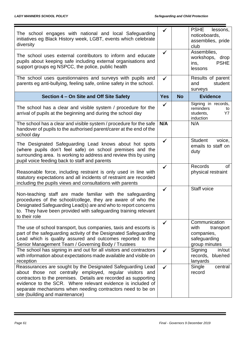| The school engages with national and local Safeguarding<br>initiatives eg Black History week, LGBT, events which celebrate<br>diversity<br>The school uses external contributors to inform and educate<br>pupils about keeping safe including external organisations and<br>support groups eg NSPCC, the police, public health                             | $\checkmark$<br>$\checkmark$ |           | <b>PSHE</b><br>lessons,<br>noticeboards,<br>assemblies, pride<br>club<br>Assemblies.<br>workshops, drop<br>ins,<br><b>PSHE</b><br>lessons |
|------------------------------------------------------------------------------------------------------------------------------------------------------------------------------------------------------------------------------------------------------------------------------------------------------------------------------------------------------------|------------------------------|-----------|-------------------------------------------------------------------------------------------------------------------------------------------|
| The school uses questionnaires and surveys with pupils and<br>parents eg anti-bullying, feeling safe, online safety in the school.                                                                                                                                                                                                                         | $\checkmark$                 |           | Results of parent<br>student<br>and<br>surveys                                                                                            |
| Section 4 – On Site and Off Site Safety                                                                                                                                                                                                                                                                                                                    | <b>Yes</b>                   | <b>No</b> | <b>Evidence</b>                                                                                                                           |
| The school has a clear and visible system / procedure for the<br>arrival of pupils at the beginning and during the school day                                                                                                                                                                                                                              | $\checkmark$                 |           | Signing in records,<br>reminders<br>to<br>students,<br>Y7<br>induction                                                                    |
| The school has a clear and visible system / procedure for the safe<br>handover of pupils to the authorised parent/carer at the end of the<br>school day                                                                                                                                                                                                    | N/A                          |           | N/A                                                                                                                                       |
| The Designated Safeguarding Lead knows about hot spots<br>(where pupils don't feel safe) on school premises and the<br>surrounding area. Is working to address and review this by using<br>pupil voice feeding back to staff and parents                                                                                                                   | $\checkmark$                 |           | <b>Student</b><br>voice,<br>emails to staff on<br>duty                                                                                    |
| Reasonable force, including restraint is only used in line with<br>statutory expectations and all incidents of restraint are recorded<br>including the pupils views and consultations with parents                                                                                                                                                         | ✓                            |           | Records<br>οf<br>physical restraint                                                                                                       |
| Non-teaching staff are made familiar with the safeguarding<br>procedures of the school/college, they are aware of who the<br>Designated Safeguarding Lead(s) are and who to report concerns<br>to. They have been provided with safeguarding training relevant<br>to their role                                                                            | $\checkmark$                 |           | Staff voice                                                                                                                               |
| The use of school transport, bus companies, taxis and escorts is<br>part of the safeguarding activity of the Designated Safeguarding<br>Lead which is quality assured and outcomes reported to the<br>Senior Management Team / Governing Body / Trustees                                                                                                   | ✓                            |           | Communication<br>with<br>transport<br>companies,<br>safeguarding<br>group minutes                                                         |
| The school has signing in and out for all visitors and contractors<br>with information about expectations made available and visible on<br>reception                                                                                                                                                                                                       | $\checkmark$                 |           | Signing<br>in/out<br>records, blue/red<br>lanyards                                                                                        |
| Reassurances are sought by the Designated Safeguarding Lead<br>about those not centrally employed, regular visitors and<br>contractors to the premises. Details are recorded as supporting<br>evidence to the SCR. Where relevant evidence is included of<br>separate mechanisms when needing contractors need to be on<br>site (building and maintenance) | $\checkmark$                 |           | Single<br>central<br>record                                                                                                               |

۳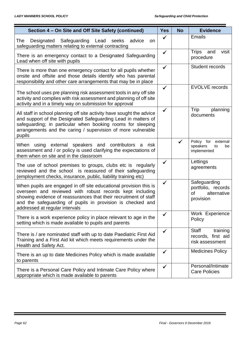| Section 4 - On Site and Off Site Safety (continued)                                                                                                                                                                                                                                               | <b>Yes</b>   | <b>No</b> | <b>Evidence</b>                                                      |
|---------------------------------------------------------------------------------------------------------------------------------------------------------------------------------------------------------------------------------------------------------------------------------------------------|--------------|-----------|----------------------------------------------------------------------|
| Designated Safeguarding Lead seeks<br>advice<br>The<br>on.<br>safeguarding matters relating to external contracting                                                                                                                                                                               | $\checkmark$ |           | <b>Emails</b>                                                        |
| There is an emergency contact to a Designated Safeguarding<br>Lead when off site with pupils                                                                                                                                                                                                      | $\checkmark$ |           | <b>Trips</b><br>and<br>visit<br>procedure                            |
| There is more than one emergency contact for all pupils whether<br>onsite and offsite and those details identify who has parental<br>responsibility and other care arrangements that may be in place                                                                                              | $\checkmark$ |           | Student records                                                      |
| The school uses pre planning risk assessment tools in any off site<br>activity and complies with risk assessment and planning of off site<br>activity and in a timely way on submission for approval                                                                                              | $\checkmark$ |           | <b>EVOLVE</b> records                                                |
| All staff in school planning off site activity have sought the advice<br>and support of the Designated Safeguarding Lead in matters of<br>safeguarding; in particular when booking rooms for sleeping<br>arrangements and the caring / supervision of more vulnerable<br>pupils                   | ✓            |           | Trip<br>planning<br>documents                                        |
| When using external speakers and contributors a<br>risk<br>assessment and / or policy is used clarifying the expectations of<br>them when on site and in the classroom                                                                                                                            |              |           | Policy for<br>external<br>speakers<br>to<br>be<br>implemented        |
| The use of school premises to groups, clubs etc is regularly<br>reviewed and the school is reassured of their safeguarding<br>(employment checks, insurance, public, liability training etc)                                                                                                      | $\checkmark$ |           | Lettings<br>agreements                                               |
| When pupils are engaged in off site educational provision this is<br>overseen and reviewed with robust records kept including<br>showing evidence of reassurances that their recruitment of staff<br>and the safeguarding of pupils in provision is checked and<br>addressed at regular intervals | ✓            |           | Safeguarding<br>portfolio, records<br>οf<br>alternative<br>provision |
| There is a work experience policy in place relevant to age in the<br>setting which is made available to pupils and parents                                                                                                                                                                        | $\checkmark$ |           | Work Experience<br>Policy                                            |
| There is / are nominated staff with up to date Paediatric First Aid<br>Training and a First Aid kit which meets requirements under the<br>Health and Safety Act.                                                                                                                                  | ✓            |           | Staff<br>training<br>records, first aid<br>risk assessment           |
| There is an up to date Medicines Policy which is made available<br>to parents                                                                                                                                                                                                                     | ✓            |           | <b>Medicines Policy</b>                                              |
| There is a Personal Care Policy and Intimate Care Policy where<br>appropriate which is made available to parents                                                                                                                                                                                  | $\checkmark$ |           | Personal/Intimate<br><b>Care Policies</b>                            |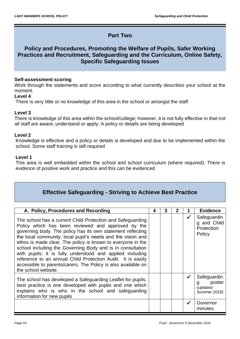# **Part Two**

# **Policy and Procedures, Promoting the Welfare of Pupils, Safer Working Practices and Recruitment, Safeguarding and the Curriculum, Online Safety, Specific Safeguarding Issues**

# **Self-assessment scoring**

Work through the statements and score according to what currently describes your school at the moment.

# **Level 4**

There is very little or no knowledge of this area in the school or amongst the staff

# **Level 3**

There is knowledge of this area within the school/college; however, it is not fully effective in that not all staff are aware, understand or apply. A policy or details are being developed

# **Level 2**

Knowledge is effective and a policy or details is developed and due to be implemented within the school. Some staff training is still required

# **Level 1**

This area is well embedded within the school and school curriculum (where required). There is evidence of positive work and practice and this can be evidenced

# **Effective Safeguarding - Striving to Achieve Best Practice**

| A. Policy, Procedures and Recording                                                                                                                                                                                                                                                                                                                                                                                                                                                                                                                                                             | 4 | 3 | 2 |   | <b>Evidence</b>                                               |
|-------------------------------------------------------------------------------------------------------------------------------------------------------------------------------------------------------------------------------------------------------------------------------------------------------------------------------------------------------------------------------------------------------------------------------------------------------------------------------------------------------------------------------------------------------------------------------------------------|---|---|---|---|---------------------------------------------------------------|
| The school has a current Child Protection and Safeguarding<br>Policy which has been reviewed and approved by the<br>governing body. The policy has its own statement reflecting<br>the local community, local pupil's needs and the vision and<br>ethos is made clear. The policy is known to everyone in the<br>school including the Governing Body and is in consultation<br>with pupils; it is fully understood and applied including<br>reference to an annual Child Protection Audit. It is easily<br>accessible to parents/carers. The Policy is also available on<br>the school website. |   |   |   | ✔ | Safeguardin<br>g and Child<br>Protection<br>Policy            |
| The school has developed a Safeguarding Leaflet for pupils,<br>best practice is one developed with pupils and one which<br>explains who is who in the school and safeguarding<br>information for new pupils                                                                                                                                                                                                                                                                                                                                                                                     |   |   |   |   | Safeguardin<br>poster<br>g<br>(updated<br><b>Summer 2019)</b> |
|                                                                                                                                                                                                                                                                                                                                                                                                                                                                                                                                                                                                 |   |   |   |   | Governor<br>minutes                                           |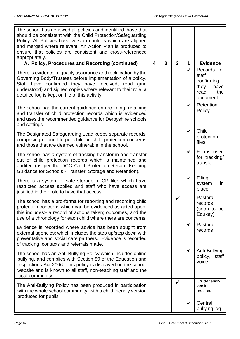| The school has reviewed all policies and identified those that<br>should be consistent with the Child Protection/Safeguarding<br>Policy. All Policies have version controls which are aligned<br>and merged where relevant. An Action Plan is produced to<br>ensure that policies are consistent and cross-referenced<br>appropriately. |   |              |                |              |                                                                                 |
|-----------------------------------------------------------------------------------------------------------------------------------------------------------------------------------------------------------------------------------------------------------------------------------------------------------------------------------------|---|--------------|----------------|--------------|---------------------------------------------------------------------------------|
| A. Policy, Procedures and Recording (continued)                                                                                                                                                                                                                                                                                         | 4 | $\mathbf{3}$ | $\overline{2}$ | 1            | <b>Evidence</b>                                                                 |
| There is evidence of quality assurance and rectification by the<br>Governing Body/Trustees before implementation of a policy.<br>Staff have confirmed they have received, read (and<br>understood) and signed copies where relevant to their role; a<br>detailed log is kept on file of this activity                                   |   |              |                | ✓            | Records<br>0f<br>staff<br>confirming<br>they<br>have<br>the<br>read<br>document |
| The school has the current guidance on recording, retaining<br>and transfer of child protection records which is evidenced<br>and uses the recommended guidance for Derbyshire schools<br>and settings                                                                                                                                  |   |              |                | $\checkmark$ | Retention<br>Policy                                                             |
| The Designated Safeguarding Lead keeps separate records,<br>comprising of one file per child on child protection concerns<br>and those that are deemed vulnerable in the school.                                                                                                                                                        |   |              |                | $\checkmark$ | Child<br>protection<br>files                                                    |
| The school has a system of tracking transfer in and transfer<br>out of child protection records which is maintained and<br>audited (as per the DCC Child Protection Record Keeping<br>Guidance for Schools - Transfer, Storage and Retention).                                                                                          |   |              |                | $\checkmark$ | Forms used<br>for tracking/<br>transfer                                         |
| There is a system of safe storage of CP files which have<br>restricted access applied and staff who have access are<br>justified in their role to have that access                                                                                                                                                                      |   |              |                | $\checkmark$ | Filing<br>system<br>in<br>place                                                 |
| The school has a pro-forma for reporting and recording child<br>protection concerns which can be evidenced as acted upon,<br>this includes:- a record of actions taken; outcomes, and the<br>use of a chronology for each child where there are concerns                                                                                |   |              | $\checkmark$   |              | Pastoral<br>records<br>(soon to be<br>Edukey)                                   |
| Evidence is recorded where advice has been sought from<br>external agencies; which includes the step up/step down with<br>preventative and social care partners. Evidence is recorded<br>of tracking, contacts and referrals made.                                                                                                      |   |              |                | $\checkmark$ | Pastoral<br>records                                                             |
| The school has an Anti-Bullying Policy which includes online<br>bullying, and complies with Section 89 of the Education and<br>Inspections Act 2006. This policy is displayed on the school<br>website and is known to all staff, non-teaching staff and the<br>local community.                                                        |   |              |                | $\checkmark$ | Anti-Bullying<br>policy,<br>staff<br>voice                                      |
| The Anti-Bullying Policy has been produced in participation<br>with the whole school community, with a child friendly version<br>produced for pupils                                                                                                                                                                                    |   |              |                |              | Child-friendly<br>version<br>required                                           |
|                                                                                                                                                                                                                                                                                                                                         |   |              |                | ✓            | Central<br>bullying log                                                         |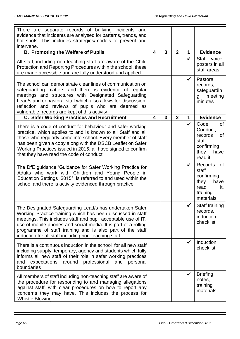| There are separate records of bullying incidents and<br>evidence that incidents are analysed for patterns, trends, and<br>hot spots. This includes strategies/models to prevent and<br>intervene.                                                                                                                                                                               |                         |                |                |              |                                                                                                     |
|---------------------------------------------------------------------------------------------------------------------------------------------------------------------------------------------------------------------------------------------------------------------------------------------------------------------------------------------------------------------------------|-------------------------|----------------|----------------|--------------|-----------------------------------------------------------------------------------------------------|
| <b>B. Promoting the Welfare of Pupils</b>                                                                                                                                                                                                                                                                                                                                       | $\overline{\mathbf{4}}$ | $\overline{3}$ | $\overline{2}$ | 1            | <b>Evidence</b>                                                                                     |
| All staff, including non-teaching staff are aware of the Child<br>Protection and Reporting Procedures within the school, these<br>are made accessible and are fully understood and applied.                                                                                                                                                                                     |                         |                |                | $\checkmark$ | Staff voice,<br>posters in all<br>staff areas                                                       |
| The school can demonstrate clear lines of communication on<br>safeguarding matters and there is evidence of regular<br>meetings and structures with Designated Safeguarding<br>Lead/s and or pastoral staff which also allows for discussion,<br>reflection and reviews of pupils who are deemed as<br>vulnerable, records are kept of this activity                            |                         |                |                | $\checkmark$ | Pastoral<br>records,<br>safeguardin<br>meeting<br>$\mathbf{g}$<br>minutes                           |
| <b>C. Safer Working Practices and Recruitment</b>                                                                                                                                                                                                                                                                                                                               | 4                       | 3              | $\mathbf{2}$   | 1            | <b>Evidence</b>                                                                                     |
| There is a code of conduct for behaviour and safer working<br>practice, which applies to and is known to all Staff and all<br>those who regularly come into school. Every member of staff<br>has been given a copy along with the DSCB Leaflet on Safer<br>Working Practices issued in 2015, all have signed to confirm<br>that they have read the code of conduct.             |                         |                |                |              | Code<br>of<br>Conduct,<br>records<br>0f<br>staff<br>confirming<br>they<br>have<br>read it           |
| The DfE guidance 'Guidance for Safer Working Practice for<br>Adults who work with Children and Young People in<br>Education Settings 2015" is referred to and used within the<br>school and there is activity evidenced through practice                                                                                                                                        |                         |                |                | $\checkmark$ | Records<br><b>of</b><br>staff<br>confirming<br>they<br>have<br>read<br>it,<br>training<br>materials |
| The Designated Safeguarding Lead/s has undertaken Safer<br>Working Practice training which has been discussed in staff<br>meetings. This includes staff and pupil acceptable use of IT,<br>use of mobile phones and social media. It is part of a rolling<br>programme of staff training and is also part of the staff<br>induction for all staff including non-teaching staff. |                         |                |                | ╱            | Staff training<br>records,<br><i>induction</i><br>checklist                                         |
| There is a continuous induction in the school for all new staff<br>including supply, temporary, agency and students which fully<br>informs all new staff of their role in safer working practices<br>around<br>professional<br>and<br>expectations<br>personal<br>and<br>boundaries                                                                                             |                         |                |                | $\checkmark$ | Induction<br>checklist                                                                              |
| All members of staff including non-teaching staff are aware of<br>the procedure for responding to and managing allegations<br>against staff, with clear procedures on how to report any<br>concerns they may have. This includes the process for<br><b>Whistle Blowing</b>                                                                                                      |                         |                |                | $\checkmark$ | <b>Briefing</b><br>notes,<br>training<br>materials                                                  |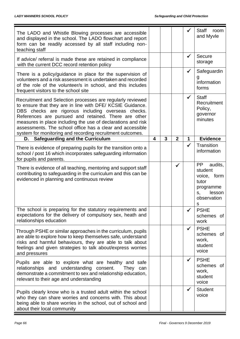| The LADO and Whistle Blowing processes are accessible<br>and displayed in the school. The LADO flowchart and report<br>form can be readily accessed by all staff including non-<br>teaching staff                                                                                                                                                                                                                               |                         |   |                |              | Staff<br>room<br>and Myvle                                                                                  |
|---------------------------------------------------------------------------------------------------------------------------------------------------------------------------------------------------------------------------------------------------------------------------------------------------------------------------------------------------------------------------------------------------------------------------------|-------------------------|---|----------------|--------------|-------------------------------------------------------------------------------------------------------------|
| If advice/ referral is made these are retained in compliance<br>with the current DCC record retention policy                                                                                                                                                                                                                                                                                                                    |                         |   |                | ✔            | Secure<br>storage                                                                                           |
| There is a policy/guidance in place for the supervision of<br>volunteers and a risk assessment is undertaken and recorded<br>of the role of the volunteer/s in school, and this includes<br>frequent visitors to the school site                                                                                                                                                                                                |                         |   |                | $\checkmark$ | Safeguardin<br>information<br>forms                                                                         |
| Recruitment and Selection processes are regularly reviewed<br>to ensure that they are in line with DFE/ KCSIE Guidance.<br>DBS checks are rigorous including overseas checks.<br>References are pursued and retained. There are other<br>measures in place including the use of declarations and risk<br>assessments. The school office has a clear and accessible<br>system for monitoring and recording recruitment outcomes. |                         |   |                | $\checkmark$ | <b>Staff</b><br>Recruitment<br>Policy,<br>governor<br>minutes                                               |
| <b>Safeguarding and the Curriculum</b><br>D.                                                                                                                                                                                                                                                                                                                                                                                    | $\overline{\mathbf{4}}$ | 3 | $\overline{2}$ | 1            | <b>Evidence</b>                                                                                             |
| There is evidence of preparing pupils for the transition onto a<br>school / post 16 which incorporates safeguarding information<br>for pupils and parents.                                                                                                                                                                                                                                                                      |                         |   |                | ✓            | Transition<br>information                                                                                   |
| There is evidence of all teaching, mentoring and support staff<br>contributing to safeguarding in the curriculum and this can be<br>evidenced in planning and continuous review                                                                                                                                                                                                                                                 |                         |   | ✔              |              | <b>PP</b><br>audits,<br>student<br>voice,<br>form<br>tutor<br>programme<br>lesson<br>S,<br>observation<br>S |
| The school is preparing for the statutory requirements and<br>expectations for the delivery of compulsory sex, heath and<br>relationships education                                                                                                                                                                                                                                                                             |                         |   |                |              | <b>PSHE</b><br>schemes of<br>work                                                                           |
| Through PSHE or similar approaches in the curriculum, pupils<br>are able to explore how to keep themselves safe, understand<br>risks and harmful behaviours, they are able to talk about<br>feelings and given strategies to talk about/express worries<br>and pressures                                                                                                                                                        |                         |   |                | $\checkmark$ | <b>PSHE</b><br>schemes of<br>work,<br>student<br>voice                                                      |
| Pupils are able to explore what are healthy and safe<br>relationships and understanding consent.<br>They can<br>demonstrate a commitment to sex and relationship education,<br>relevant to their age and understanding                                                                                                                                                                                                          |                         |   |                | $\checkmark$ | <b>PSHE</b><br>schemes of<br>work,<br>student<br>voice                                                      |
| Pupils clearly know who is a trusted adult within the school<br>who they can share worries and concerns with. This about<br>being able to share worries in the school, out of school and<br>about their local community                                                                                                                                                                                                         |                         |   |                | $\checkmark$ | <b>Student</b><br>voice                                                                                     |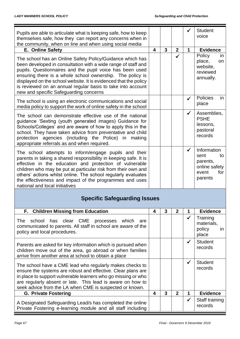| Pupils are able to articulate what is keeping safe, how to keep<br>themselves safe, how they can report any concerns when in<br>the community, when on line and when using social media                                                                                                                                                                                                                                          |   |              |              |              | <b>Student</b><br>voice                                                           |
|----------------------------------------------------------------------------------------------------------------------------------------------------------------------------------------------------------------------------------------------------------------------------------------------------------------------------------------------------------------------------------------------------------------------------------|---|--------------|--------------|--------------|-----------------------------------------------------------------------------------|
| E. Online Safety                                                                                                                                                                                                                                                                                                                                                                                                                 | 4 | $\mathbf{3}$ | $\mathbf{2}$ | 1            | <b>Evidence</b>                                                                   |
| The school has an Online Safety Policy/Guidance which has<br>been developed in consultation with a wide range of staff and<br>pupils. Questionnaires and the pupil voice has been used<br>ensuring there is a whole school ownership. The policy is<br>displayed on the school website. It is evidenced that the policy<br>is reviewed on an annual regular basis to take into account<br>new and specific Safeguarding concerns |   |              |              |              | Policy<br>in<br>place,<br>on<br>website,<br>reviewed<br>annually.                 |
| The school is using an electronic communications and social<br>media policy to support the work of online safety in the school                                                                                                                                                                                                                                                                                                   |   |              |              | ✓            | Policies<br>in<br>place                                                           |
| The school can demonstrate effective use of the national<br>guidance 'Sexting (youth generated images) Guidance for<br>Schools/Colleges' and are aware of how to apply this in the<br>school. They have taken advice from preventative and child<br>protection agencies (including the Police) in making<br>appropriate referrals as and when required.                                                                          |   |              |              | $\checkmark$ | Assemblies,<br><b>PSHE</b><br>lessons,<br>pastoral<br>records                     |
| The school attempts to inform/engage pupils and their<br>parents in taking a shared responsibility in keeping safe. It is<br>effective in the education and protection of vulnerable<br>children who may be put at particular risk from their own and<br>others' actions whilst online. The school regularly evaluates<br>the effectiveness and impact of the programmes and uses<br>national and local initiatives              |   |              |              | $\checkmark$ | Information<br>sent<br>to<br>parents,<br>online safety<br>for<br>event<br>parents |
| <b>Specific Safeguarding Issues</b>                                                                                                                                                                                                                                                                                                                                                                                              |   |              |              |              |                                                                                   |
| F. Children Missing from Education                                                                                                                                                                                                                                                                                                                                                                                               | 4 | 3            | $\mathbf{2}$ | 1            | <b>Evidence</b>                                                                   |
| has clear CME<br>The<br>school<br>which<br>processes<br>are<br>communicated to parents. All staff in school are aware of the<br>policy and local procedures.                                                                                                                                                                                                                                                                     |   |              |              | ✓            | Training<br>materials,<br>policy<br>in.<br>place                                  |
| Parents are asked for key information which is pursued when<br>children move out of the area, go abroad or when families<br>arrive from another area at school to obtain a place                                                                                                                                                                                                                                                 |   |              |              | ✓            | <b>Student</b><br>records                                                         |
| The school have a CME lead who regularly makes checks to<br>ensure the systems are robust and effective. Clear plans are<br>in place to support vulnerable learners who go missing or who<br>are regularly absent or late. This lead is aware on how to<br>seek advice from the LA when CME is suspected or known.                                                                                                               |   |              |              | ✔            | <b>Student</b><br>records                                                         |
| <b>G. Private Fostering</b>                                                                                                                                                                                                                                                                                                                                                                                                      | 4 | 3            | $\mathbf{2}$ | 1            | <b>Evidence</b>                                                                   |
| A Designated Safeguarding Lead/s has completed the online<br>Private Fostering e-learning module and all staff including                                                                                                                                                                                                                                                                                                         |   |              |              | ✔            | Staff training<br>records                                                         |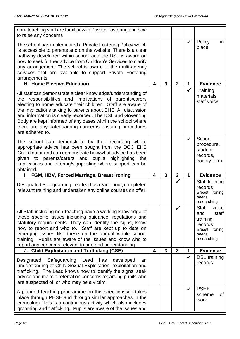| non-teaching staff are familiar with Private Fostering and how                                                                                                                                                                                                                                                                                                                                                                                                     |                         |                |                |              |                                                                                                        |
|--------------------------------------------------------------------------------------------------------------------------------------------------------------------------------------------------------------------------------------------------------------------------------------------------------------------------------------------------------------------------------------------------------------------------------------------------------------------|-------------------------|----------------|----------------|--------------|--------------------------------------------------------------------------------------------------------|
| to raise any concerns                                                                                                                                                                                                                                                                                                                                                                                                                                              |                         |                |                |              |                                                                                                        |
| The school has implemented a Private Fostering Policy which<br>is accessible to parents and on the website. There is a clear<br>pathway developed within school and the DSL is aware on<br>how to seek further advice from Children's Services to clarify<br>any arrangement. The school is aware of the multi-agency<br>services that are available to support Private Fostering<br>arrangements                                                                  |                         |                |                | $\checkmark$ | Policy<br>in.<br>place                                                                                 |
| H. Home Elective Education                                                                                                                                                                                                                                                                                                                                                                                                                                         | 4                       | 3              | $\overline{2}$ | 1            | <b>Evidence</b>                                                                                        |
| All staff can demonstrate a clear knowledge/understanding of<br>the responsibilities and implications of parents/carers<br>electing to home educate their children. Staff are aware of<br>the implications talking to parents about EHE. All discussion<br>and information is clearly recorded. The DSL and Governing<br>Body are kept informed of any cases within the school where<br>there are any safeguarding concerns ensuring procedures<br>are adhered to. |                         |                |                | $\checkmark$ | Training<br>materials,<br>staff voice                                                                  |
| The school can demonstrate by their recording where<br>appropriate advice has been sought from the DCC EHE<br>Coordinator and can demonstrate how/what advice has been<br>given to parents/carers and pupils highlighting<br>the<br>implications and offering/signposting where support can be<br>obtained.                                                                                                                                                        |                         |                |                | $\checkmark$ | School<br>procedure,<br>student<br>records,<br>county form                                             |
| FGM, HBV, Forced Marriage, Breast Ironing<br>L.                                                                                                                                                                                                                                                                                                                                                                                                                    | 4                       | 3              | $\mathbf{2}$   | 1            | <b>Evidence</b>                                                                                        |
| Designated Safeguarding Lead(s) has read about, completed<br>relevant training and undertaken any online courses on offer.                                                                                                                                                                                                                                                                                                                                         |                         |                | ✓              |              | Staff training<br>records<br>Breast ironing<br>needs<br>researching                                    |
| All Staff including non-teaching have a working knowledge of<br>these specific issues including guidance, regulations and<br>statutory requirements. They can identify the signs, know<br>how to report and who to. Staff are kept up to date on<br>emerging issues like these on the annual whole school<br>training. Pupils are aware of the issues and know who to<br>report any concerns relevant to age and understanding.                                    |                         |                | ✔              |              | <b>Staff</b><br>voice<br>staff<br>and<br>training<br>records<br>Breast ironing<br>needs<br>researching |
| J. Child Exploitation and Trafficking (CSE)                                                                                                                                                                                                                                                                                                                                                                                                                        | $\overline{\mathbf{4}}$ | $\overline{3}$ | $\overline{2}$ | 1            | <b>Evidence</b>                                                                                        |
| Designated Safeguarding Lead has<br>developed<br>an<br>understanding of Child Sexual Exploitation, exploitation and<br>trafficking. The Lead knows how to identify the signs, seek<br>advice and make a referral on concerns regarding pupils who<br>are suspected of; or who may be a victim.                                                                                                                                                                     |                         |                |                | $\checkmark$ | <b>DSL</b> training<br>records                                                                         |
| A planned teaching programme on this specific issue takes<br>place through PHSE and through similar approaches in the<br>curriculum. This is a continuous activity which also includes<br>grooming and trafficking. Pupils are aware of the issues and                                                                                                                                                                                                             |                         |                |                | $\checkmark$ | <b>PSHE</b><br>scheme<br>0f<br>work                                                                    |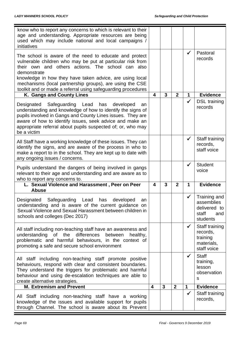| know who to report any concerns to which is relevant to their<br>age and understanding. Appropriate resources are being<br>used which may include national and local campaigns /<br>initiatives                                                                                                                                                                                  |                         |                |                |              |                                                                        |
|----------------------------------------------------------------------------------------------------------------------------------------------------------------------------------------------------------------------------------------------------------------------------------------------------------------------------------------------------------------------------------|-------------------------|----------------|----------------|--------------|------------------------------------------------------------------------|
| The school is aware of the need to educate and protect<br>vulnerable children who may be put at particular risk from<br>their own and others actions. The school can also<br>demonstrate<br>knowledge in how they have taken advice, are using local<br>mechanisms (local partnership groups), are using the CSE<br>toolkit and or made a referral using safeguarding procedures |                         |                |                | $\checkmark$ | Pastoral<br>records                                                    |
| K. Gangs and County Lines                                                                                                                                                                                                                                                                                                                                                        | 4                       | 3              | $\mathbf{2}$   | 1            | <b>Evidence</b>                                                        |
| Designated Safeguarding Lead<br>has<br>developed<br>an<br>understanding and knowledge of how to identify the signs of<br>pupils involved in Gangs and County Lines issues. They are<br>aware of how to identify issues, seek advice and make an<br>appropriate referral about pupils suspected of; or, who may<br>be a victim                                                    |                         |                |                | $\checkmark$ | <b>DSL</b> training<br>records                                         |
| All Staff have a working knowledge of these issues. They can<br>identify the signs, and are aware of the process in who to<br>make a report to in the school. They are kept up to date with<br>any ongoing issues / concerns.                                                                                                                                                    |                         |                |                | $\checkmark$ | Staff training<br>records,<br>staff voice                              |
| Pupils understand the dangers of being involved in gangs<br>relevant to their age and understanding and are aware as to<br>who to report any concerns to.                                                                                                                                                                                                                        |                         |                |                | ✓            | <b>Student</b><br>voice                                                |
| L. Sexual Violence and Harassment, Peer on Peer<br><b>Abuse</b>                                                                                                                                                                                                                                                                                                                  | 4                       | 3              | $\mathbf{2}$   | $\mathbf 1$  | <b>Evidence</b>                                                        |
| Designated Safeguarding<br>Lead<br>developed<br>has<br>an<br>understanding and is aware of the current guidance on<br>Sexual Violence and Sexual Harassment between children in<br>schools and colleges (Dec 2017)                                                                                                                                                               |                         |                |                | √            | Training and<br>assemblies<br>delivered to<br>staff<br>and<br>students |
| All staff including non-teaching staff have an awareness and<br>understanding<br>of the differences<br>between<br>healthy,<br>problematic and harmful behaviours, in the context of<br>promoting a safe and secure school environment                                                                                                                                            |                         |                |                | $\checkmark$ | Staff training<br>records,<br>training<br>materials,<br>staff voice    |
| All staff including non-teaching staff promote positive<br>behaviours, respond with clear and consistent boundaries.<br>They understand the triggers for problematic and harmful<br>behaviour and using de-escalation techniques are able to<br>create alternative strategies.                                                                                                   |                         |                |                | $\checkmark$ | <b>Staff</b><br>training,<br>lesson<br>observation<br>S                |
| <b>M. Extremism and Prevent</b>                                                                                                                                                                                                                                                                                                                                                  | $\overline{\mathbf{4}}$ | $\overline{3}$ | $\overline{2}$ | 1            | <b>Evidence</b>                                                        |
| All Staff including non-teaching staff have a working<br>knowledge of the issues and available support for pupils<br>through Channel. The school is aware about its Prevent                                                                                                                                                                                                      |                         |                |                | ✓            | Staff training<br>records,                                             |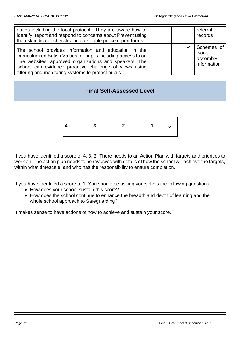| duties including the local protocol. They are aware how to<br>identify, report and respond to concerns about Prevent using<br>the risk indicator checklist and available police report forms                                                                                                      |  | referral<br>records                            |
|---------------------------------------------------------------------------------------------------------------------------------------------------------------------------------------------------------------------------------------------------------------------------------------------------|--|------------------------------------------------|
| The school provides information and education in the<br>curriculum on British Values for pupils including access to on<br>line websites, approved organizations and speakers. The<br>school can evidence proactive challenge of views using<br>filtering and monitoring systems to protect pupils |  | Schemes of<br>work,<br>assembly<br>information |

# **Final Self-Assessed Level**

If you have identified a score of 4, 3, 2. There needs to an Action Plan with targets and priorities to work on. The action plan needs to be reviewed with details of how the school will achieve the targets, within what timescale, and who has the responsibility to ensure completion.

If you have identified a score of 1. You should be asking yourselves the following questions:

- How does your school sustain this score?
- How does the school continue to enhance the breadth and depth of learning and the whole school approach to Safeguarding?

It makes sense to have actions of how to achieve and sustain your score.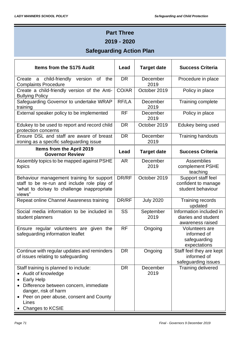# **Part Three 2019 - 2020**

# **Safeguarding Action Plan**

| <b>Items from the S175 Audit</b>                                                                                                                                                                                         | Lead      | <b>Target date</b> | <b>Success Criteria</b>                                              |
|--------------------------------------------------------------------------------------------------------------------------------------------------------------------------------------------------------------------------|-----------|--------------------|----------------------------------------------------------------------|
| Create a child-friendly<br>version of<br>the<br><b>Complaints Procedure</b>                                                                                                                                              | <b>DR</b> | December<br>2019   | Procedure in place                                                   |
| Create a child-friendly version of the Anti-<br><b>Bullying Policy</b>                                                                                                                                                   | CO/AR     | October 2019       | Policy in place                                                      |
| Safeguarding Governor to undertake WRAP<br>training                                                                                                                                                                      | RF/LA     | December<br>2019   | Training complete                                                    |
| External speaker policy to be implemented                                                                                                                                                                                | <b>RF</b> | December<br>2019   | Policy in place                                                      |
| Edukey to be used to report and record child<br>protection concerns                                                                                                                                                      | <b>DR</b> | October 2019       | Edukey being used                                                    |
| Ensure DSL and staff are aware of breast<br>ironing as a specific safeguarding issue                                                                                                                                     | <b>DR</b> | December<br>2019   | <b>Training handouts</b>                                             |
| Items from the April 2019<br><b>Governor Review</b>                                                                                                                                                                      | Lead      | <b>Target date</b> | <b>Success Criteria</b>                                              |
| Assembly topics to be mapped against PSHE<br>topics                                                                                                                                                                      | <b>AR</b> | December<br>2019   | Assemblies<br>complement PSHE<br>teaching                            |
| Behaviour management training for support<br>staff to be re-run and include role play of<br>"what to do/say to challenge inappropriate<br>views"                                                                         | DR/RF     | October 2019       | Support staff feel<br>confident to manage<br>student behaviour       |
| Repeat online Channel Awareness training                                                                                                                                                                                 | DR/RF     | <b>July 2020</b>   | Training records<br>updated                                          |
| Social media information to be included in<br>student planners                                                                                                                                                           | SS        | September<br>2019  | Information included in<br>diaries and student<br>awareness raised   |
| Ensure regular volunteers are given the<br>safeguarding information leaflet                                                                                                                                              | <b>RF</b> | Ongoing            | <b>Volunteers are</b><br>informed of<br>safeguarding<br>expectations |
| Continue with regular updates and reminders<br>of issues relating to safeguarding                                                                                                                                        | <b>DR</b> | Ongoing            | Staff feel they are kept<br>informed of<br>safeguarding issues       |
| Staff training is planned to include:<br>Audit of knowledge<br><b>Early Help</b><br>Difference between concern, immediate<br>danger, risk of harm<br>Peer on peer abuse, consent and County<br>Lines<br>Changes to KCSIE | <b>DR</b> | December<br>2019   | Training delivered                                                   |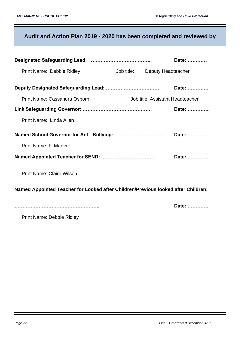# **Audit and Action Plan 2019 - 2020 has been completed and reviewed by**

|                                                                                   |  |                                  | Date: |
|-----------------------------------------------------------------------------------|--|----------------------------------|-------|
| Print Name: Debbie Ridley                                                         |  | Job title: Deputy Headteacher    |       |
|                                                                                   |  |                                  | Date: |
| Print Name: Cassandra Osborn                                                      |  | Job title: Assistant Headteacher |       |
|                                                                                   |  |                                  | Date: |
| Print Name: Linda Allen                                                           |  |                                  |       |
|                                                                                   |  |                                  | Date: |
| Print Name: Fi Manvell                                                            |  |                                  |       |
|                                                                                   |  |                                  | Date: |
| <b>Print Name: Claire Wilson</b>                                                  |  |                                  |       |
| Named Appointed Teacher for Looked after Children/Previous looked after Children: |  |                                  |       |
|                                                                                   |  |                                  | Date: |

Print Name: Debbie Ridley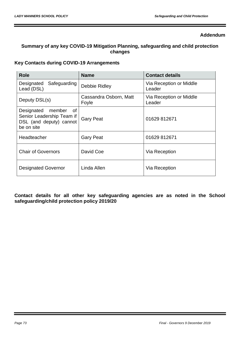#### **Addendum**

# **Summary of any key COVID-19 Mitigation Planning, safeguarding and child protection changes**

## **Key Contacts during COVID-19 Arrangements**

| <b>Role</b>                                                                                      | <b>Name</b>                     | <b>Contact details</b>            |
|--------------------------------------------------------------------------------------------------|---------------------------------|-----------------------------------|
| Safeguarding<br>Designated<br>Lead (DSL)                                                         | Debbie Ridley                   | Via Reception or Middle<br>Leader |
| Deputy DSL(s)                                                                                    | Cassandra Osborn, Matt<br>Foyle | Via Reception or Middle<br>Leader |
| member<br>Designated<br>of<br>Senior Leadership Team if<br>DSL (and deputy) cannot<br>be on site | <b>Gary Peat</b>                | 01629 812671                      |
| Headteacher                                                                                      | <b>Gary Peat</b>                | 01629 812671                      |
| <b>Chair of Governors</b>                                                                        | David Coe                       | Via Reception                     |
| <b>Designated Governor</b>                                                                       | Linda Allen                     | Via Reception                     |

**Contact details for all other key safeguarding agencies are as noted in the School safeguarding/child protection policy 2019/20**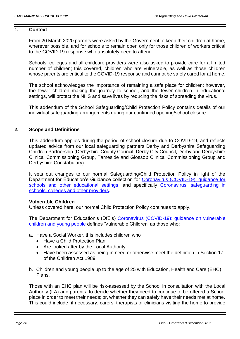#### **1. Context**

From 20 March 2020 parents were asked by the Government to keep their children at home, wherever possible, and for schools to remain open only for those children of workers critical to the COVID-19 response who absolutely need to attend.

Schools, colleges and all childcare providers were also asked to provide care for a limited number of children; this covered, children who are vulnerable, as well as those children whose parents are critical to the COVID-19 response and cannot be safely cared for at home.

The school acknowledges the importance of remaining a safe place for children; however, the fewer children making the journey to school, and the fewer children in educational settings, will protect the NHS and save lives by reducing the risks of spreading the virus.

This addendum of the School Safeguarding/Child Protection Policy contains details of our individual safeguarding arrangements during our continued opening/school closure.

## **2. Scope and Definitions**

This addendum applies during the period of school closure due to COVID-19, and reflects updated advice from our local safeguarding partners Derby and Derbyshire Safeguarding Children Partnership (Derbyshire County Council, Derby City Council, Derby and Derbyshire Clinical Commissioning Group, Tameside and Glossop Clinical Commissioning Group and Derbyshire Constabulary).

It sets out changes to our normal Safeguarding/Child Protection Policy in light of the Department for Education's Guidance collection for Coronavirus (COVID-19); guidance for [schools and other educational settings,](https://www.gov.uk/government/collections/coronavirus-covid-19-guidance-for-schools-and-other-educational-settings) and specifically [Coronavirus: safeguarding in](https://www.gov.uk/government/publications/covid-19-safeguarding-in-schools-colleges-and-other-providers)  [schools, colleges and other providers.](https://www.gov.uk/government/publications/covid-19-safeguarding-in-schools-colleges-and-other-providers)

#### **Vulnerable Children**

Unless covered here, our normal Child Protection Policy continues to apply.

The Department for Education's (DfE's) [Coronavirus \(COVID-19\): guidance on vulnerable](https://www.gov.uk/government/publications/coronavirus-covid-19-guidance-on-vulnerable-children-and-young-people/coronavirus-covid-19-guidance-on-vulnerable-children-and-young-people)  [children and young people](https://www.gov.uk/government/publications/coronavirus-covid-19-guidance-on-vulnerable-children-and-young-people/coronavirus-covid-19-guidance-on-vulnerable-children-and-young-people) defines 'Vulnerable Children' as those who:

- a. Have a Social Worker, this includes children who
	- Have a Child Protection Plan
	- Are looked after by the Local Authority
	- Have been assessed as being in need or otherwise meet the definition in Section 17 of the Children Act 1989
- b. Children and young people up to the age of 25 with Education, Health and Care (EHC) Plans.

Those with an EHC plan will be risk-assessed by the School in consultation with the Local Authority (LA) and parents, to decide whether they need to continue to be offered a School place in order to meet their needs; or, whether they can safely have their needs met at home. This could include, if necessary, carers, therapists or clinicians visiting the home to provide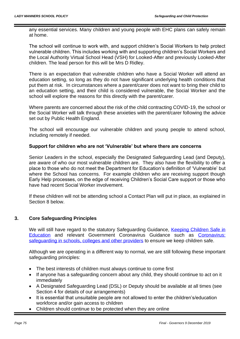any essential services. Many children and young people with EHC plans can safely remain at home.

The school will continue to work with, and support children's Social Workers to help protect vulnerable children. This includes working with and supporting children's Social Workers and the Local Authority Virtual School Head (VSH) for Looked-After and previously Looked-After children. The lead person for this will be Mrs D Ridley.

There is an expectation that vulnerable children who have a Social Worker will attend an education setting, so long as they do not have significant underlying health conditions that put them at risk. In circumstances where a parent/carer does not want to bring their child to an education setting, and their child is considered vulnerable, the Social Worker and the school will explore the reasons for this directly with the parent/carer.

Where parents are concerned about the risk of the child contracting COVID-19, the school or the Social Worker will talk through these anxieties with the parent/carer following the advice set out by Public Health England.

The school will encourage our vulnerable children and young people to attend school, including remotely if needed.

## **Support for children who are not 'Vulnerable' but where there are concerns**

Senior Leaders in the school, especially the Designated Safeguarding Lead (and Deputy), are aware of who our most vulnerable children are. They also have the flexibility to offer a place to those who do not meet the Department for Education's definition of 'Vulnerable' but where the School has concerns. For example children who are receiving support though Early Help processes, on the edge of receiving Children's Social Care support or those who have had recent Social Worker involvement.

If these children will not be attending school a Contact Plan will put in place, as explained in Section 8 below.

# **3. Core Safeguarding Principles**

We will still have regard to the statutory Safeguarding Guidance, Keeping Children Safe in [Education](https://www.gov.uk/government/publications/keeping-children-safe-in-education--2) and relevant Government Coronavirus Guidance such as [Coronavirus:](https://www.gov.uk/government/publications/covid-19-safeguarding-in-schools-colleges-and-other-providers/coronavirus-covid-19-safeguarding-in-schools-colleges-and-other-providers)  [safeguarding in schools, colleges and other providers](https://www.gov.uk/government/publications/covid-19-safeguarding-in-schools-colleges-and-other-providers/coronavirus-covid-19-safeguarding-in-schools-colleges-and-other-providers) to ensure we keep children safe.

Although we are operating in a different way to normal, we are still following these important safeguarding principles:

- The best interests of children must always continue to come first
- If anyone has a safeguarding concern about any child, they should continue to act on it immediately
- A Designated Safeguarding Lead (DSL) or Deputy should be available at all times (see Section 4 for details of our arrangements)
- It is essential that unsuitable people are not allowed to enter the children's/education workforce and/or gain access to children
- Children should continue to be protected when they are online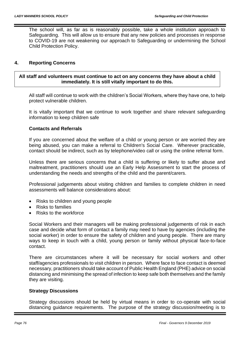The school will, as far as is reasonably possible, take a whole institution approach to Safeguarding. This will allow us to ensure that any new policies and processes in response to COVID-19 are not weakening our approach to Safeguarding or undermining the School Child Protection Policy.

## **4. Reporting Concerns**

## **All staff and volunteers must continue to act on any concerns they have about a child immediately. It is still vitally important to do this.**

All staff will continue to work with the children's Social Workers, where they have one, to help protect vulnerable children.

It is vitally important that we continue to work together and share relevant safeguarding information to keep children safe

#### **Contacts and Referrals**

If you are concerned about the welfare of a child or young person or are worried they are being abused, you can make a referral to Children's Social Care. Wherever practicable, contact should be indirect, such as by telephone/video call or using the online referral form.

Unless there are serious concerns that a child is suffering or likely to suffer abuse and maltreatment, practitioners should use an Early Help Assessment to start the process of understanding the needs and strengths of the child and the parent/carers.

Professional judgements about visiting children and families to complete children in need assessments will balance considerations about:

- Risks to children and young people
- Risks to families
- Risks to the workforce

Social Workers and their managers will be making professional judgements of risk in each case and decide what form of contact a family may need to have by agencies (including the social worker) in order to ensure the safety of children and young people. There are many ways to keep in touch with a child, young person or family without physical face-to-face contact.

There are circumstances where it will be necessary for social workers and other staff/agencies professionals to visit children in person. Where face to face contact is deemed necessary, practitioners should take account of Public Health England (PHE) advice on social distancing and minimising the spread of infection to keep safe both themselves and the family they are visiting.

#### **Strategy Discussions**

Strategy discussions should be held by virtual means in order to co-operate with social distancing guidance requirements. The purpose of the strategy discussion/meeting is to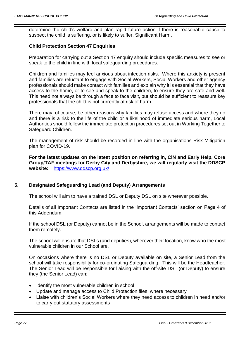determine the child's welfare and plan rapid future action if there is reasonable cause to suspect the child is suffering, or is likely to suffer, Significant Harm.

## **Child Protection Section 47 Enquiries**

Preparation for carrying out a Section 47 enquiry should include specific measures to see or speak to the child in line with local safeguarding procedures.

Children and families may feel anxious about infection risks. Where this anxiety is present and families are reluctant to engage with Social Workers, Social Workers and other agency professionals should make contact with families and explain why it is essential that they have access to the home, or to see and speak to the children, to ensure they are safe and well. This need not always be through a face to face visit, but should be sufficient to reassure key professionals that the child is not currently at risk of harm.

There may, of course, be other reasons why families may refuse access and where they do and there is a risk to the life of the child or a likelihood of immediate serious harm, Local Authorities should follow the immediate protection procedures set out in Working Together to Safeguard Children.

The management of risk should be recorded in line with the organisations Risk Mitigation plan for COVID-19.

**For the latest updates on the latest position on referring in, CiN and Early Help, Core Group/TAF meetings for Derby City and Derbyshire, we will regularly visit the DDSCP website:** <https://www.ddscp.org.uk/>

## **5. Designated Safeguarding Lead (and Deputy) Arrangements**

The school will aim to have a trained DSL or Deputy DSL on site wherever possible.

Details of all Important Contacts are listed in the 'Important Contacts' section on Page 4 of this Addendum.

If the school DSL (or Deputy) cannot be in the School, arrangements will be made to contact them remotely.

The school will ensure that DSLs (and deputies), wherever their location, know who the most vulnerable children in our School are.

On occasions where there is no DSL or Deputy available on site, a Senior Lead from the school will take responsibility for co-ordinating Safeguarding. This will be the Headteacher. The Senior Lead will be responsible for liaising with the off-site DSL (or Deputy) to ensure they (the Senior Lead) can:

- Identify the most vulnerable children in school
- Update and manage access to Child Protection files, where necessary
- Liaise with children's Social Workers where they need access to children in need and/or to carry out statutory assessments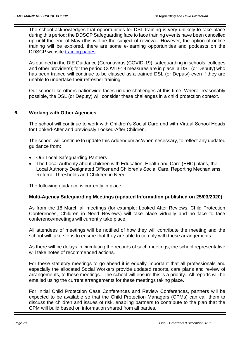The school acknowledges that opportunities for DSL training is very unlikely to take place during this period; the DDSCP Safeguarding face to face training events have been cancelled up until the end of May (this will be the subject of review). However, the option of online training will be explored, there are some e-learning opportunities and podcasts on the DDSCP website [training pages.](https://www.ddscp.org.uk/training/)

As outlined in the DfE Guidance (Coronavirus (COVID-19): safeguarding in schools, colleges and other providers); for the period COVID-19 measures are in place, a DSL (or Deputy) who has been trained will continue to be classed as a trained DSL (or Deputy) even if they are unable to undertake their refresher training.

Our school like others nationwide faces unique challenges at this time. Where reasonably possible, the DSL (or Deputy) will consider these challenges in a child protection context.

## **6. Working with Other Agencies**

The school will continue to work with Children's Social Care and with Virtual School Heads for Looked-After and previously Looked-After Children.

The school will continue to update this Addendum as/when necessary, to reflect any updated guidance from:

- Our Local Safeguarding Partners
- The Local Authority about children with Education, Health and Care (EHC) plans, the Local Authority Designated Officer and Children's Social Care, Reporting Mechanisms, Referral Thresholds and Children in Need

The following guidance is currently in place:

## **Multi-Agency Safeguarding Meetings (updated Information published on 25/03/2020)**

As from the 18 March all meetings (for example: Looked After Reviews, Child Protection Conferences, Children in Need Reviews) will take place virtually and no face to face conference/meetings will currently take place.

All attendees of meetings will be notified of how they will contribute the meeting and the school will take steps to ensure that they are able to comply with these arrangements.

As there will be delays in circulating the records of such meetings, the school representative will take notes of recommended actions.

For these statutory meetings to go ahead it is equally important that all professionals and especially the allocated Social Workers provide updated reports, care plans and review of arrangements, to these meetings. The school will ensure this is a priority. All reports will be emailed using the current arrangements for these meetings taking place.

For Initial Child Protection Case Conferences and Review Conferences, partners will be expected to be available so that the Child Protection Managers (CPMs) can call them to discuss the children and issues of risk, enabling partners to contribute to the plan that the CPM will build based on information shared from all parties.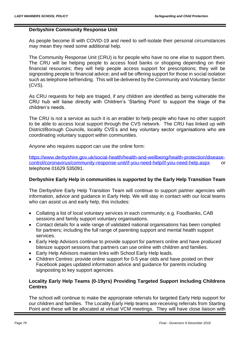#### **Derbyshire Community Response Unit**

As people become ill with COVID-19 and need to self-isolate their personal circumstances may mean they need some additional help.

The Community Response Unit (CRU) is for people who have no one else to support them. The CRU will be helping people to access food banks or shopping depending on their financial resources; they will help people access support for prescriptions; they will be signposting people to financial advice; and will be offering support for those in social isolation such as telephone befriending. This will be delivered by the Community and Voluntary Sector (CVS).

As CRU requests for help are triaged, if any children are identified as being vulnerable the CRU hub will liaise directly with Children's 'Starting Point' to support the triage of the children's needs.

The CRU is not a service as such it is an enabler to help people who have no other support to be able to access local support through the CVS network. The CRU has linked up with District/Borough Councils, locality CVS's and key voluntary sector organisations who are coordinating voluntary support within communities.

Anyone who requires support can use the online form:

[https://www.derbyshire.gov.uk/social-health/health-and-wellbeing/health-protection/disease](https://www.derbyshire.gov.uk/social-health/health-and-wellbeing/health-protection/disease-control/coronavirus/community-response-unit/if-you-need-help/if-you-need-help.aspx)[control/coronavirus/community-response-unit/if-you-need-help/if-you-need-help.aspx](https://www.derbyshire.gov.uk/social-health/health-and-wellbeing/health-protection/disease-control/coronavirus/community-response-unit/if-you-need-help/if-you-need-help.aspx) or telephone 01629 535091.

## **Derbyshire Early Help in communities is supported by the Early Help Transition Team**

The Derbyshire Early Help Transition Team will continue to support partner agencies with information, advice and guidance in Early Help. We will stay in contact with our local teams who can assist us and early help, this includes:

- Collating a list of local voluntary services in each community; e.g. Foodbanks, CAB sessions and family support voluntary organisations.
- Contact details for a wide range of validated national organisations has been compiled for partners; including the full range of parenting support and mental health support services.
- Early Help Advisors continue to provide support for partners online and have produced bitesize support sessions that partners can use online with children and families.
- Early Help Advisors maintain links with School Early Help leads.
- Children Centres: provide online support for 0-5 year olds and have posted on their Facebook pages updated information advice and guidance for parents including signposting to key support agencies.

## **Locality Early Help Teams (0-19yrs) Providing Targeted Support Including Childrens Centres**

The school will continue to make the appropriate referrals for targeted Early Help support for our children and families. The Locality Early Help teams are receiving referrals from Starting Point and these will be allocated at virtual VCM meetings. They will have close liaison with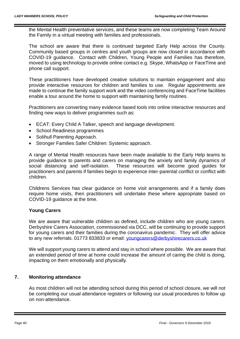the Mental Health preventative services, and these teams are now completing Team Around the Family in a virtual meeting with families and professionals.

The school are aware that there is continued targeted Early Help across the County. Community based groups in centres and youth groups are now closed in accordance with COVID-19 guidance. Contact with Children, Young People and Families has therefore, moved to using technology to provide online contact e.g. Skype, WhatsApp or FaceTime and phone call support.

These practitioners have developed creative solutions to maintain engagement and also provide interactive resources for children and families to use. Regular appointments are made to continue the family support work and the video conferencing and FaceTime facilities enable a tour around the home to support with maintaining family routines.

Practitioners are converting many evidence based tools into online interactive resources and finding new ways to deliver programmes such as:

- ECAT: Every Child A Talker, speech and language development.
- School Readiness programmes
- Solihull Parenting Approach.
- Stronger Families Safer Children: Systemic approach.

A range of Mental Health resources have been made available to the Early Help teams to provide guidance to parents and carers on managing the anxiety and family dynamics of social distancing and self-isolation. These resources will become good guides for practitioners and parents if families begin to experience inter-parental conflict or conflict with children.

Childrens Services has clear guidance on home visit arrangements and if a family does require home visits, then practitioners will undertake these where appropriate based on COVID-19 guidance at the time.

#### **Young Carers**

We are aware that vulnerable children as defined, include children who are young carers. Derbyshire Carers Association, commissioned via DCC, will be continuing to provide support for young carers and their families during the coronavirus pandemic. They will offer advice to any new referrals. 01773 833833 or email: *youngcarers@derbyshirecarers.co.uk* 

We will support young carers to attend and stay in school where possible. We are aware that an extended period of time at home could increase the amount of caring the child is doing, impacting on them emotionally and physically.

## **7. Monitoring attendance**

As most children will not be attending school during this period of school closure, we will not be completing our usual attendance registers or following our usual procedures to follow up on non-attendance.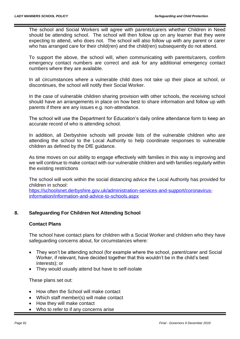The school and Social Workers will agree with parents/carers whether Children in Need should be attending school. The school will then follow up on any learner that they were expecting to attend, who does not. The school will also follow up with any parent or carer who has arranged care for their child(ren) and the child(ren) subsequently do not attend.

To support the above, the school will, when communicating with parents/carers, confirm emergency contact numbers are correct and ask for any additional emergency contact numbers where they are available.

In all circumstances where a vulnerable child does not take up their place at school, or discontinues, the school will notify their Social Worker.

In the case of vulnerable children sharing provision with other schools, the receiving school should have an arrangements in place on how best to share information and follow up with parents if there are any issues e.g. non-attendance.

The school will use the Department for Education's daily online attendance form to keep an accurate record of who is attending school.

In addition, all Derbyshire schools will provide lists of the vulnerable children who are attending the school to the Local Authority to help coordinate responses to vulnerable children as defined by the DfE guidance.

As time moves on our ability to engage effectively with families in this way is improving and we will continue to make contact with our vulnerable children and with families regularly within the existing restrictions

The school will work within the social distancing advice the Local Authority has provided for children in school:

[https://schoolsnet.derbyshire.gov.uk/administration-services-and-support/coronavirus](https://schoolsnet.derbyshire.gov.uk/administration-services-and-support/coronavirus-information/information-and-advice-to-schools.aspx)[information/information-and-advice-to-schools.aspx](https://schoolsnet.derbyshire.gov.uk/administration-services-and-support/coronavirus-information/information-and-advice-to-schools.aspx)

# **8. Safeguarding For Children Not Attending School**

## **Contact Plans**

The school have contact plans for children with a Social Worker and children who they have safeguarding concerns about, for circumstances where:

- They won't be attending school (for example where the school, parent/carer and Social Worker, if relevant, have decided together that this wouldn't be in the child's best interests); or
- They would usually attend but have to self-isolate

These plans set out:

- How often the School will make contact
- Which staff member(s) will make contact
- How they will make contact
- Who to refer to if any concerns arise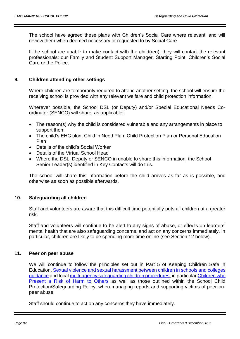The school have agreed these plans with Children's Social Care where relevant, and will review them when deemed necessary or requested to by Social Care

If the school are unable to make contact with the child(ren), they will contact the relevant professionals: our Family and Student Support Manager, Starting Point, Children's Social Care or the Police.

## **9. Children attending other settings**

Where children are temporarily required to attend another setting, the school will ensure the receiving school is provided with any relevant welfare and child protection information.

Wherever possible, the School DSL (or Deputy) and/or Special Educational Needs Coordinator (SENCO) will share, as applicable:

- The reason(s) why the child is considered vulnerable and any arrangements in place to support them
- The child's EHC plan, Child in Need Plan, Child Protection Plan or Personal Education Plan
- Details of the child's Social Worker
- Details of the Virtual School Head
- Where the DSL, Deputy or SENCO in unable to share this information, the School Senior Leader(s) identified in Key Contacts will do this.

The school will share this information before the child arrives as far as is possible, and otherwise as soon as possible afterwards.

## **10. Safeguarding all children**

Staff and volunteers are aware that this difficult time potentially puts all children at a greater risk.

Staff and volunteers will continue to be alert to any signs of abuse, or effects on learners' mental health that are also safeguarding concerns, and act on any concerns immediately. In particular, children are likely to be spending more time online (see Section 12 below).

## **11. Peer on peer abuse**

We will continue to follow the principles set out in Part 5 of Keeping Children Safe in Education, [Sexual violence and sexual harassment between children in schools and colleges](https://www.gov.uk/government/publications/sexual-violence-and-sexual-harassment-between-children-in-schools-and-colleges)  [guidance](https://www.gov.uk/government/publications/sexual-violence-and-sexual-harassment-between-children-in-schools-and-colleges) and local [multi-agency safeguarding children procedures,](https://derbyshirescbs.proceduresonline.com/contents.html) in particular [Children who](https://derbyshirescbs.proceduresonline.com/p_abuse_by_ch_yp.html)  [Present a Risk of Harm to Others](https://derbyshirescbs.proceduresonline.com/p_abuse_by_ch_yp.html) as well as those outlined within the School Child Protection/Safeguarding Policy, when managing reports and supporting victims of peer-onpeer abuse.

Staff should continue to act on any concerns they have immediately.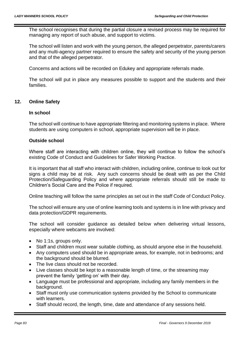The school recognises that during the partial closure a revised process may be required for managing any report of such abuse, and support to victims.

The school will listen and work with the young person, the alleged perpetrator, parents/carers and any multi-agency partner required to ensure the safety and security of the young person and that of the alleged perpetrator.

Concerns and actions will be recorded on Edukey and appropriate referrals made.

The school will put in place any measures possible to support and the students and their families.

## **12. Online Safety**

#### **In school**

The school will continue to have appropriate filtering and monitoring systems in place. Where students are using computers in school, appropriate supervision will be in place.

#### **Outside school**

Where staff are interacting with children online, they will continue to follow the school's existing Code of Conduct and Guidelines for Safer Working Practice.

It is important that all staff who interact with children, including online, continue to look out for signs a child may be at risk. Any such concerns should be dealt with as per the Child Protection/Safeguarding Policy and where appropriate referrals should still be made to Children's Social Care and the Police if required.

Online teaching will follow the same principles as set out in the staff Code of Conduct Policy.

The school will ensure any use of online learning tools and systems is in line with privacy and data protection/GDPR requirements.

The school will consider guidance as detailed below when delivering virtual lessons, especially where webcams are involved:

- No 1:1s, groups only.
- Staff and children must wear suitable clothing, as should anyone else in the household.
- Any computers used should be in appropriate areas, for example, not in bedrooms; and the background should be blurred.
- The live class should not be recorded.
- Live classes should be kept to a reasonable length of time, or the streaming may prevent the family 'getting on' with their day.
- Language must be professional and appropriate, including any family members in the background.
- Staff must only use communication systems provided by the School to communicate with learners.
- Staff should record, the length, time, date and attendance of any sessions held.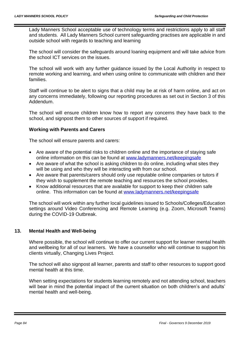Lady Manners School acceptable use of technology terms and restrictions apply to all staff and students. All Lady Manners School current safeguarding practises are applicable in and outside school with regards to teaching and learning

The school will consider the safeguards around loaning equipment and will take advice from the school ICT services on the issues.

The school will work with any further guidance issued by the Local Authority in respect to remote working and learning, and when using online to communicate with children and their families.

Staff will continue to be alert to signs that a child may be at risk of harm online, and act on any concerns immediately, following our reporting procedures as set out in Section 3 of this Addendum.

The school will ensure children know how to report any concerns they have back to the school, and signpost them to other sources of support if required.

## **Working with Parents and Carers**

The school will ensure parents and carers:

- Are aware of the potential risks to children online and the importance of staying safe online information on this can be found at [www.ladymanners.net/keepingsafe](http://www.ladymanners.net/keepingsafe)
- Are aware of what the school is asking children to do online, including what sites they will be using and who they will be interacting with from our school.
- Are aware that parents/carers should only use reputable online companies or tutors if they wish to supplement the remote teaching and resources the school provides.
- Know additional resources that are available for support to keep their children safe online. This information can be found at [www.ladymanners.net/keepingsafe](http://www.ladymanners.net/keepingsafe)

The school will work within any further local guidelines issued to Schools/Colleges/Education settings around Video Conferencing and Remote Learning (e.g. Zoom, Microsoft Teams) during the COVID-19 Outbreak.

## **13. Mental Health and Well-being**

Where possible, the school will continue to offer our current support for learner mental health and wellbeing for all of our learners. We have a counsellor who will continue to support his clients virtually, Changing Lives Project*.*

The school will also signpost all learner, parents and staff to other resources to support good mental health at this time.

When setting expectations for students learning remotely and not attending school, teachers will bear in mind the potential impact of the current situation on both children's and adults' mental health and well-being.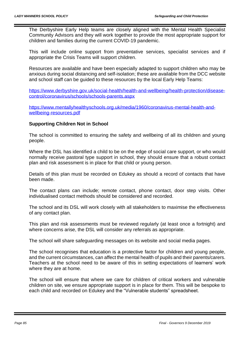The Derbyshire Early Help teams are closely aligned with the Mental Health Specialist Community Advisors and they will work together to provide the most appropriate support for children and families during the current COVID-19 pandemic.

This will include online support from preventative services, specialist services and if appropriate the Crisis Teams will support children.

Resources are available and have been especially adapted to support children who may be anxious during social distancing and self-isolation; these are available from the DCC website and school staff can be guided to these resources by the local Early Help Teams:

[https://www.derbyshire.gov.uk/social-health/health-and-wellbeing/health-protection/disease](https://www.derbyshire.gov.uk/social-health/health-and-wellbeing/health-protection/disease-control/coronavirus/schools/schools-parents.aspx)[control/coronavirus/schools/schools-parents.aspx](https://www.derbyshire.gov.uk/social-health/health-and-wellbeing/health-protection/disease-control/coronavirus/schools/schools-parents.aspx)

[https://www.mentallyhealthyschools.org.uk/media/1960/coronavirus-mental-health-and](https://www.mentallyhealthyschools.org.uk/media/1960/coronavirus-mental-health-and-wellbeing-resources.pdf)[wellbeing-resources.pdf](https://www.mentallyhealthyschools.org.uk/media/1960/coronavirus-mental-health-and-wellbeing-resources.pdf)

## **Supporting Children Not in School**

The school is committed to ensuring the safety and wellbeing of all its children and young people.

Where the DSL has identified a child to be on the edge of social care support, or who would normally receive pastoral type support in school, they should ensure that a robust contact plan and risk assessment is in place for that child or young person.

Details of this plan must be recorded on Edukey as should a record of contacts that have been made.

The contact plans can include; remote contact, phone contact, door step visits. Other individualised contact methods should be considered and recorded.

The school and its DSL will work closely with all stakeholders to maximise the effectiveness of any contact plan.

This plan and risk assessments must be reviewed regularly (at least once a fortnight) and where concerns arise, the DSL will consider any referrals as appropriate.

The school will share safeguarding messages on its website and social media pages.

The school recognises that education is a protective factor for children and young people, and the current circumstances, can affect the mental health of pupils and their parents/carers. Teachers at the school need to be aware of this in setting expectations of learners' work where they are at home.

The school will ensure that where we care for children of critical workers and vulnerable children on site, we ensure appropriate support is in place for them. This will be bespoke to each child and recorded on Edukey and the "Vulnerable students" spreadsheet.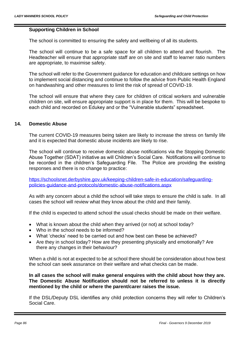#### **Supporting Children in School**

The school is committed to ensuring the safety and wellbeing of all its students.

The school will continue to be a safe space for all children to attend and flourish. The Headteacher will ensure that appropriate staff are on site and staff to learner ratio numbers are appropriate, to maximise safety.

The school will refer to the Government guidance for education and childcare settings on how to implement social distancing and continue to follow the advice from Public Health England on handwashing and other measures to limit the risk of spread of COVID-19.

The school will ensure that where they care for children of critical workers and vulnerable children on site, will ensure appropriate support is in place for them. This will be bespoke to each child and recorded on Edukey and or the "Vulnerable students" spreadsheet.

#### **14. Domestic Abuse**

The current COVID-19 measures being taken are likely to increase the stress on family life and it is expected that domestic abuse incidents are likely to rise.

The school will continue to receive domestic abuse notifications via the Stopping Domestic Abuse Together (SDAT) initiative as will Children's Social Care. Notifications will continue to be recorded in the children's Safeguarding File. The Police are providing the existing responses and there is no change to practice:

[https://schoolsnet.derbyshire.gov.uk/keeping-children-safe-in-education/safeguarding](https://schoolsnet.derbyshire.gov.uk/keeping-children-safe-in-education/safeguarding-policies-guidance-and-protocols/domestic-abuse-notifications.aspx)[policies-guidance-and-protocols/domestic-abuse-notifications.aspx](https://schoolsnet.derbyshire.gov.uk/keeping-children-safe-in-education/safeguarding-policies-guidance-and-protocols/domestic-abuse-notifications.aspx)

As with any concern about a child the school will take steps to ensure the child is safe. In all cases the school will review what they know about the child and their family.

If the child is expected to attend school the usual checks should be made on their welfare.

- What is known about the child when they arrived (or not) at school today?
- Who in the school needs to be informed?
- What 'checks' need to be carried out and how best can these be achieved?
- Are they in school today? How are they presenting physically and emotionally? Are there any changes in their behaviour?

When a child is not at expected to be at school there should be consideration about how best the school can seek assurance on their welfare and what checks can be made.

**In all cases the school will make general enquires with the child about how they are. The Domestic Abuse Notification should not be referred to unless it is directly mentioned by the child or where the parent/carer raises the issue.**

If the DSL/Deputy DSL identifies any child protection concerns they will refer to Children's Social Care.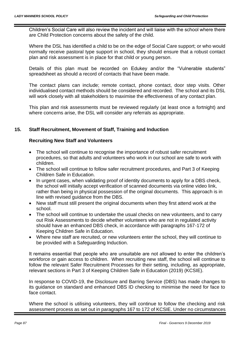Children's Social Care will also review the incident and will liaise with the school where there are Child Protection concerns about the safety of the child.

Where the DSL has identified a child to be on the edge of Social Care support; or who would normally receive pastoral type support in school, they should ensure that a robust contact plan and risk assessment is in place for that child or young person.

Details of this plan must be recorded on Edukey and/or the "Vulnerable students" spreadsheet as should a record of contacts that have been made.

The contact plans can include; remote contact, phone contact, door step visits. Other individualised contact methods should be considered and recorded. The school and its DSL will work closely with all stakeholders to maximise the effectiveness of any contact plan.

This plan and risk assessments must be reviewed regularly (at least once a fortnight) and where concerns arise, the DSL will consider any referrals as appropriate.

# **15. Staff Recruitment, Movement of Staff, Training and Induction**

## **Recruiting New Staff and Volunteers**

- The school will continue to recognise the importance of robust safer recruitment procedures, so that adults and volunteers who work in our school are safe to work with children.
- The school will continue to follow safer recruitment procedures, and Part 3 of Keeping Children Safe in Education.
- In urgent cases, when validating proof of identity documents to apply for a DBS check, the school will initially accept verification of scanned documents via online video link, rather than being in physical possession of the original documents. This approach is in line with revised guidance from the DBS.
- New staff must still present the original documents when they first attend work at the school.
- The school will continue to undertake the usual checks on new volunteers, and to carry out Risk Assessments to decide whether volunteers who are not in regulated activity should have an enhanced DBS check, in accordance with paragraphs 167-172 of Keeping Children Safe in Education.
- Where new staff are recruited, or new volunteers enter the school, they will continue to be provided with a Safeguarding Induction.

It remains essential that people who are unsuitable are not allowed to enter the children's workforce or gain access to children. When recruiting new staff, the school will continue to follow the relevant Safer Recruitment Processes for their setting, including, as appropriate, relevant sections in Part 3 of Keeping Children Safe in Education (2019) (KCSIE).

In response to COVID-19, the Disclosure and Barring Service (DBS) has made changes to its guidance on standard and enhanced DBS ID checking to minimise the need for face to face contact.

Where the school is utilising volunteers, they will continue to follow the checking and risk assessment process as set out in paragraphs 167 to 172 of KCSIE. Under no circumstances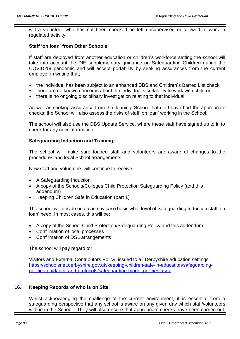will a volunteer who has not been checked be left unsupervised or allowed to work in regulated activity.

#### **Staff 'on loan' from Other Schools**

If staff are deployed from another education or children's workforce setting the school will take into account the DfE supplementary guidance on Safeguarding Children during the COVID-19 pandemic and will accept portability by seeking assurances from the current employer in writing that;

- the individual has been subject to an enhanced DBS and Children's Barred List check
- there are no known concerns about the individual's suitability to work with children
- there is no ongoing disciplinary investigation relating to that individual

As well as seeking assurance from the 'loaning' School that staff have had the appropriate checks; the School will also assess the risks of staff 'on loan' working in the School.

The school will also use the DBS Update Service, where these staff have signed up to it, to check for any new information.

#### **Safeguarding Induction and Training**

The school will make sure loaned staff and volunteers are aware of changes to the procedures and local School arrangements.

New staff and volunteers will continue to receive:

- A Safeguarding Induction
- A copy of the Schools/Colleges Child Protection Safeguarding Policy (and this addendum)
- Keeping Children Safe in Education (part 1)

The school will decide on a case by case basis what level of Safeguarding Induction staff 'on loan' need. In most cases, this will be:

- A copy of the School Child Protection/Safeguarding Policy and this addendum
- Confirmation of local processes
- Confirmation of DSL arrangements

The school will pay regard to:

Visitors and External Contributors Policy, issued to all Derbyshire education settings: [https://schoolsnet.derbyshire.gov.uk/keeping-children-safe-in-education/safeguarding](https://schoolsnet.derbyshire.gov.uk/keeping-children-safe-in-education/safeguarding-policies-guidance-and-protocols/safeguarding-model-policies.aspx)[policies-guidance-and-protocols/safeguarding-model-policies.aspx](https://schoolsnet.derbyshire.gov.uk/keeping-children-safe-in-education/safeguarding-policies-guidance-and-protocols/safeguarding-model-policies.aspx)

## **16. Keeping Records of who is on Site**

Whilst acknowledging the challenge of the current environment, it is essential from a safeguarding perspective that any school is aware on any given day which staff/volunteers will be in the School. They will also ensure that appropriate checks have been carried out,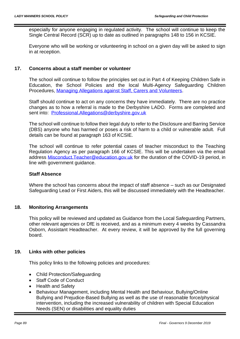especially for anyone engaging in regulated activity. The school will continue to keep the Single Central Record (SCR) up to date as outlined in paragraphs 148 to 156 in KCSIE.

Everyone who will be working or volunteering in school on a given day will be asked to sign in at reception.

## **17. Concerns about a staff member or volunteer**

The school will continue to follow the principles set out in Part 4 of Keeping Children Safe in Education, the School Policies and the local Multi-Agency Safeguarding Children Procedures, [Managing Allegations against Staff, Carers and Volunteers.](https://derbyshirescbs.proceduresonline.com/p_alleg_staff_carer_volunteer.html)

Staff should continue to act on any concerns they have immediately. There are no practice changes as to how a referral is made to the Derbyshire LADO. Forms are completed and sent into: [Professional.Allegations@derbyshire.gov.uk](mailto:Professional.Allegations@derbyshire.gov.uk)

The school will continue to follow their legal duty to refer to the Disclosure and Barring Service (DBS) anyone who has harmed or poses a risk of harm to a child or vulnerable adult. Full details can be found at paragraph 163 of KCSIE.

The school will continue to refer potential cases of teacher misconduct to the Teaching Regulation Agency as per paragraph 166 of KCSIE. This will be undertaken via the email address Misconduct. Teacher@education.gov.uk for the duration of the COVID-19 period, in line with government guidance.

#### **Staff Absence**

Where the school has concerns about the impact of staff absence – such as our Designated Safeguarding Lead or First Aiders, this will be discussed immediately with the Headteacher.

#### **18. Monitoring Arrangements**

This policy will be reviewed and updated as Guidance from the Local Safeguarding Partners, other relevant agencies or DfE is received, and as a minimum every 4 weeks by Cassandra Osborn, Assistant Headteacher. At every review, it will be approved by the full governing board.

#### **19. Links with other policies**

This policy links to the following policies and procedures:

- Child Protection/Safeguarding
- Staff Code of Conduct
- Health and Safety
- Behaviour Management, including Mental Health and Behaviour, Bullying/Online Bullying and Prejudice-Based Bullying as well as the use of reasonable force/physical intervention, including the increased vulnerability of children with Special Education Needs (SEN) or disabilities and equality duties